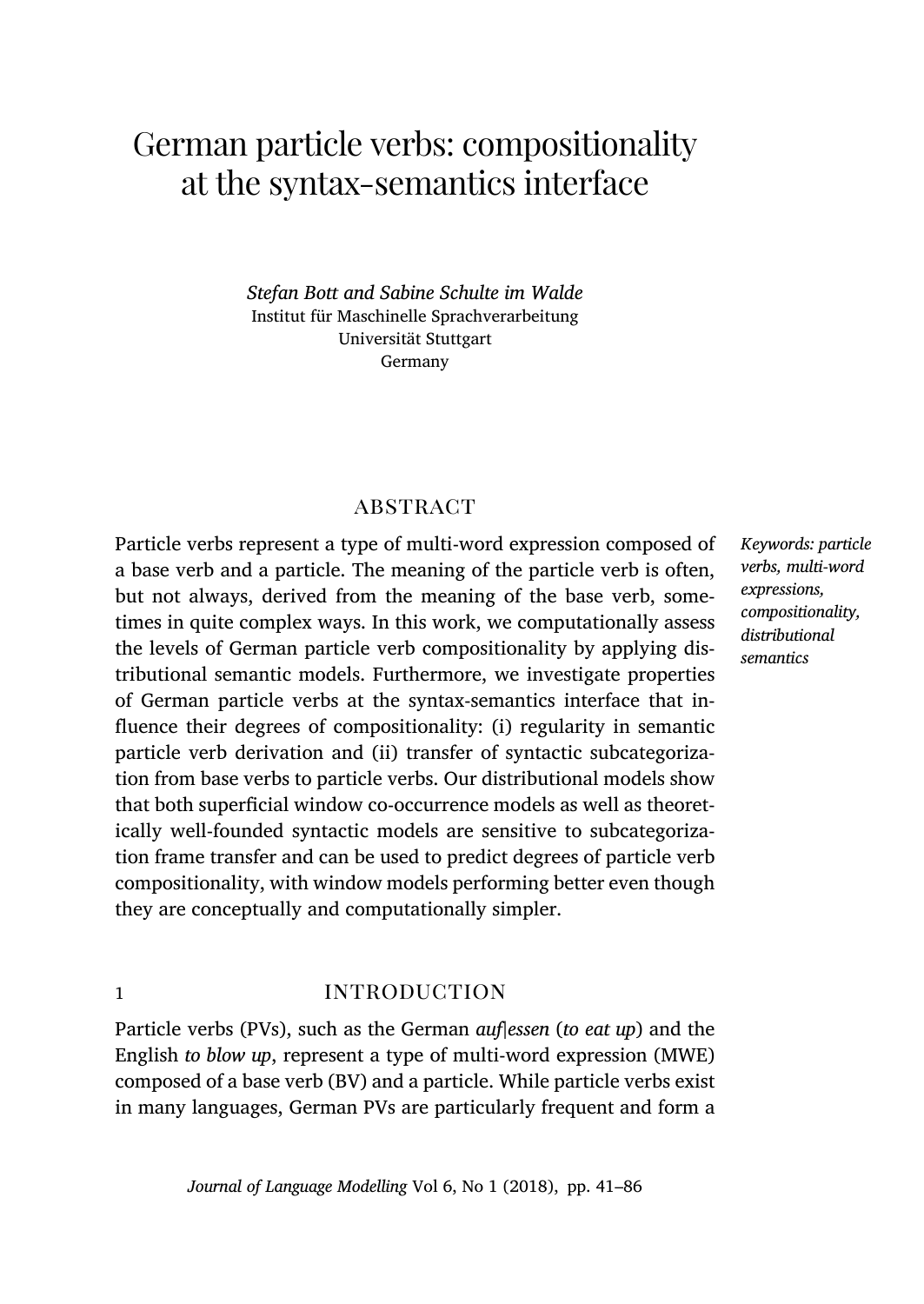# German particle verbs: compositionality at the syntax-semantics interface

*Stefan Bott and Sabine Schulte im Walde* Institut für Maschinelle Sprachverarbeitung Universität Stuttgart Germany

# **ABSTRACT**

Particle verbs represent a type of multi-word expression composed of a base verb and a particle. The meaning of the particle verb is often, but not always, derived from the meaning of the base verb, sometimes in quite complex ways. In this work, we computationally assess the levels of German particle verb compositionality by applying distributional semantic models. Furthermore, we investigate properties of German particle verbs at the syntax-semantics interface that influence their degrees of compositionality: (i) regularity in semantic particle verb derivation and (ii) transfer of syntactic subcategorization from base verbs to particle verbs. Our distributional models show that both superficial window co-occurrence models as well as theoretically well-founded syntactic models are sensitive to subcategorization frame transfer and can be used to predict degrees of particle verb compositionality, with window models performing better even though they are conceptually and computationally simpler.

# 1 **introduction**

Particle verbs (PVs), such as the German *auf|essen* (*to eat up*) and the English *to blow up*, represent a type of multi-word expression (MWE) composed of a base verb (BV) and a particle. While particle verbs exist in many languages, German PVs are particularly frequent and form a

*Keywords: particle verbs, multi-word expressions, compositionality, distributional semantics*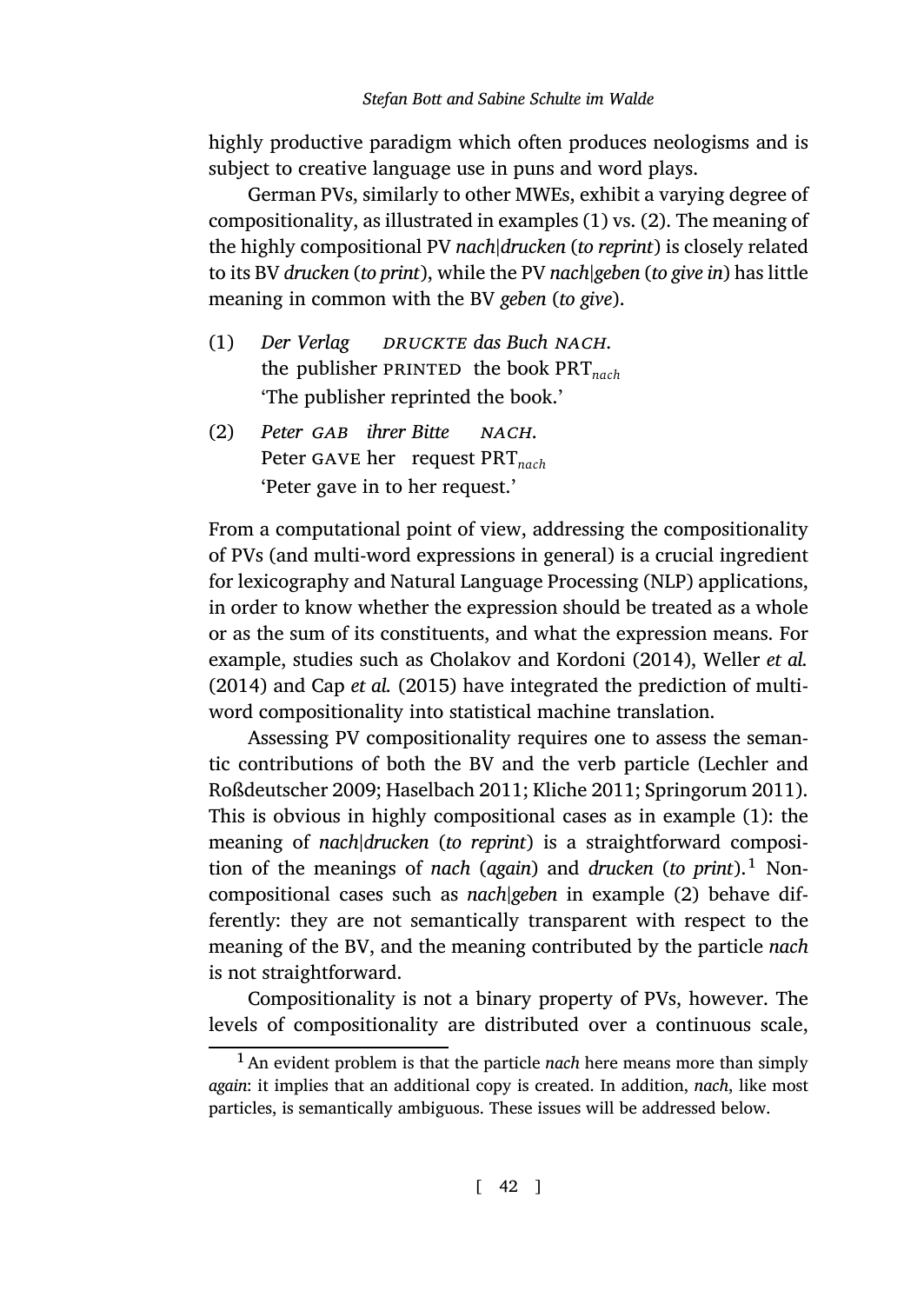<span id="page-1-0"></span>highly productive paradigm which often produces neologisms and is subject to creative language use in puns and word plays.

<span id="page-1-1"></span>German PVs, similarly to other MWEs, exhibit a varying degree of compositionality, as illustrated in examples (1) vs. (2). The meaning of the highly compositional PV *nach|drucken* (*to reprint*) is closely related to its BV *drucken* (*to print*), while the PV *nach|geben* (*to give in*) has little meaning in common with the BV *geben* (*to give*).

- (1) *Der Verlag* the publisher PRINTED the book PRT<sub>nach</sub> *druckte das Buch nach*. 'The publisher reprinted the book.'
- (2) *Peter gab ihrer Bitte* Peter gave her re[quest](#page-40-0) PRT*nach nach*. 'Peter [gave in to her re](#page-40-1)quest.'

From a computational point of view, addressing the compositionality of PVs (and multi-word expressions in general) is a cruci[al ingredient](#page-42-0) [for lexicography and](#page-42-0) [Natural Langua](#page-41-0)[ge Processing](#page-41-1) [\(NLP\) applications](#page-44-0), in order to know whether the expression should be treated as [a w](#page-1-0)hole or as the sum of its constituents, and what the expression means. For example, studies such as Cholakov and Kordoni (2014), Weller *et al.* (2014) and Cap *et al.* (2015) have integrated the pred[ic](#page-1-1)tion of multiword compositionality into statistical machine translation.

Assessing PV compositionality requires one to assess the semantic contributions of both the BV and the verb particle (Lechler and Roßdeutscher 2009; Haselbach 2011; Kliche 2011; Springorum 2011). This is obvious in highly compositional cases as in example (1): the meaning of *nach|drucken* (*to reprint*) is a straightforward composition of the meanings of *nach* (*again*) and *drucken* (*to print*).<sup>1</sup> Noncompositional cases such as *nach|geben* in example (2) behave differently: they are not semantically transparent with respect to the meaning of the BV, and the meaning contributed by the particle *nach* is not straightforward.

Compositionality is not a binary property of PVs, however. The levels of compositionality are distributed over a continuous scale,

<sup>1</sup>An evident problem is that the particle *nach* here means more than simply *again*: it implies that an additional copy is created. In addition, *nach*, like most particles, is semantically ambiguous. These issues will be addressed below.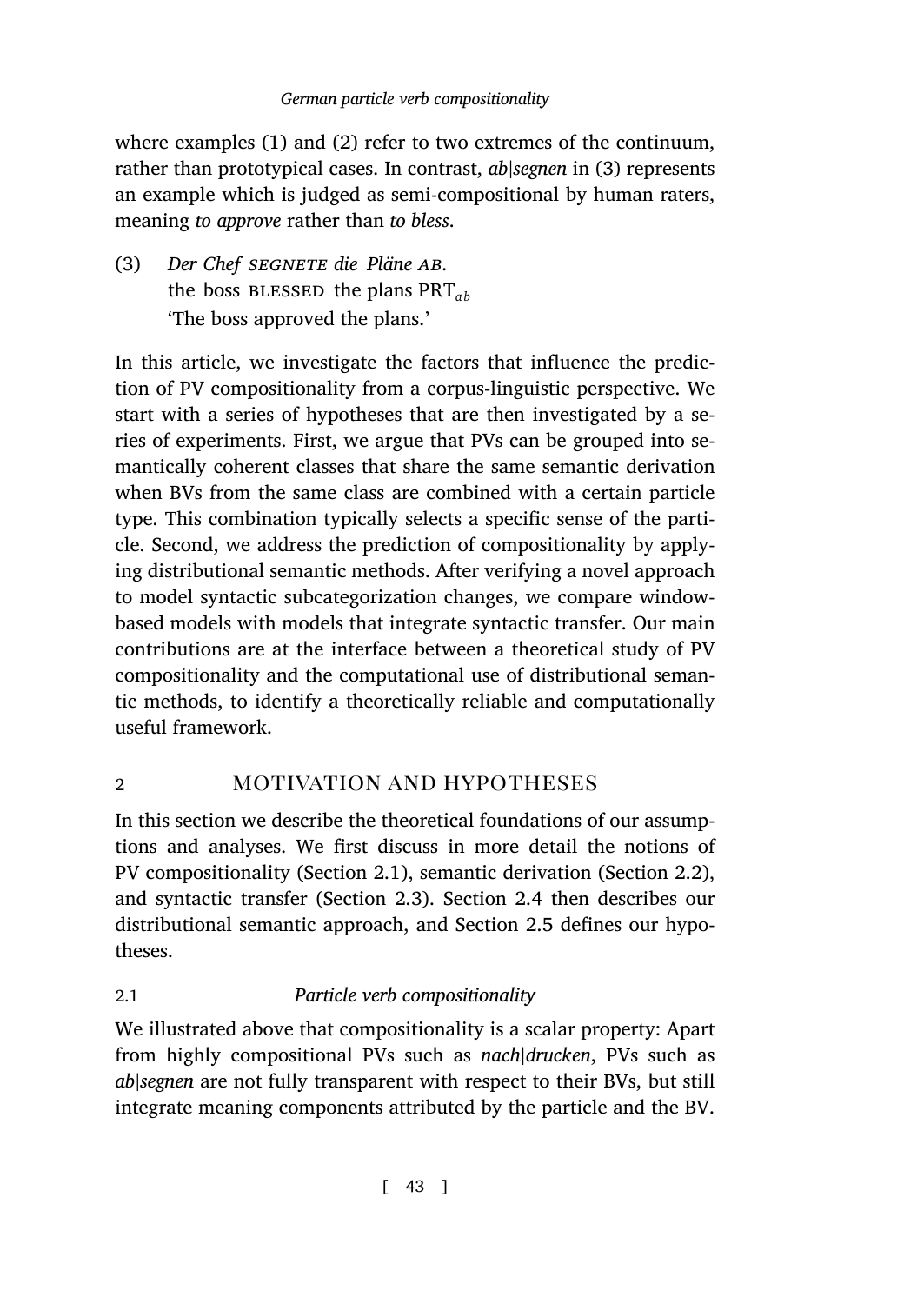where examples (1) and (2) refer to two extremes of the continuum, rather than prototypical cases. In contrast, *ab|segnen* in (3) represents an example which is judged as semi-compositional by human raters, meaning *to approve* rather than *to bless*.

(3) *Der Chef segnete die Pläne ab*. the boss blessed the plans PRT*ab* 'The boss approved the plans.'

<span id="page-2-1"></span>In this article, we investigate the factors that influence the prediction of PV compositionality from a corpus-linguistic perspective. We start with a series of hypotheses that are then investigated by a series of experiments. First, we argue that PVs can be grouped into semantically coherent classes that share the same semantic derivation when BVs from the same class are combined with a certain particle type. This combination typically selects a specific sense of the particle. Second, we address the prediction of compositionality by applying distributional semantic methods. After verifying a novel approach to model syntactic subcategorization changes, we compare windowbased models with models that integrate syntactic transfer. Our main contributions are at the inter[face](#page-2-0) between a theoretical study [of P](#page-5-0)V compositionality and the comp[utati](#page-7-0)onal use [of di](#page-9-0)stributional semantic methods, to identify a theoretically reliabl[e an](#page-11-0)d computationally useful framework.

# <span id="page-2-0"></span>2 **MOTIVATION AND HYPOTHESES**

In this section we describe the theoretical foundations of our assumptions and analyses. We first discuss in more detail the notions of PV compositionality (Section 2.1), semantic derivation (Section 2.2), and syntactic transfer (Section 2.3). Section 2.4 then describes our distributional semantic approach, and Section 2.5 defines our hypotheses.

# 2.1 *Particle verb compositionality*

We illustrated above that compositionality is a scalar property: Apart from highly compositional PVs such as *nach|drucken*, PVs such as *ab|segnen* are not fully transparent with respect to their BVs, but still integrate meaning components attributed by the particle and the BV.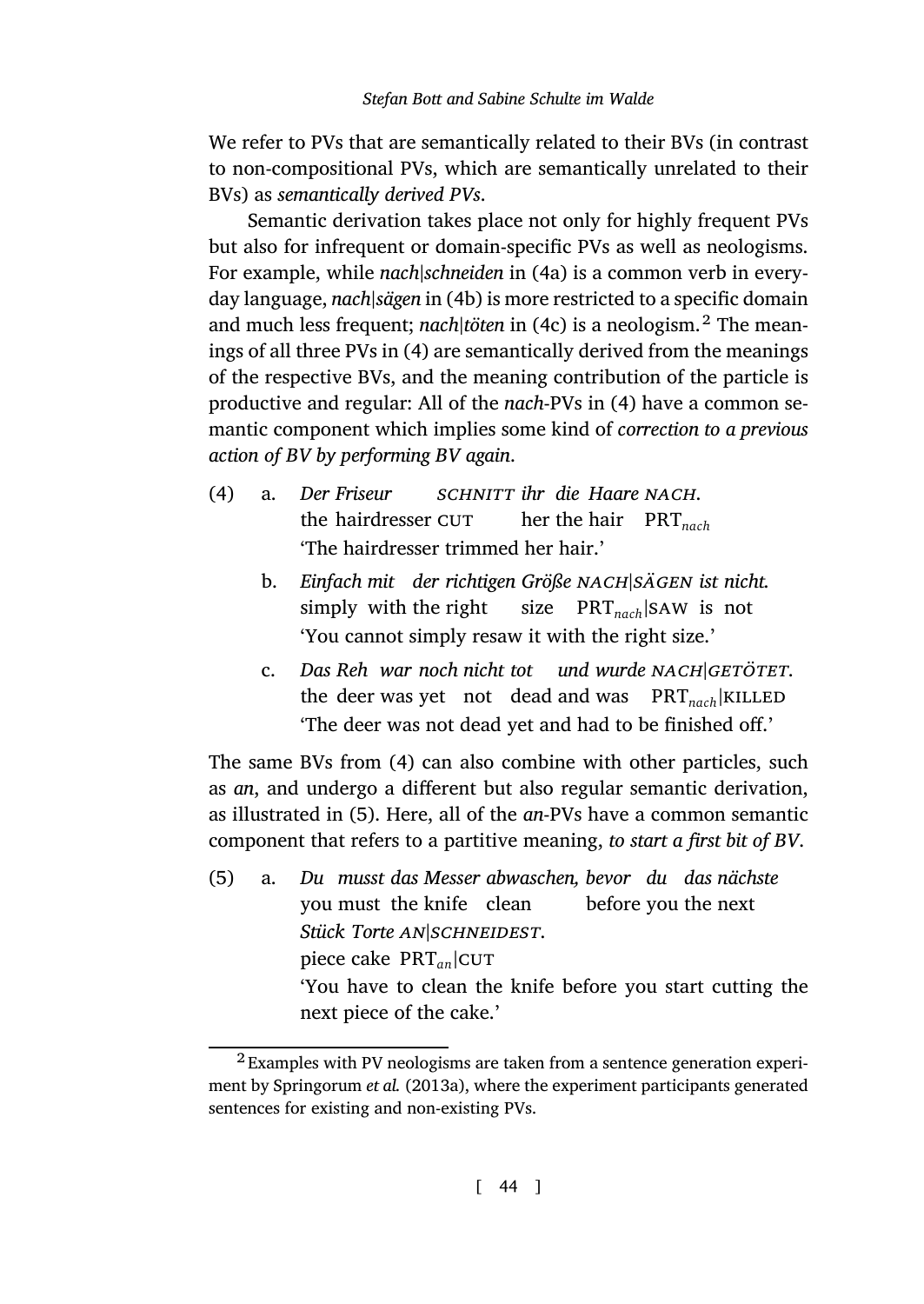We refer to PVs that ar[e s](#page-3-2)emantically related to their BVs (in contrast to non-compositional PVs, which are semantic[al](#page-3-2)ly unrelated to their BVs) as *semantically derived PVs*.

<span id="page-3-2"></span>Semantic derivation takes place not only for highly frequent PVs but also for infrequent or domain-specific PVs as well as neologisms. For example, while *nach|schneiden* in (4a) is a common verb in everyday language, *nach|sägen* in (4b) is more restricted to a specific domain and much less frequent; *nach|töten* in (4c) is a neologism.<sup>2</sup> The meanings of all three PVs in (4) are semantically derived from the meanings of the respective BVs, and the meaning contribution of the particle is productive and regular: All of the *nach*-PVs in (4) have a common semantic component which implies some kind of *correction to a previous action of BV by performing BV again*.

- <span id="page-3-1"></span><span id="page-3-0"></span>(4) a. *Der Friseur* the hairdresser CUT *schnitt ihr die Haare nach*. her the hair PRT*nach* 'The haird[res](#page-3-2)ser trimmed her hair.'
	- b. *Einfach mit der richtigen Größe nach|sägen ist nicht.* simpl[y](#page-3-3) with the right size PRT*nach|*saw is not 'You cannot simply resaw it with the right size.'
	- c. *Das Reh war noch nicht tot und wurde nach|getötet*. the deer was yet not dead and was PRT<sub>nach</sub><sup>|</sup>KILLED 'The deer was not dead yet and had to be finished off.'

<span id="page-3-3"></span>The same BVs from (4) can also combine with other particles, such as *an*, and undergo a different but also regular semantic derivation, as illustrated in (5). Here, all of the *an*-PVs have a common semantic component that refers to a partitive meaning, *to start a first bit of BV*.

 $(5)$  a. you must the knife clean *[musst](#page-44-1) das [Mess](#page-44-1)er abwaschen, bevor du das nächste* before you the next *Stück Torte an|schneidest*. piece cake PRT<sub>an</sub>|CUT 'You have to clean the knife before you start cutting the next piece of the cake.'

<sup>2</sup> Examples with PV neologisms are taken from a sentence generation experiment by Springorum *et al.* (2013a), where the experiment participants generated sentences for existing and non-existing PVs.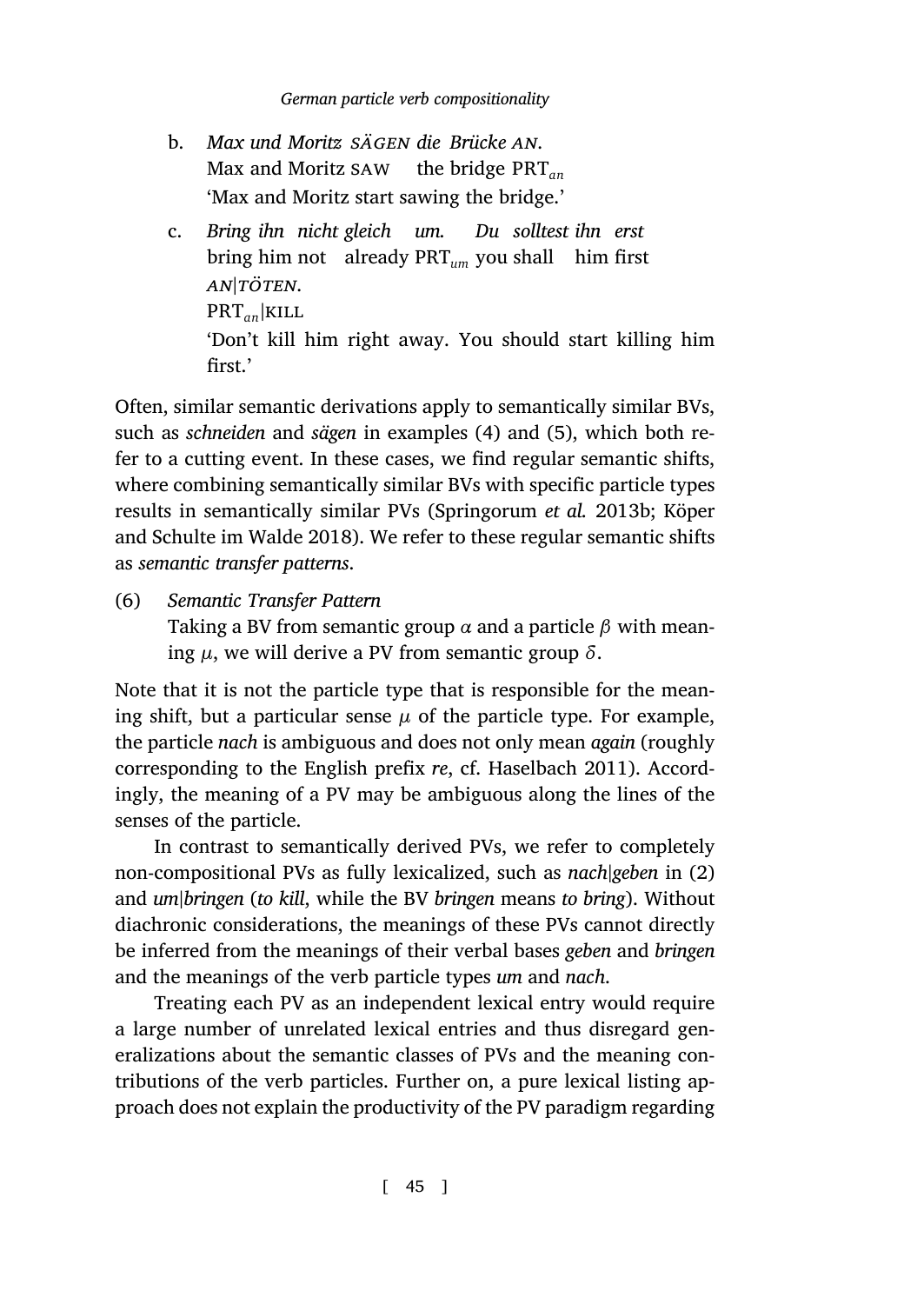- b. *Max und Moritz sägen die Brücke an*. Max and Moritz saw the bridge PRT*an* 'Max and Moritz start sawing the bridge.'
- c. *Bring ihn nicht gleich um.* bring him not already PRT*um* you shall him first *[Du](#page-3-2) sollt[est](#page-3-3) ihn erst an|töten*. PRT*an|*kill ['Don't kill him r](#page-41-2)ight away. You should start killing him first.'

<span id="page-4-0"></span>Often, similar semantic derivations apply to semantically similar BVs, such as *schneiden* and *sägen* in examples (4) and (5), which both refer to a cutting event. In these cases, we find regular semantic shifts, where combining semantically similar BVs with specific particle types results in semantically similar PVs (Springorum *et al.* 2013b; Köper and Schulte im Walde 2018). We refer to th[ese regular sema](#page-41-0)ntic shifts as *semantic transfer patterns*.

(6) *Semantic Transfer Pattern*

Taking a BV from semantic group *α* and a particle *β* with meaning *µ*, we will derive a PV from semantic group *δ*.

Note that it is not the particle type that is responsible for the meaning shift, but a particular sense  $\mu$  of the particle type. For example, the particle *nach* is ambiguous and does not only mean *again* (roughly corresponding to the English prefix *re*, cf. Haselbach 2011). Accordingly, the meaning of a PV may be ambiguous along the lines of the senses of the particle.

In contrast to semantically derived PVs, we refer to completely non-compositional PVs as fully lexicalized, such as *nach|geben* in (2) and *um|bringen* (*to kill*, while the BV *bringen* means *to bring*). Without diachronic considerations, the meanings of these PVs cannot directly be inferred from the meanings of their verbal bases *geben* and *bringen* and the meanings of the verb particle types *um* and *nach*.

Treating each PV as an independent lexical entry would require a large number of unrelated lexical entries and thus disregard generalizations about the semantic classes of PVs and the meaning contributions of the verb particles. Further on, a pure lexical listing approach does not explain the productivity of the PV paradigm regarding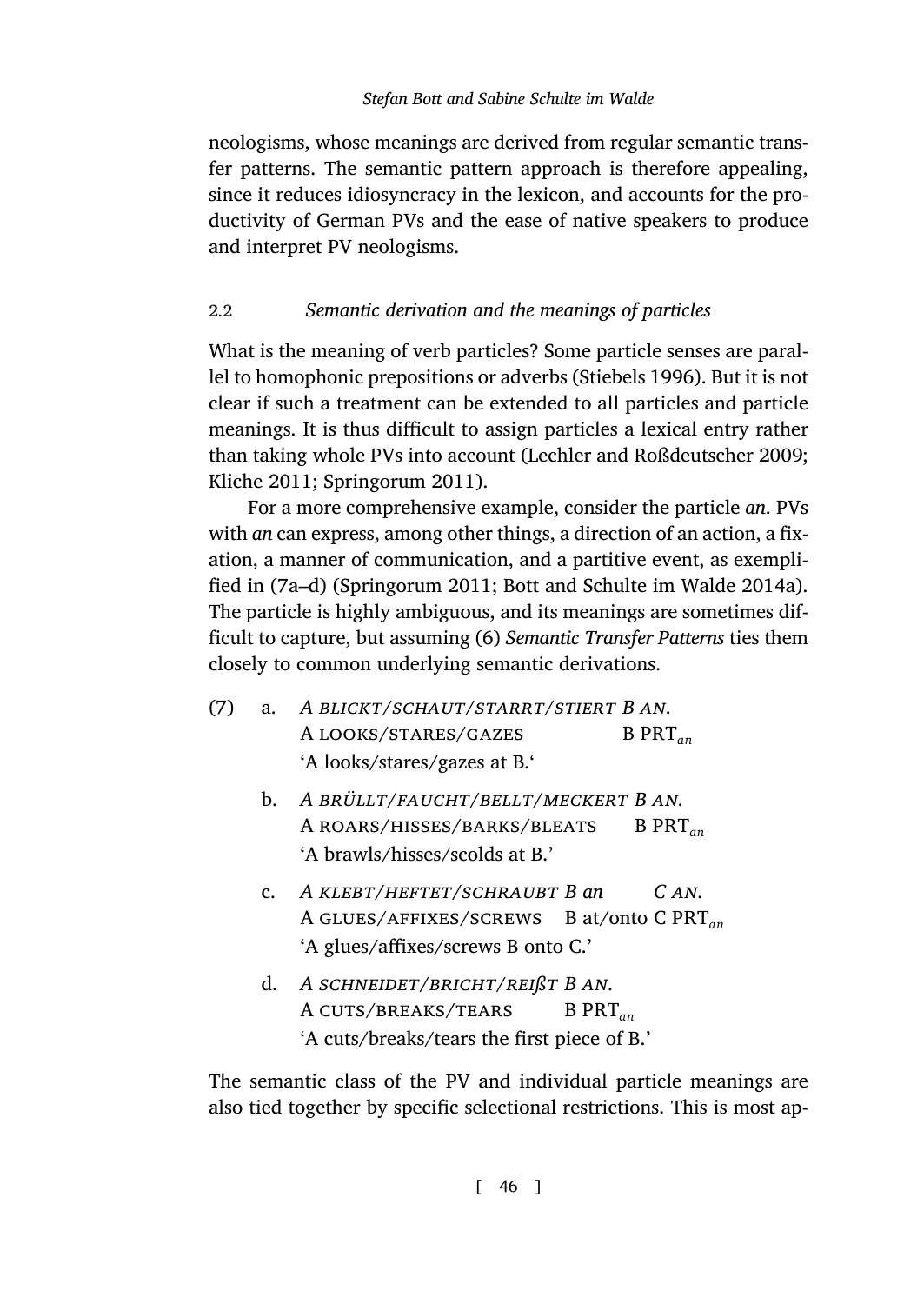<span id="page-5-0"></span>neologisms, whose meanings are derived from regular semantic transfer patterns. The semantic pattern appro[ach is therefor](#page-44-2)e appealing, since it reduces idiosyncracy in the lexicon, and accounts for the productivity of German PVs and the ea[se of native speakers to produce](#page-42-0) [and interpre](#page-41-1)t [PV neologisms.](#page-44-0)

# 2.2 *Semantic derivation and the meanings of particles*

What is the meaning of verb particles? Some particle senses are parallel to ho[mo](#page-5-1)[ph](#page-5-2)o[nic prepositions or](#page-44-0) [adverbs \(Stiebels](#page-39-0) 1996). But [it is no](#page-39-0)t clear if such a treatment can be extended to all particles and particle meanings. It is thus difficult to [a](#page-4-0)ssign particles a lexical entry rather than taking whole PVs into account (Lechler and Roßdeutscher 2009; Kliche 2011; Springorum 2011).

<span id="page-5-1"></span>For a more comprehensive example, consider the particle *an*. PVs with *an* can express, among other things, a direction of an action, a fixation, a manner of communication, and a partitive event, as exemplified in (7a–d) (Springorum 2011; Bott and Schulte im Walde 2014a). The particle is highly ambiguous, and its meanings are sometimes difficult to capture, but assuming (6) *Semantic Transfer Patterns* ties them closely to common underlying semantic derivations.

- <span id="page-5-2"></span>(7) a. *A blickt/schaut/starrt/stiert B an*. A looks/stares/gazes B PRT*an* 'A looks/stares/gazes at B.'
	- b. *A brüllt/faucht/bellt/meckert B an*. A roars/hisses/barks/bleats B PRT*an* 'A brawls/hisses/scolds at B.'
	- c. *A klebt/heftet/schraubt B an* A glues/affixes/screws B at/onto C PRT*an C an*. 'A glues/affixes/screws B onto C.'
	- d. *A schneidet/bricht/reißt B an*. A cuts/breaks/tears B PRT*an* 'A cuts/breaks/tears the first piece of B.'

The semantic class of the PV and individual particle meanings are also tied together by specific selectional restrictions. This is most ap-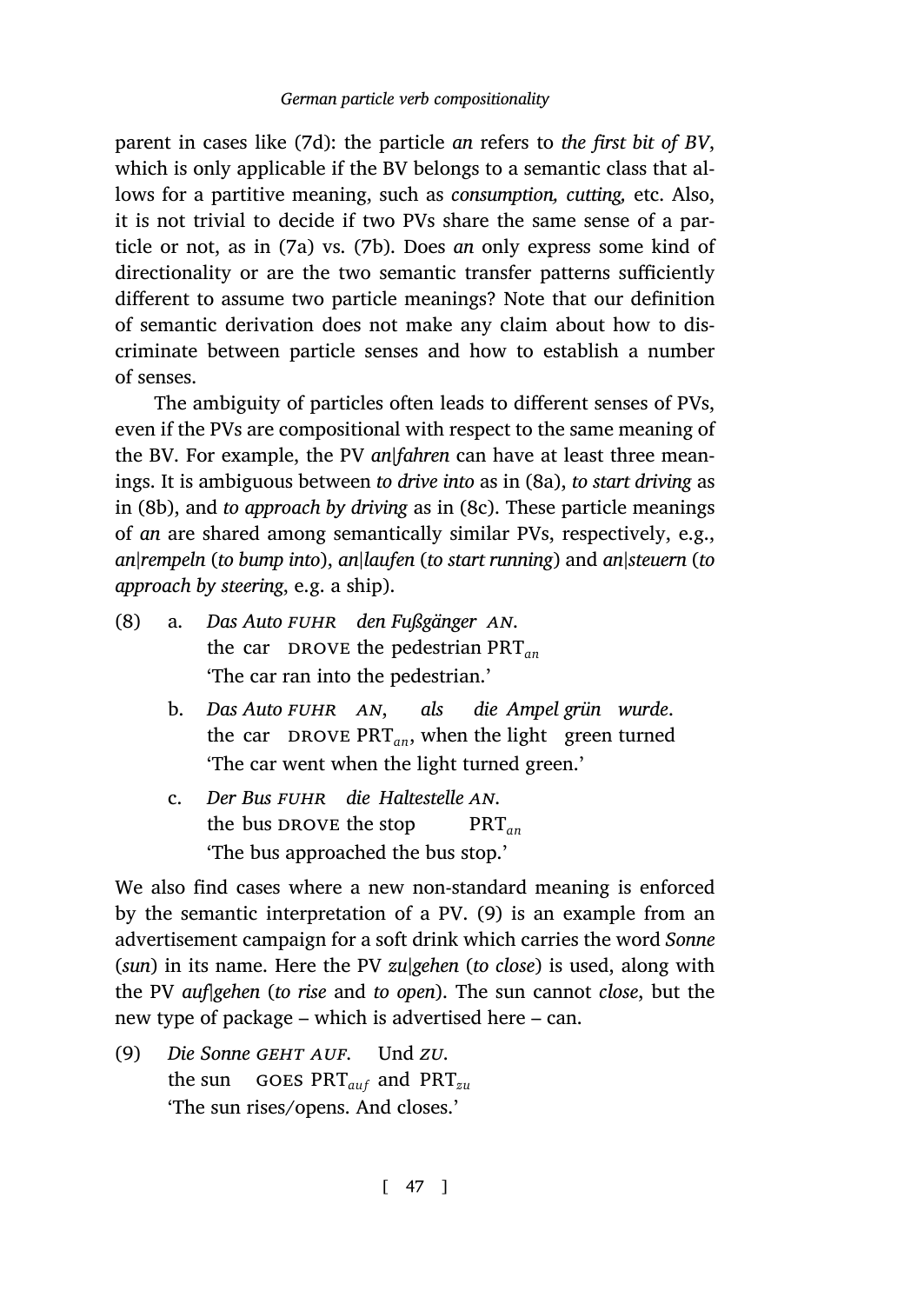parent in cases like (7d): the particle *an* refers to *the first bit of BV*, which is only applicable if the BV belongs to a semantic class that allows for a partitive meaning, such as *consumption, cutting,* etc. Also, it is not trivial to decide if two PVs share the same sense of a particle or not, as in (7a) vs. (7b). Does *an* only express some kind of directionality or are the two semantic transfer [pa](#page-6-0)tterns sufficiently diff[ere](#page-6-1)nt to assume two particle meani[ngs](#page-6-2)? Note that our definition of semantic derivation does not make any claim about how to discriminate between particle senses and how to establish a number of senses.

<span id="page-6-1"></span><span id="page-6-0"></span>The ambiguity of particles often leads to different senses of PVs, even if the PVs are compositional with respect to the same meaning of the BV. For example, the PV *an|fahren* can have at least three meanings. It is ambiguous between *to drive into* as in (8a), *to start driving* as in (8b), and *to approach by driving* as in (8c). These particle meanings of *an* are shared among semantically similar PVs, respectively, e.g., *an|rempeln* (*to bump into*), *an|laufen* (*to start running*) and *an|steuern* (*to approach by steering*, e.g. a ship).

- <span id="page-6-2"></span>(8) a. *Das Auto fuhr den Fußgänger an*. the car DROVE the pedestrian PRT<sub>an</sub> 'The car ran into the pedestrian.'
	- b. *Das Auto fuhr an*, the car DROVE  $PRT_{an}$ , when the light green turned *als d[ie](#page-6-3) Ampel grün wurde*. 'The car went when the light turned green.'
	- c. *Der Bus fuhr die Haltestelle an*. the bus DROVE the stop PRT*an* 'The bus approached the bus stop.'

<span id="page-6-3"></span>We also find cases where a new non-standard meaning is enforced by the semantic interpretation of a PV. (9) is an example from an advertisement campaign for a soft drink which carries the word *Sonne* (*sun*) in its name. Here the PV *zu|gehen* (*to close*) is used, along with the PV *auf|gehen* (*to rise* and *to open*). The sun cannot *close*, but the new type of package – which is advertised here – can.

 $(9)$ the sun goes PRT*auf* and PRT*zu* Sonne GEHT AUF. Und *zu*. 'The sun rises/opens. And closes.'

[ 47 ]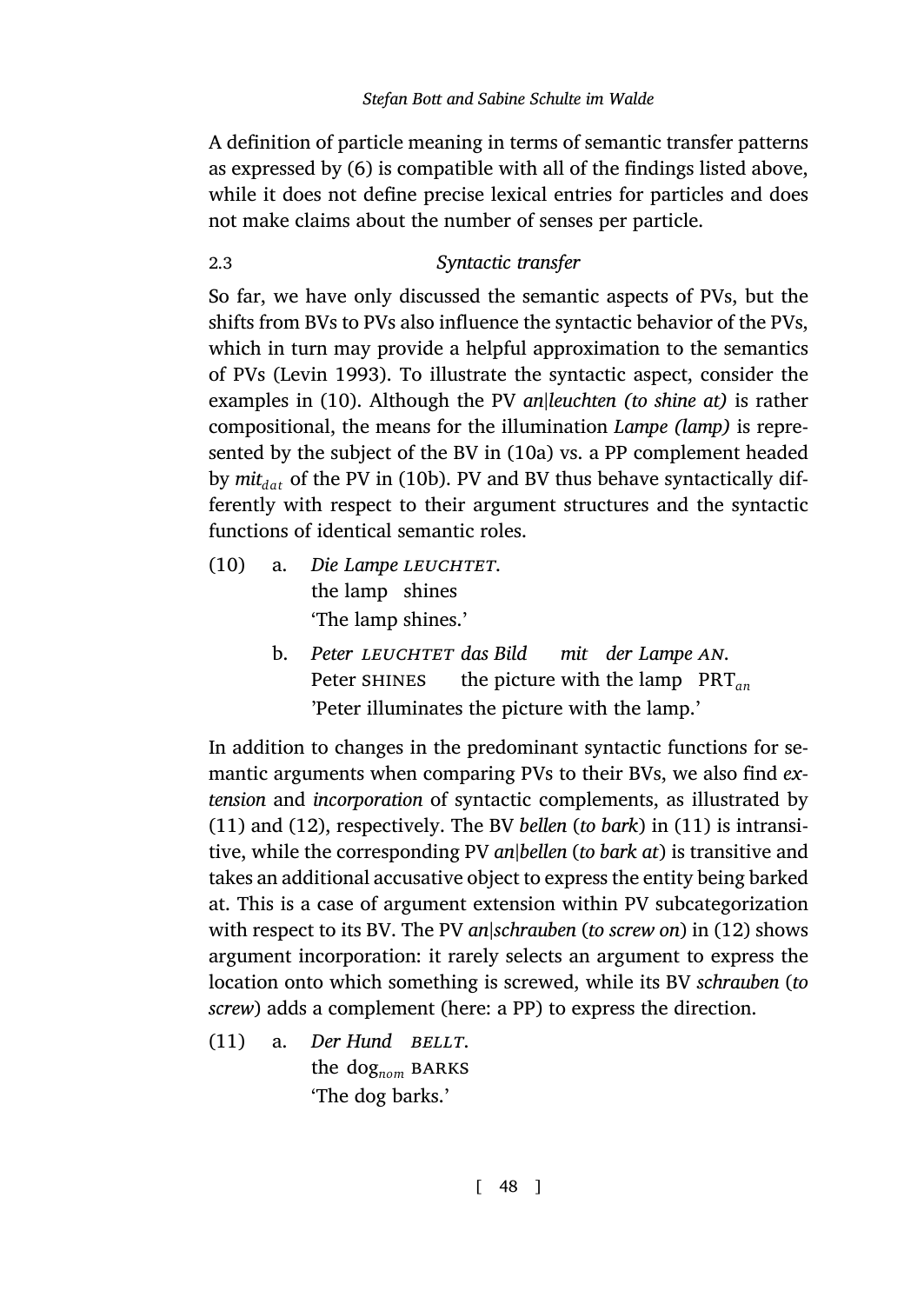<span id="page-7-0"></span>A definition of particle meaning in terms of semantic transfer patterns as expre[ssed by \(6\) i](#page-42-1)s compatible with all of the findings listed above, while it does [no](#page-7-1)t define precise lexical entries for particles and does not make claims about the number [of s](#page-7-2)enses per particle.

# 2.3 *[S](#page-7-3)yntactic transfer*

<span id="page-7-2"></span><span id="page-7-1"></span>So far, we have only discussed the semantic aspects of PVs, but the shifts from BVs to PVs also influence the syntactic behavior of the PVs, which in turn may provide a helpful approximation to the semantics of PVs (Levin 1993). To illustrate the syntactic aspect, consider the examples in (10). Although the PV *an|leuchten (to shine at)* is rather compositional, the means for the illumination *Lampe (lamp)* is represented by the subject of the BV in (10a) vs. a PP complement headed by  $mit_{dat}$  of the PV in (10b). PV and BV thus behave syntactically differently with respect to their argument structures and the syntactic functions of identical semantic roles.

- <span id="page-7-3"></span> $(10)$  a. the lamp shines *Lampe leuchtet*. ['T](#page-8-0)he lamp shines.'
	- b. *Peter leuchtet das Bild* Peter shines the picture with the lamp PRT*an mit*der Lampe AN. 'Peter illuminates the picture with the lamp.'

In addition to changes in the predominant syntactic functions for semantic arguments when comparing PVs to their BVs, we also find *extension* and *incorporation* of syntactic complements, as illustrated by (11) and (12), respectively. The BV *bellen* (*to bark*) in (11) is intransitive, while the corresponding PV *an|bellen* (*to bark at*) is transitive and takes an additional accusative object to express the entity being barked at. This is a case of argument extension within PV subcategorization with respect to its BV. The PV *an|schrauben* (*to screw on*) in (12) shows argument incorporation: it rarely selects an argument to express the location onto which something is screwed, while its BV *schrauben* (*to screw*) adds a complement (here: a PP) to express the direction.

 $(11)$  a. the dog<sub>nom</sub> BARKS *Hund bellt*. 'The dog barks.'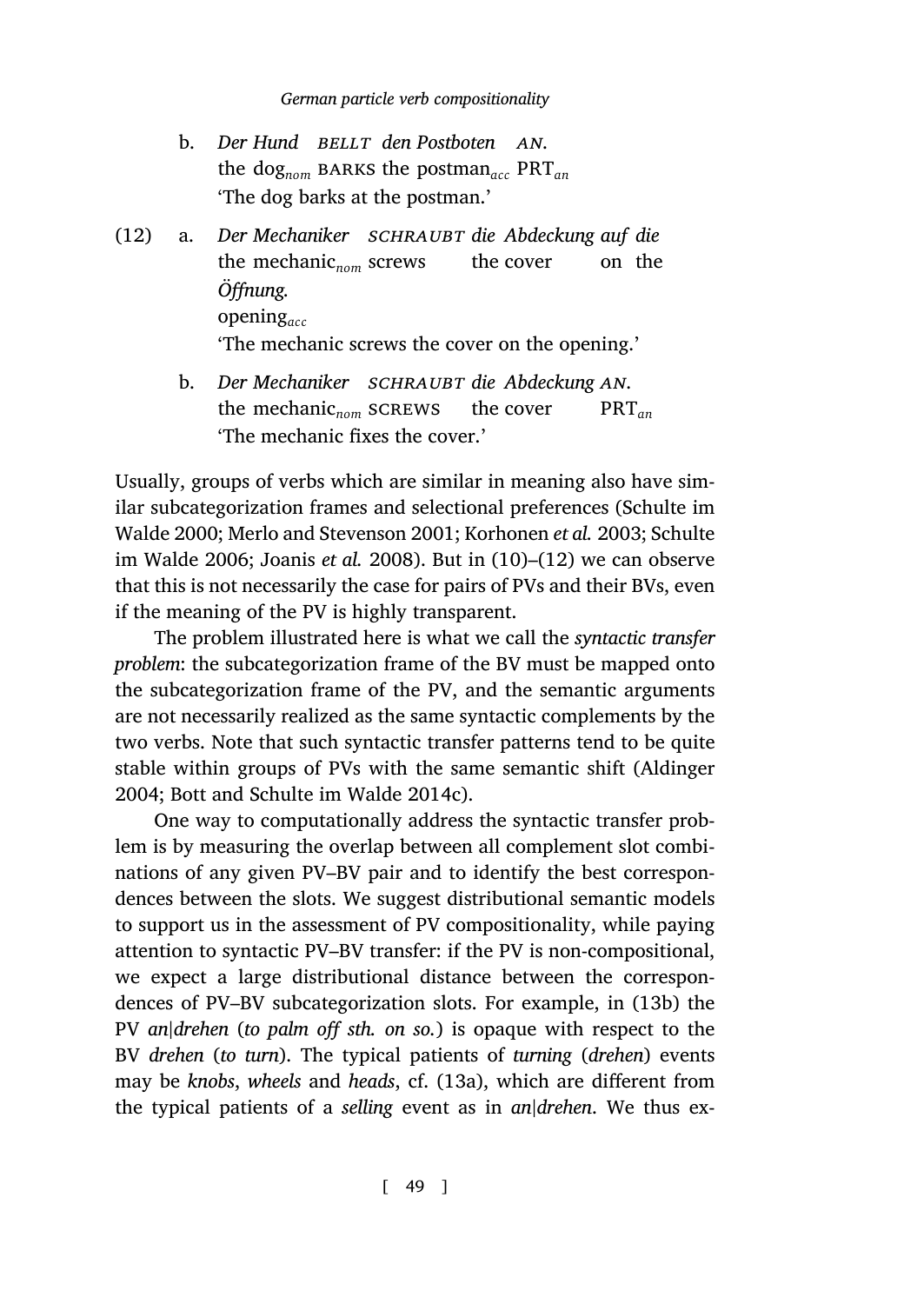- <span id="page-8-0"></span>**b.** Der Hund BELLT den Postboten AN. the dog*nom* barks the postman*acc* PRT*an* 'The dog barks at the postman.'
- (12) a. *Der Mechaniker schraubt die Abdeckung auf die* the mechanic<sub>nom</sub> screws the cover on the *Öffnung.* [o](#page-44-3)[pening](#page-42-2)*acc* ['The](#page-44-4) [mechanic screws t](#page-41-3)he cover [on](#page-7-1) th[e o](#page-8-0)pening.'
	- b. Der Mechaniker SCHRAUBT die Abdeckung AN. the mechanic<sub>nom</sub> screws the cover PRT*an* 'The mechanic fixes the cover.'

Usually, groups of verbs which are similar in meaning also have similar subcategorization frames and selectional preferences (Schulte im Walde 2000; Merlo and Stevenson 2001; Korhonen *et al.* 2003; Schulte im Walde 2006; Joanis *et al.* 2008). But in (10)–(12) we ca[n observe](#page-39-1) [that t](#page-39-1)[his is not necessarily the case for pa](#page-40-2)irs of PVs and their BVs, even if the meaning of the PV is highly transparent.

The problem illustrated here is what we call the *syntactic transfer problem*: the subcategorization frame of the BV must be mapped onto the subcategorization frame of the PV, and the semantic arguments are not necessarily realized as the same syntactic complements by the two verbs. Note that such syntactic transfer patterns tend to be quite stable within groups of PVs with the same semantic shift [\(Aldi](#page-9-1)nger 2004; Bott and Schulte im Walde 2014c).

One way to computationally address the syntactic transfer problem is by measuring the overlap between all complement slot combinations of any given PV–BV pair and [to i](#page-9-2)dentify the best correspondences between the slots. We suggest distributional semantic models to support us in the assessment of PV compositionality, while paying attention to syntactic PV–BV transfer: if the PV is non-compositional, we expect a large distributional distance between the correspondences of PV–BV subcategorization slots. For example, in (13b) the PV *an|drehen* (*to palm off sth. on so.*) is opaque with respect to the BV *drehen* (*to turn*). The typical patients of *turning* (*drehen*) events may be *knobs*, *wheels* and *heads*, cf. (13a), which are different from the typical patients of a *selling* event as in *an|drehen*. We thus ex-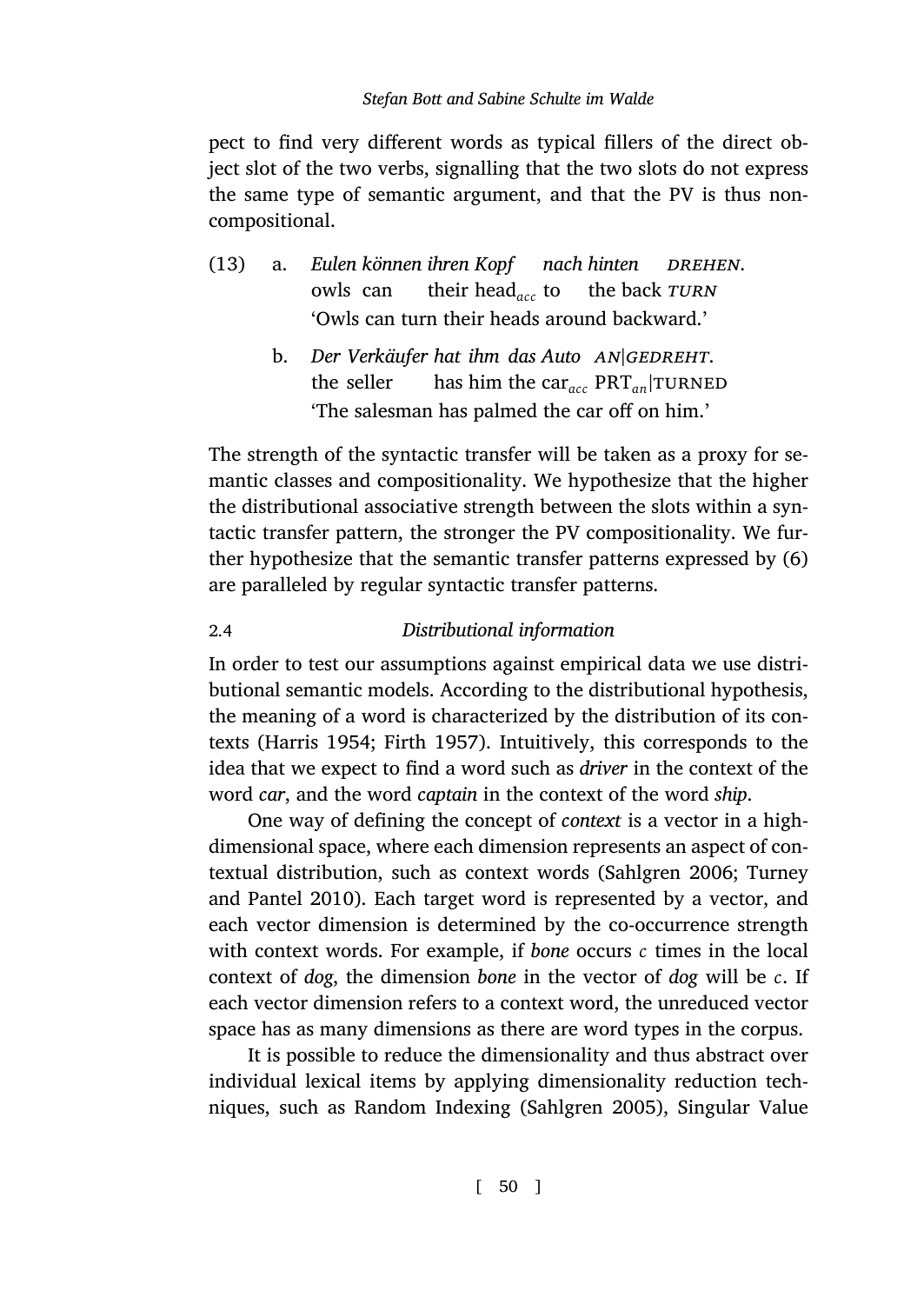<span id="page-9-2"></span><span id="page-9-1"></span>pect to find very different words as typical fillers of the direct object slot of the two verbs, signalling that the two slots do not express the same type of semantic argument, and that the PV is thus noncompositional.

|  | (13) a. Eulen können ihren Kopf nach hinten DREHEN.                                               |
|--|---------------------------------------------------------------------------------------------------|
|  | owls can their head <sub>acc</sub> to the back TURN                                               |
|  | 'Owls can turn their heads around backward.'                                                      |
|  | b. Der Verkäufer hat ihm das Auto $AN GEDREHT$ .<br>the called the later the case. DDT Introverse |

the seller has him the car*acc* PRT*an|*turned 'The salesman has palmed the car off on him.'

<span id="page-9-0"></span>The strength of the syntactic transfer will be taken as a proxy for semantic classes and compositionality. We hypothesize that the higher the distributional associative strength between the slots within a syntactic [transfer patte](#page-41-4)[rn, the stron](#page-41-5)ger the PV compositionality. We further hypothesize that the semantic transfer patterns expressed by (6) are paralleled by regular syntactic transfer patterns.

# 2.4 *Distributional information*

In order to test our assumptions against empi[rical data we us](#page-43-0)[e distri](#page-45-0)[butional semantic](#page-45-0) models. According to the distributional hypothesis, the meaning of a word is characterized by the distribution of its contexts (Harris 1954; Firth 1957). Intuitively, this corresponds to the idea that we expect to find a word such as *driver* in the context of the word *car*, and the word *captain* in the context of the word *ship*.

One way of defining the concept of *context* is a vector in a highdimensional space, where each dimension represents an aspect of contextual distribution, such as context words (Sahlgren 2006; Turney and Pantel 2010). Each target word [is represented](#page-43-1) by a vector, and each vector dimension is determined by the co-occurrence strength with context words. For example, if *bone* occurs *c* times in the local context of *dog*, the dimension *bone* in the vector of *dog* will be *c*. If each vector dimension refers to a context word, the unreduced vector space has as many dimensions as there are word types in the corpus.

It is possible to reduce the dimensionality and thus abstract over individual lexical items by applying dimensionality reduction techniques, such as Random Indexing (Sahlgren 2005), Singular Value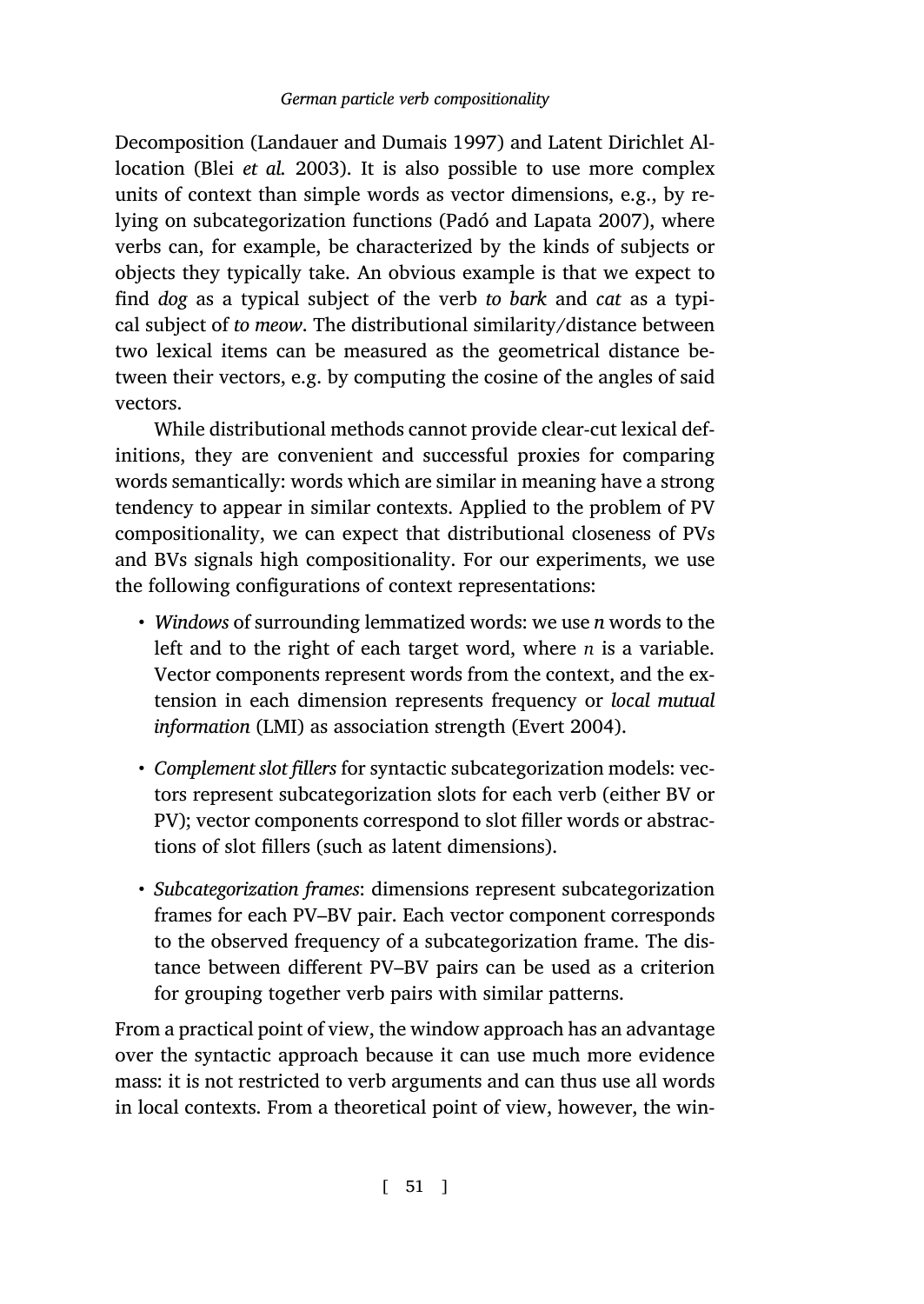Decomposition (Landauer and Dumais 1997) and Latent Dirichlet Allocation (Blei *et al.* 2003). It is also possible to use more complex units of context than simple words as vector dimensions, e.g., by relying on subcategorization functions (Padó and Lapata 2007), where verbs can, for example, be characterized by the kinds of subjects or objects they typically take. An obvious example is that we expect to find *dog* as a typical subject of the verb *to bark* and *cat* as a typical subject of *to meow*. The distributional similarity/distance between two lexical items can be measured as the geometrical distance between their vectors, e.g. by computing the cosine of the angles of said vectors.

While distributional methods cannot provide clear-cut lexical definitions, they are convenient and successful proxies for comparing words semantically: words which are similar in meaning have a strong tendency to appear in similar contexts. Applie[d to the pro](#page-40-3)blem of PV compositionality, we can expect that distributional closeness of PVs and BVs signals high compositionality. For our experiments, we use the following configurations of context representations:

- *Windows* of surrounding lemmatized words: we use *n* words to the left and to the right of each target word, where *n* is a variable. Vector components represent words from the context, and the extension in each dimension represents frequency or *local mutual information* (LMI) as association strength (Evert 2004).
- *Complement slot fillers* for syntactic subcategorization models: vectors represent subcategorization slots for each verb (either BV or PV); vector components correspond to slot filler words or abstractions of slot fillers (such as latent dimensions).
- *Subcategorization frames*: dimensions represent subcategorization frames for each PV–BV pair. Each vector component corresponds to the observed frequency of a subcategorization frame. The distance between different PV–BV pairs can be used as a criterion for grouping together verb pairs with similar patterns.

From a practical point of view, the window approach has an advantage over the syntactic approach because it can use much more evidence mass: it is not restricted to verb arguments and can thus use all words in local contexts. From a theoretical point of view, however, the win-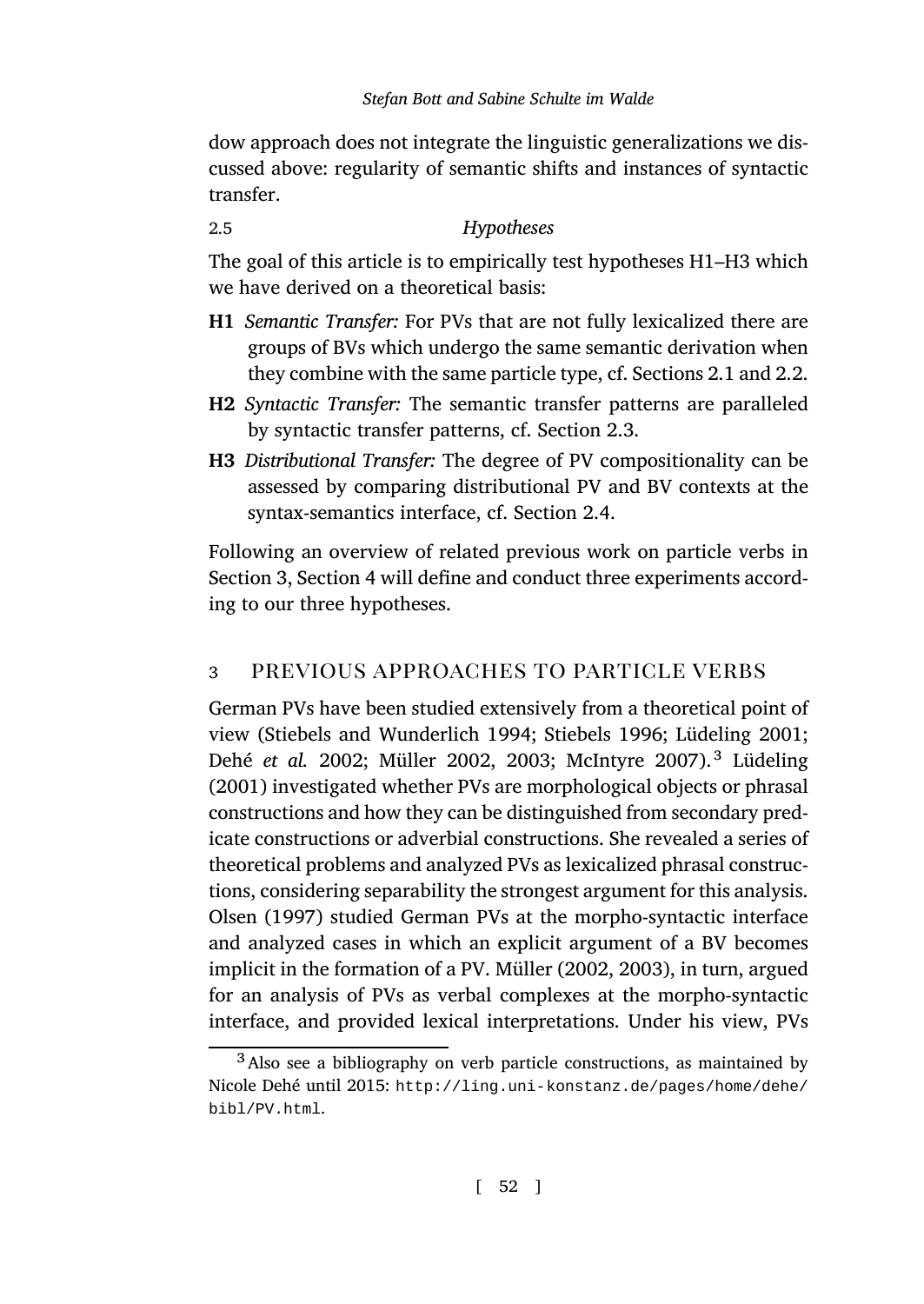<span id="page-11-0"></span>dow approach does not integrate the linguistic generalizations we discussed above: regularity of semantic shifts and instances [of s](#page-2-0)ynt[actic](#page-5-0) transfer.

2.5 *Hypotheses*

The goal of this article is to empirically test hypotheses H1–H3 which we have derived on a theoretical basis:

- **H1** *Semantic Transfer:* For PVs that are not fully lexicalized there are groups of BVs which undergo the same semantic derivation when the[y](#page-11-1) combine [w](#page-14-0)ith the same particle type, cf. Sections 2.1 and 2.2.
- **H2** *Syntactic Transfer:* The semantic transfer patterns are paralleled by syntactic transfer patterns, cf. Section 2.3.
- <span id="page-11-1"></span>**H3** *Distributional Transfer:* The degree of PV compositionality can be assessed by comparing distributional PV and BV contexts at the s[yntax-semantics interface, cf. Se](#page-44-5)c[tion](#page-44-2) 2.4.

[Following an over](#page-40-4)v[iew of related](#page-42-3) [previ](#page-42-4)o[us work on part](#page-42-5)icle [verbs in](#page-42-6) [Sectio](#page-42-6)n 3, Section 4 will define and conduct three experiments according to our three hypotheses.

# 3 previous approaches to particle verbs

[German PVs](#page-43-2) have been studied extensively from a theoretical point of view (Stiebels and Wunderlich 1994; Stiebels 1996; Lüdeling 2001; Dehé et al. 2002; Müller 2002, [2003;](#page-42-3) [McIn](#page-42-3)t[yre](#page-42-4) 2007).<sup>3</sup> Lüdeling (2001) investigated whether PVs are morphological objects or phrasal constructions and how they can be distinguished from secondary predicate constructions or adverbial constructions. She revealed a series of theoretical problems [and analyzed PVs as lexicalized phrasal construc](http://ling.uni-konstanz.de/pages/home/dehe/bibl/PV.html)[tions, conside](http://ling.uni-konstanz.de/pages/home/dehe/bibl/PV.html)ring separability the strongest argument for this analysis. Olsen (1997) studied German PVs at the morpho-syntactic interface and analyzed cases in which an explicit argument of a BV becomes implicit in the formation of a PV. Müller (2002, 2003), in turn, argued for an analysis of PVs as verbal complexes at the morpho-syntactic interface, and provided lexical interpretations. Under his view, PVs

<sup>3</sup>Also see a bibliography on verb particle constructions, as maintained by Nicole Dehé until 2015: http://ling.uni-konstanz.de/pages/home/dehe/ bibl/PV.html.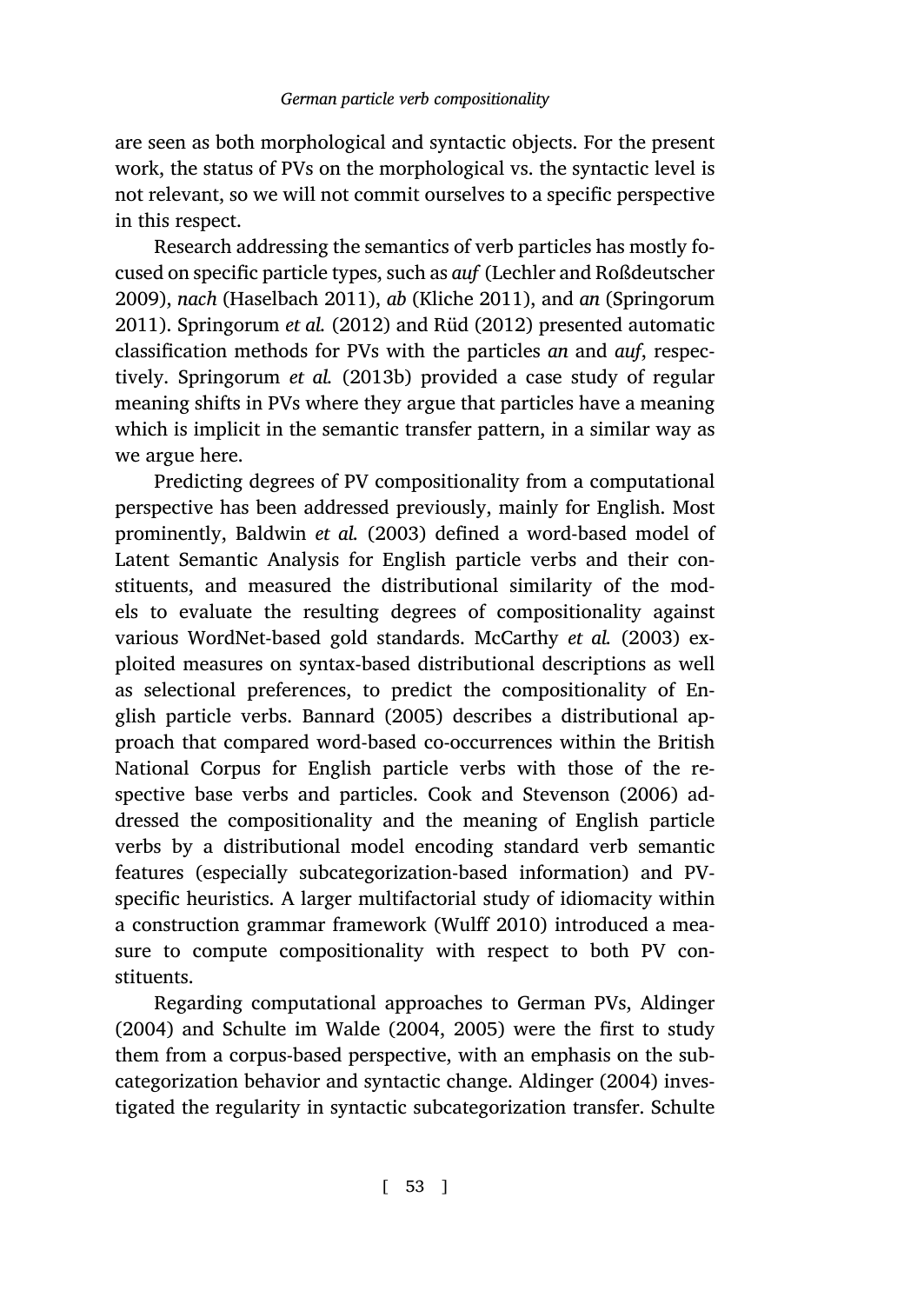are seen as both morphological and syntactic objects. For the present work,t[he status of PVs on the mo](#page-44-7)rphological vs. the syntactic level is not relevant, so we will not commit ourselves to a specific perspective in this respect.

Research addressing the semantics of verb particles has mostly focused on specific particle types, such as *auf* (Lechler and Roßdeutscher 2009), *nach* (Haselbach 2011), *ab* (Kliche 2011), and *an* (Springorum 2011). Spring[orum](#page-39-2) *et al.* (201[2\) and](#page-39-2) Rüd (2012) presented automatic classification methods for PVs with the particles *an* and *auf*, respectively. Springorum *et al.* (2013b) provided a case study of regular meaning shifts in PVs where they argue that particles have a meaning which is implicit in the semantic transfer [pattern, in a sim](#page-42-7)i[lar wa](#page-42-7)y as we argue here.

Predicting degrees of PV compositionality from a computational perspective has been [addresse](#page-39-3)d [previ](#page-39-3)ously, mainly for English. Most prominently, Baldwin *et al.* (2003) defined a word-based model of Latent Semantic Analysis for English particle verbs and their constituents, and measured the distri[butional similarity o](#page-40-5)f [the m](#page-40-5)odels to evaluate the resulting degrees of compositionality against various WordNet-based gold standards. McCarthy *et al.* (2003) exploited measures on syntax-based distributional descriptions as well as selectional preferences, to predict the compositionality of English particle verbs. Bannard (2005[\) describes](#page-45-1) a distributional approach that compared word-based co-occurrences within the British National Corpus for English particle verbs with those of the respective base verbs and particles. Cook and Stevenson (2[006\) ad](#page-39-1)[dresse](#page-39-1)d the [compositionality](#page-44-8) a[nd th](#page-44-8)e [mea](#page-44-9)ning of English particle verbs by a distributional model encoding standard verb semantic features (especially subcategorization-based [information\) an](#page-39-1)d PVspecific heuristics. A larger multifactorial study of idiomacit[y within](#page-44-9) a construction grammar framework (Wulff 2010) introduced a measure to compute compositionality with respect to both PV constituents.

Regarding computational approaches to German PVs, Aldinger (2004) and Schulte im Walde (2004, 2005) were the first to study them from a corpus-based perspective, with an emphasis on the subcategorization behavior and syntactic change. Aldinger (2004) investigated the regularity in syntactic subcategorization transfer. Schulte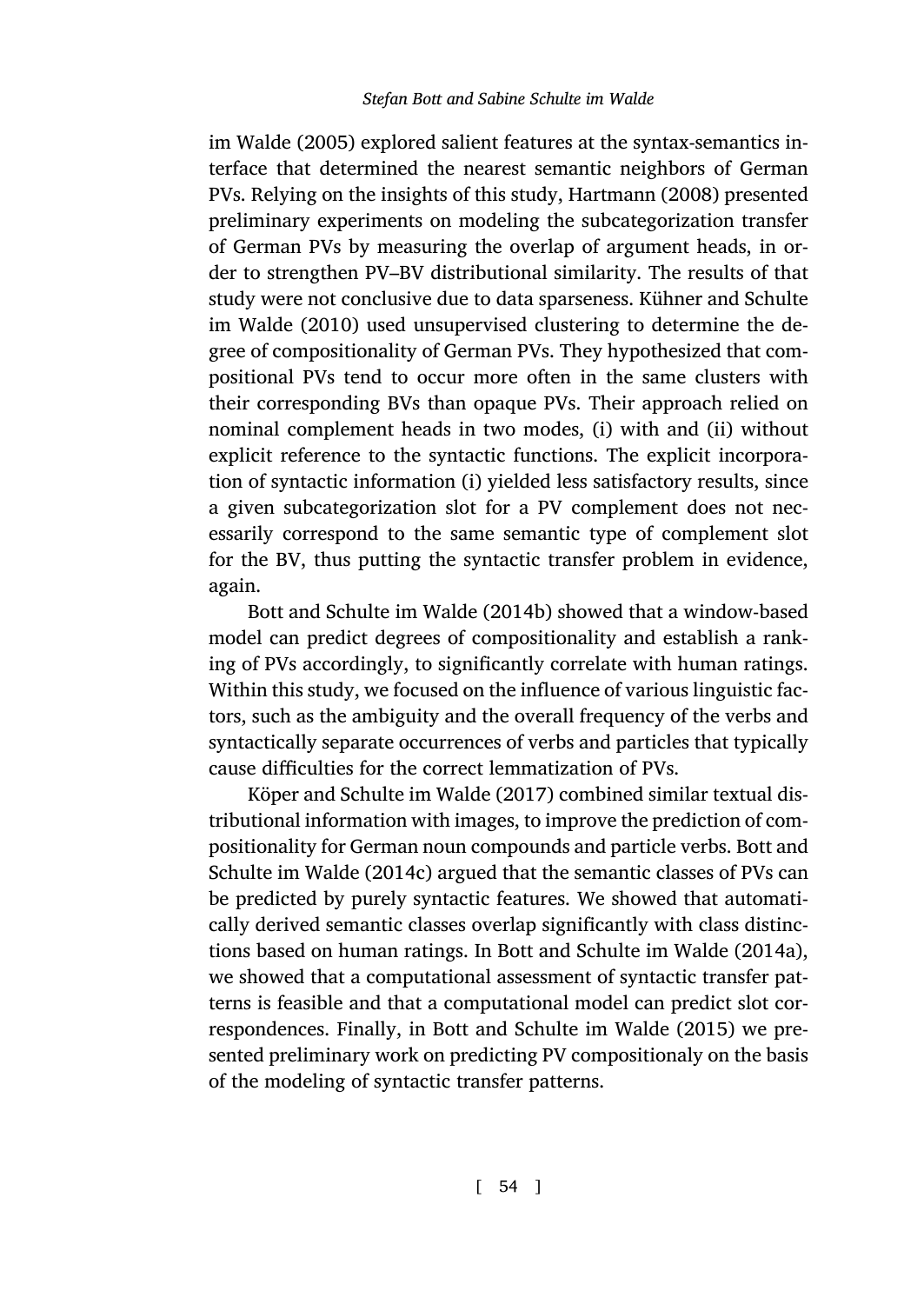im Walde (2005) explored salient features at the syntax-semantics interface that determined the nearest semantic neighbors of German PVs. Relying on the insights of this study, Hartmann (2008) presented preliminary experiments on modeling the subcategorization transfer of German PVs by measuring the overlap of argument heads, in order to strengthen PV–BV distributional similarity. The results of that study were not conclusive due to data sparseness. Kühner and Schulte im Walde (2010) used unsupervised clustering to determine the degree of compositionality of German PVs. They hypothesized that compositional PVs tend to occur more often in the same clusters with thei[r corresponding BVs than opaque P](#page-39-4)Vs. Their approach relied on nominal complement heads in two modes, (i) with and (ii) without explicit reference to the syntactic functions. The explicit incorporation of syntactic information (i) yielded less satisfactory results, since a given subcategorization slot for a PV complement does not necessarily correspond to the same semantic type of complement slot for the BV, thus putting the synt[actic](#page-41-6) transfer problem in evidence, agai[n.](#page-41-6)

Bott and Schulte im Walde (2014b) showed that a window-based model can predict degrees of compositionality and establis[h a rank](#page-40-2)[ing of PVs accordingly, to](#page-40-2) significantly correlate with human ratings. Within this study, we focused on the influence of various linguistic factors, such as the ambiguity and the overall frequency of the verbs and syntactically separate occurrence[s of verbs and particles that](#page-39-0) t[ypicall](#page-39-0)y cause difficulties for the correct lemmatization of PVs.

Köper and Schulte im Walde (2017) combined similar textual distributional information wi[th images, to improve the pr](#page-40-6)e[dictio](#page-40-6)n of compositionality for German noun compounds and particle verbs. Bott and Schulte im Walde (2014c) argued that the semantic classes of PVs can be predicted by purely syntactic features. We showed that automatically derived semantic classes overlap significantly with class distinctions based on human ratings. In Bott and Schulte im Walde (2014a), we showed that a computational assessment of syntactic transfer patterns is feasible and that a computational model can predict slot correspondences. Finally, in Bott and Schulte im Walde (2015) we presented preliminary work on predicting PV compositionaly on the basis of the modeling of syntactic transfer patterns.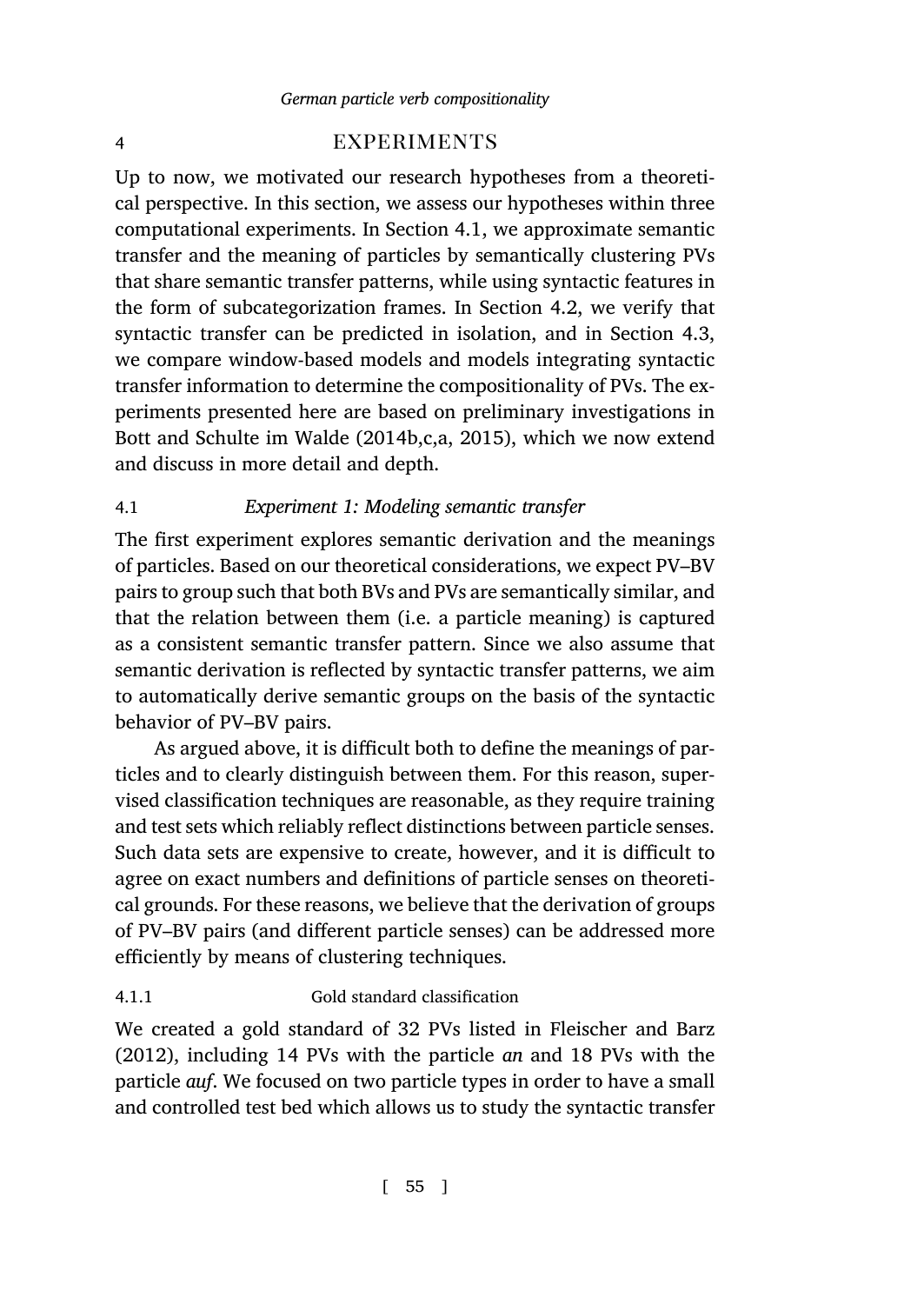# <span id="page-14-0"></span>4 EXPERIMENTS

<span id="page-14-1"></span>Up to now, we motivated our research hypotheses from a theoretical perspective. In this section, we assess our hypotheses within three [computational experiments](#page-39-4). [In Sect](#page-39-4)[io](#page-40-2)[n](#page-39-0) [4.1, w](#page-40-6)e approximate semantic transfer and the meaning of particles by semantically clustering PVs that share semantic transfer patterns, while using syntactic features in the form of subcategorization frames. In Section 4.2, we verify that syntactic transfer can be predicted in isolation, and in Section 4.3, we compare window-based models and models integrating syntactic transfer information to determine the compositionality of PVs. The experiments presented here are based on preliminary investigations in Bott and Schulte im Walde (2014b,c,a, 2015), which we now extend and discuss in more detail and depth.

# 4.1 *Experiment 1: Modeling semantic transfer*

The first experiment explores semantic derivation and the meanings of particles. Based on our theoretical considerations, we expect PV–BV pairs to group such that both BVs and PVs are semantically similar, and that the relation between them (i.e. a particle meaning) is captured as a consistent semantic transfer pattern. Since we also assume that semantic derivation is reflected by syntactic transfer patterns, we aim to automatically derive semantic groups on the basis of the syntactic behavior of PV–BV pairs.

As argued above, it is difficult both to define the meanings of particles and to clearly distinguish between them. For this reason, supervised classification techniques are reasonable, as they require training and test sets which reliably reflect distinctions bet[ween particle senses.](#page-41-7) [Such d](#page-41-7)ata sets are expensive to create, however, and it is difficult to agree on exact numbers and definitions of particle senses on theoretical grounds. For these reasons, we believe that the derivation of groups of PV–BV pairs (and different particle senses) can be addressed more efficiently by means of clustering techniques.

# 4.1.1 Gold standard classification

We created a gold standard of 32 PVs listed in Fleischer and Barz (2012), including 14 PVs with the particle *an* and 18 PVs with the particle *auf*. We focused on two particle types in order to have a small and controlled test bed which allows us to study the syntactic transfer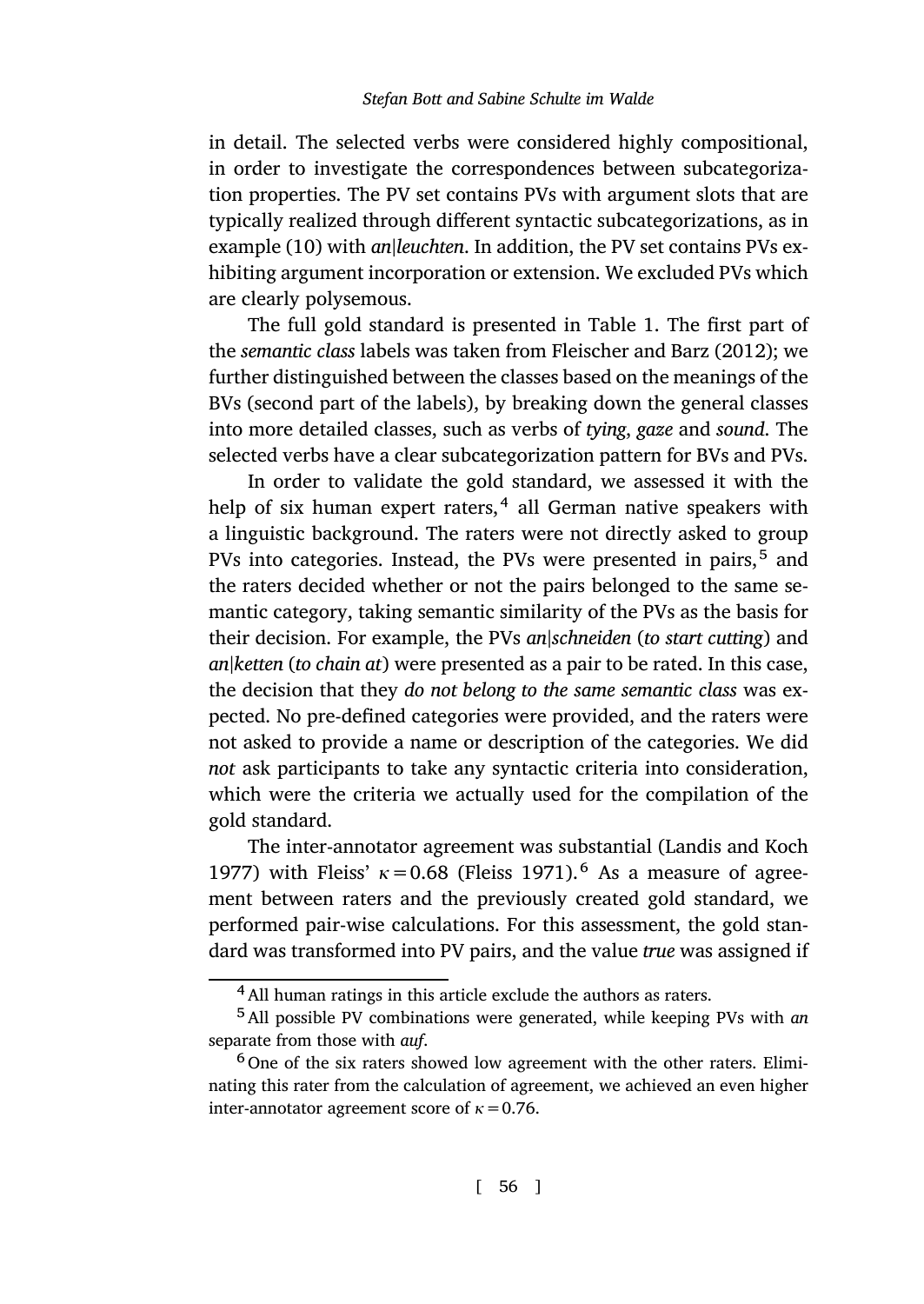in detail. The selected verbs were con[sidered highly compositio](#page-41-7)nal, in order to investigate the correspondences between subcategorization properties. The PV set contains PVs with argument slots that are typically realized through different syntactic subcategorizations, as in example (10) with *an|leuchten*. In addition, the PV set contains PVs exhibiting argument incorporation or extension. We excluded PVs which are clearly polysemous.

The full gold standard is presented in Table 1. The first part of the *semantic class* labels was taken from Fleischer and Barz (2012); we further distinguished between the classes based on the meanings of the BVs (second part of the labels), by breaking down the general classes into more detailed classes, such as verbs of *tying*, *gaze* and *sound*. The selected verbs have a clear subcategorization pattern for BVs and PVs.

In order to validate the gold standard, we assessed it with the help of six human expert raters,<sup>4</sup> all German native speakers with a linguistic background. The raters were not directly asked to group PVs into categories. Instead, the PVs were presented in pairs,<sup>5</sup> and the raters decided whether or not the pairs belonged to the same semantic category, taking semantic similarity of the PVs as the basis for their decision. For example, the PVs *an|schneiden* (*to [start cutting](#page-42-9)*) and *[an](#page-42-9)|ketten* (*to chain at*) were pr[esented as a](#page-41-8) pair to be rated. In this case, the decision that they *do not belong to the same semantic class* was expected. No pre-defined categories were provided, and the raters were not asked to provide a name or description of the categories. We did *not* ask participants to take any syntactic criteria into consideration, which were the criteria we actually used for the compilation of the gold standard.

The inter-annotator agreement was substantial (Landis and Koch 1977) with Fleiss'  $\kappa$  = 0.68 (Fleiss 1971).<sup>6</sup> As a measure of agreement between raters and the previously created gold standard, we performed pair-wise calculations. For this assessment, the gold standard was transformed into PV pairs, and the value *true* was assigned if

<sup>&</sup>lt;sup>4</sup> All human ratings in this article exclude the authors as raters.

<sup>5</sup>All possible PV combinations were generated, while keeping PVs with *an* separate from those with *auf*.

 $6$  One of the six raters showed low agreement with the other raters. Eliminating this rater from the calculation of agreement, we achieved an even higher inter-annotator agreement score of *κ*=0.76.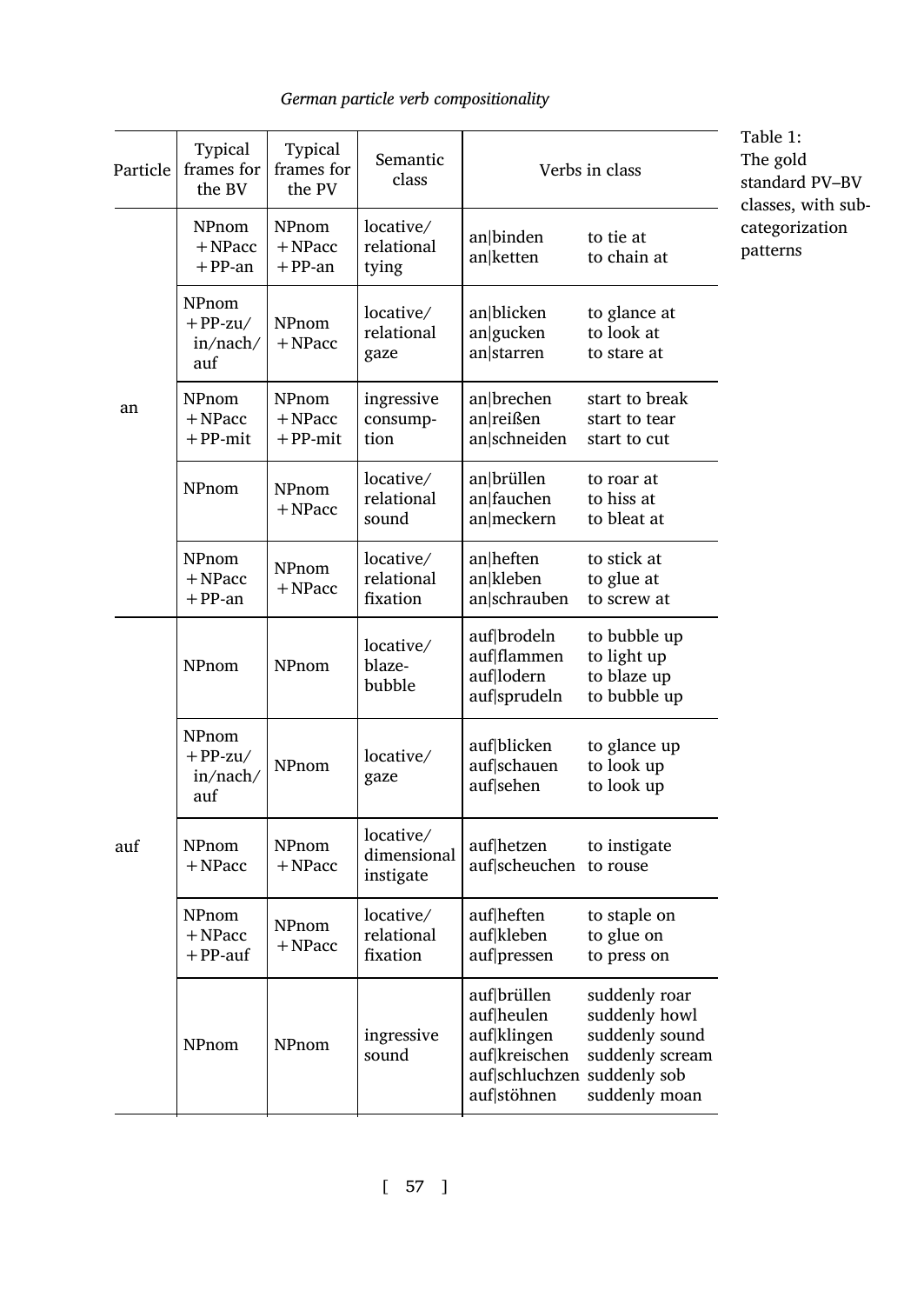<span id="page-16-0"></span>

| Typical<br>frames for<br>Particle<br>the BV |                                          | Typical<br>frames for<br>the PV  | Semantic<br>class                     | Verbs in class                                                                                          | Table 1:<br>The gold<br>standard PV-BV<br>classes, with sub-                         |                            |
|---------------------------------------------|------------------------------------------|----------------------------------|---------------------------------------|---------------------------------------------------------------------------------------------------------|--------------------------------------------------------------------------------------|----------------------------|
|                                             | NPnom<br>$+$ NPacc<br>$+PP-an$           | NPnom<br>$+$ NPacc<br>$+$ PP-an  | locative/<br>relational<br>tying      | an binden<br>an ketten                                                                                  | to tie at<br>to chain at                                                             | categorization<br>patterns |
| an                                          | NPnom<br>$+ PP-zu/$<br>in/nach/<br>auf   | NPnom<br>$+$ NPacc               | locative/<br>relational<br>gaze       | an blicken<br>an gucken<br>an starren                                                                   | to glance at<br>to look at<br>to stare at                                            |                            |
|                                             | NPnom<br>$+$ NPacc<br>$+$ PP-mit         | NPnom<br>$+$ NPacc<br>$+$ PP-mit | ingressive<br>consump-<br>tion        | an brechen<br>an reißen<br>an schneiden                                                                 | start to break<br>start to tear<br>start to cut                                      |                            |
|                                             | NPnom                                    | NPnom<br>$+$ NPacc               | locative/<br>relational<br>sound      | an brüllen<br>an fauchen<br>an meckern                                                                  | to roar at<br>to hiss at<br>to bleat at                                              |                            |
|                                             | NPnom<br>$+$ NPacc<br>$+$ PP-an          | NPnom<br>$+$ NPacc               | locative/<br>relational<br>fixation   | an heften<br>an kleben<br>an schrauben                                                                  | to stick at<br>to glue at<br>to screw at                                             |                            |
| auf                                         | NPnom                                    | NPnom                            | locative/<br>blaze-<br>bubble         | auf brodeln<br>auf flammen<br>auf lodern<br>auf sprudeln                                                | to bubble up<br>to light up<br>to blaze up<br>to bubble up                           |                            |
|                                             | NPnom<br>$+ PP-zu/$<br>in/nach/<br>auf   | NPnom                            | locative/<br>gaze                     | auf blicken<br>auf schauen<br>auf sehen                                                                 | to glance up<br>to look up<br>to look up                                             |                            |
|                                             | NPnom<br>NPnom<br>$+$ NPacc<br>$+$ NPacc |                                  | locative/<br>dimensional<br>instigate | auf hetzen<br>auf scheuchen to rouse                                                                    | to instigate                                                                         |                            |
|                                             | NPnom<br>$+$ NPacc<br>$+$ PP-auf         | NPnom<br>$+$ NPacc               | locative/<br>relational<br>fixation   | auf heften<br>auf kleben<br>auf pressen                                                                 | to staple on<br>to glue on<br>to press on                                            |                            |
|                                             | NPnom                                    | NPnom                            | ingressive<br>sound                   | auf brüllen<br>auf heulen<br>auf klingen<br>auf kreischen<br>auf schluchzen suddenly sob<br>auf stöhnen | suddenly roar<br>suddenly howl<br>suddenly sound<br>suddenly scream<br>suddenly moan |                            |

[ 57 ]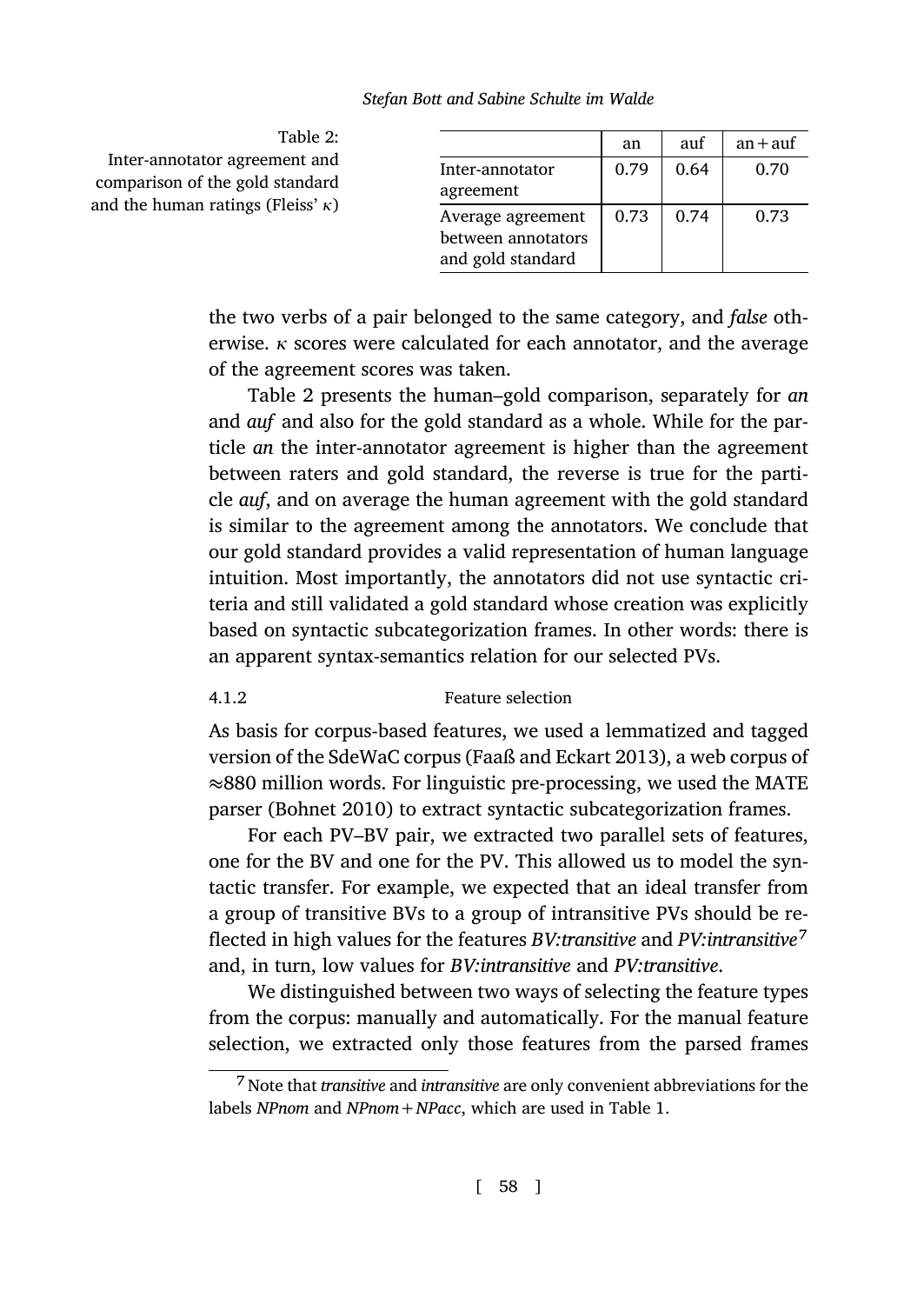<span id="page-17-0"></span>

| Table 2:                                                         |                                                              | an   | auf  | $an + aut$ |
|------------------------------------------------------------------|--------------------------------------------------------------|------|------|------------|
| Inter-annotator agreement and<br>comparison of the gold standard | Inter-annotator<br>agreement                                 | 0.79 | 0.64 | 0.70       |
| and the human ratings (Fleiss' $\kappa$ )                        | Average agreement<br>between annotators<br>and gold standard | 0.73 | 0.74 | 0.73       |

the two verbs of a pair belonged to the same category, and *false* otherwise. *κ* scores were calculated for each annotator, and the average of the agreement scores was taken.

Table 2 presents the human–gold comparison, separately for *an* and *auf* and also for the gold standard as a whole. While for the particle *an* the inter-annotator agreement is higher than the agreement between raters and gold standard, the reverse is true for the particle *auf*, and on average the human agreement with the gold standard is similar to the agreement among the annotators. We conclude that our gold standard provides av[alid representation of](#page-41-9) human language intuition. Most importantly, the annotators did not use syntactic criteria an[d still validat](#page-39-5)ed a gold standard whose creation was explicitly based on syntactic subcategorization frames. In other words: there is an apparent syntax-semantics relation for our selected PVs.

# 4.1.2 Feature selection

As basis for corpus-based features, we used a lemmatized and tagged version of the SdeWaC corpus (Faaß and Eckart 2013), a web corpus of *≈*880 million words. For linguistic pre-processing, we used the MATE parser (Bohnet 2010) to extract syntactic subcategorization frames.

For each PV–BV pair, we extracted two parallel sets of features, one for the BV and one for the PV. This allowed us to model the syntactic transfer. For example, we expected that ani[de](#page-16-0)al transfer from a group of transitive BVs to a group of intransitive PVs should be reflected in high values for the features *BV:transitive* and *PV:intransitive*<sup>7</sup> and, in turn, low values for *BV:intransitive* and *PV:transitive*.

We distinguished between two ways of selecting the feature types from the corpus: manually and automatically. For the manual feature selection, we extracted only those features from the parsed frames

<sup>7</sup> Note that *transitive* and *intransitive* are only convenient abbreviations for the labels *NPnom* and *NPnom+NPacc*, which are used in Table 1.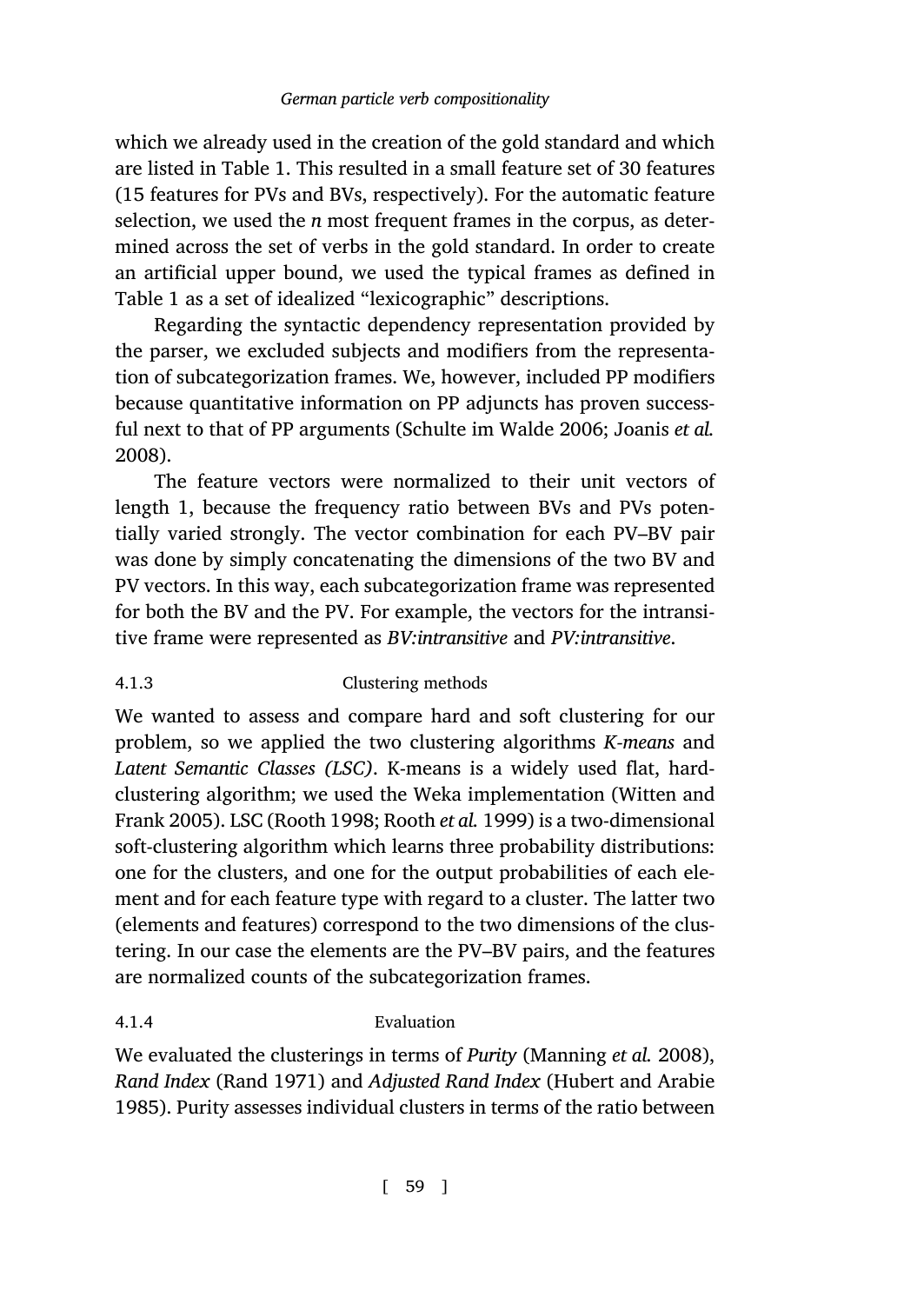which we already used in the creation of the gold standard and which are listed in Table 1. This resulted in a small feature set of 30 features (15 features for PVs and BVs, respectively). For the automatic feature selection, we used the *n* most fre[quent frames in the corp](#page-44-4)[us, as deter](#page-41-3)[mined](#page-41-3) across the set of verbs in the gold standard. In order to create an artificial upper bound, we used the typical frames as defined in Table 1 as a set of idealized "lexicographic" descriptions.

Regarding the syntactic dependency representation provided by the parser, we excluded subjects and modifiers from the representation of subcategorization frames. We, however, included PP modifiers because quantitative information on PP adjuncts has proven successful next to that of PP arguments (Schulte im Walde 2006; Joanis *et al.* 2008).

The feature vectors were normalized to their unit vectors of length 1, because the frequency ratio between BVs and PVs potentially varied strongly. The vector combination for each PV–BV pair was done by simply concatenating the dimensions of the two BV and PV vectors. In this way, each subcategorization frame was [represented](#page-45-2) [for both the](#page-45-2) BV a[nd the PV. Fo](#page-43-4)[r example, the ve](#page-43-5)ctors for the intransitive frame were represented as *BV:intransitive* and *PV:intransitive*.

# 4.1.3 Clustering methods

We wanted to assess and compare hard and soft clustering for our problem, so we applied the two clustering algorithms *K-means* and *Latent Semantic Classes (LSC)*. K-means is a widely used flat, hardclustering algorithm; we used the Weka implementation (Witten and Frank 2005). LSC (Rooth 1998; Rooth *et al.* 1999) is a two-dimensional soft-clustering algorithm which learns three pro[bability distribution](#page-42-10)s: one for the [clusters, and](#page-43-6) one for the output proba[bilities of each ele](#page-41-10)[ment](#page-41-10) and for each feature type with regard to a cluster. The latter two (elements and features) correspond to the two dimensions of the clustering. In our case the elements are the PV–BV pairs, and the features are normalized counts of the subcategorization frames.

# 4.1.4 Evaluation

We evaluated the clusterings in terms of *Purity* (Manning *et al.* 2008), *Rand Index* (Rand 1971) and *Adjusted Rand Index* (Hubert and Arabie 1985). Purity assesses individual clusters in terms of the ratio between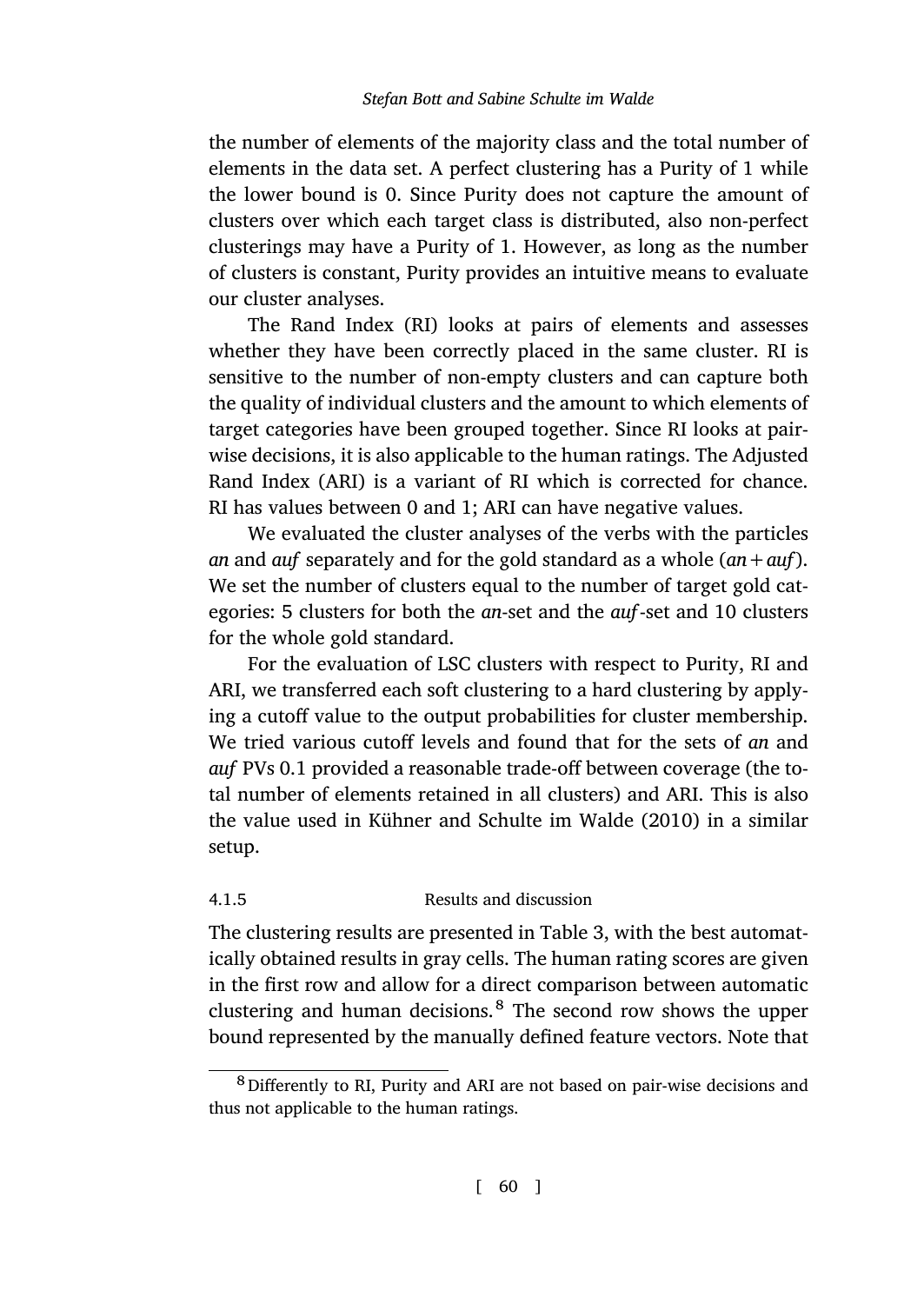the number of elements of the majority class and the total number of elements in the data set. A perfect clustering has a Purity of 1 while the lower bound is 0. Since Purity does not capture the amount of clusters over which each target class is distributed, also non-perfect clusterings may have a Purity of 1. However, as long as the number of clusters is constant, Purity provides an intuitive means to evaluate our cluster analyses.

The Rand Index (RI) looks at pairs of elements and assesses whether they have been correctly placed in the same cluster. RI is sensitive to the number of non-empty clusters and can capture both the quality of individual clusters and the amount to which elements of target categories have been grouped together. Since RI looks at pairwise decisions, it is also applicable to the human ratings. The Adjusted Rand Index (ARI) is a variant of RI which is corrected for chance. RI has values between 0 and 1; ARI can have negative values.

We evaluated the cluster analyses of the verbs with the particles *an* and *auf* separately and for the gold standard as a whole (*an+auf*). We set the number of clusters equal to the number of target gold categories: 5 clusters [for both the](#page-42-8) *an*-set and the *auf*-[set an](#page-42-8)d 10 clusters for the whole gold standard.

For the evaluation of LSC clusters with respect to Purity, RI and ARI, we transferred each soft clustering to a hard clustering by applying a cutoff value to the output probabilitie[s f](#page-20-0)or cluster membership. We tried various cutoff levels and found that for the sets of *an* and *auf* PVs 0.1 provided a reasonable trade-off between coverage (the total number of elements retained in all clusters) and ARI. This is also the value used in Kühner and Schulte im Walde (2010) in a similar setup.

# 4.1.5 Results and discussion

The clustering results are presented in Table 3, with the best automatically obtained results in gray cells. The human rating scores are given in the first row and allow for a direct comparison between automatic clustering and human decisions.<sup>8</sup> The second row shows the upper bound represented by the manually defined feature vectors. Note that

<sup>8</sup>Differently to RI, Purity and ARI are not based on pair-wise decisions and thus not applicable to the human ratings.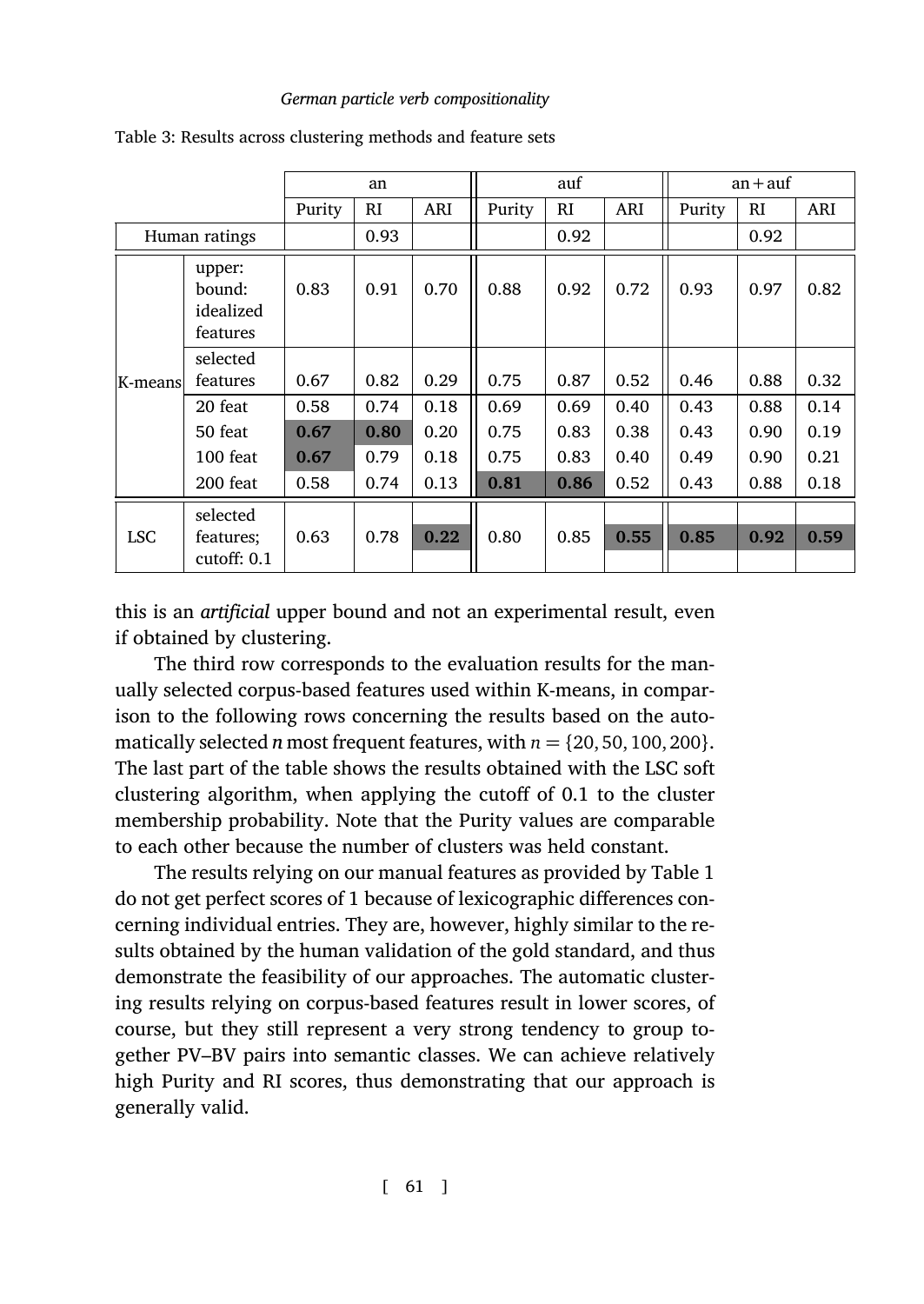|               |                                           | an     |      | auf  |        |      | $an + auf$ |        |      |      |
|---------------|-------------------------------------------|--------|------|------|--------|------|------------|--------|------|------|
|               |                                           | Purity | RI   | ARI  | Purity | RI   | ARI        | Purity | RI   | ARI  |
| Human ratings |                                           |        | 0.93 |      |        | 0.92 |            |        | 0.92 |      |
|               | upper:<br>bound:<br>idealized<br>features | 0.83   | 0.91 | 0.70 | 0.88   | 0.92 | 0.72       | 0.93   | 0.97 | 0.82 |
| K-means       | selected<br>features                      | 0.67   | 0.82 | 0.29 | 0.75   | 0.87 | 0.52       | 0.46   | 0.88 | 0.32 |
|               | 20 feat                                   | 0.58   | 0.74 | 0.18 | 0.69   | 0.69 | 0.40       | 0.43   | 0.88 | 0.14 |
|               | 50 feat                                   | 0.67   | 0.80 | 0.20 | 0.75   | 0.83 | 0.38       | 0.43   | 0.90 | 0.19 |
|               | 100 feat                                  | 0.67   | 0.79 | 0.18 | 0.75   | 0.83 | 0.40       | 0.49   | 0.90 | 0.21 |
|               | 200 feat                                  | 0.58   | 0.74 | 0.13 | 0.81   | 0.86 | 0.52       | 0.43   | 0.88 | 0.18 |
| <b>LSC</b>    | selected<br>features;<br>cutoff: $0.1$    | 0.63   | 0.78 | 0.22 | 0.80   | 0.85 | 0.55       | 0.85   | 0.92 | 0.59 |

<span id="page-20-0"></span>Table 3: Results across clustering methods and feature sets

this is an *artificial* upper bound and not an experimental result, even if obtained by clustering.

The third row corresponds to the evaluation results for the ma[n](#page-16-0)ually selected corpus-based features used within K-means, in comparison to the following rows concerning the results based on the automatically selected *n* most frequent features, with *n* = *{*20, 50, 100, 200*}*. The last part of the table shows the results obtained with the LSC soft clustering algorithm, when applying the cutoff of 0.1 to the cluster membership probability. Note that the Purity values are comparable to each other because the number of clusters was held constant.

The results relying on our manual features as provided by Table 1 do not get perfect scores of 1 because of lexicographic differences concerning individual entries. They are, however, highly similar to the results obtained by the human validation of the gold standard, and thus demonstrate the feasibility of our approaches. The automatic clustering results relying on corpus-based features result in lower scores, of course, but they still represent a very strong tendency to group together PV–BV pairs into semantic classes. We can achieve relatively high Purity and RI scores, thus demonstrating that our approach is generally valid.

[ 61 ]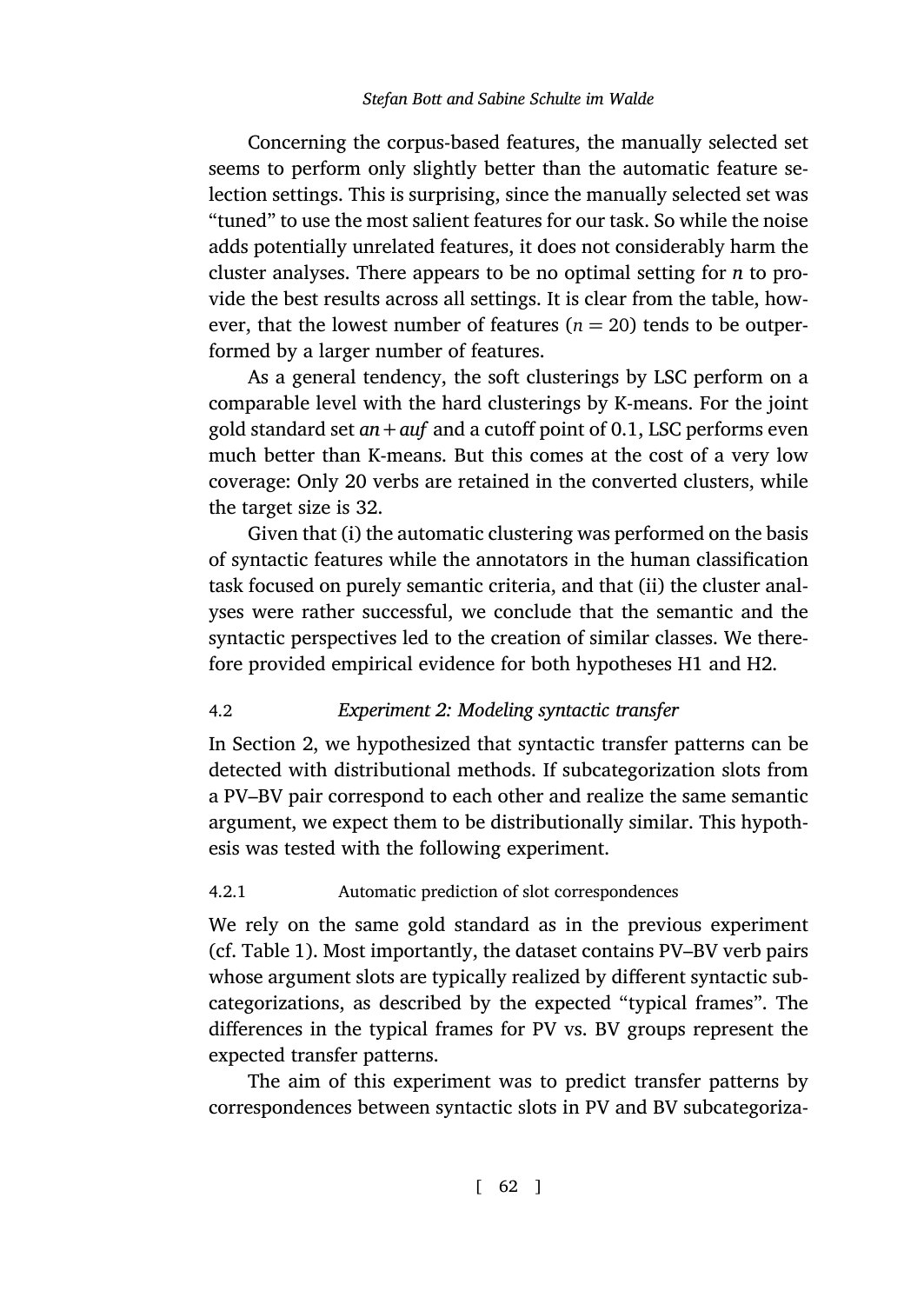Concerning the corpus-based features, the manually selected set seems to perform only slightly better than the automatic feature selection settings. This is surprising, since the manually selected set was "tuned" to use the most salient features for our task. So while the noise adds potentially unrelated features, it does not considerably harm the cluster analyses. There appears to be no optimal setting for *n* to provide the best results across all settings. It is clear from the table, however, that the lowest number of features  $(n = 20)$  tends to be outperformed by a larger number of features.

As a general tendency, the soft clusterings by LSC perform on a comparable level with the hard clusterings by K-means. For the joint gold standard set *an+auf* and a cutoff point of 0.1, LSC performs even much better than K-means. But this comes at the cost of a very low coverage: Only 20 verbs are retained in the converted clusters, while the target size is 32.

<span id="page-21-1"></span>Given [th](#page-2-1)at (i) the automatic clustering was performed on the basis of syntactic features while the annotators in the human classification task focused on purely semantic criteria, and that (ii) the cluster analyses were rather successful, we conclude that the semantic and the syntactic perspectives led to the creation of similar classes. We therefore provided empirical evidence for both hypotheses H1 and H2.

# <span id="page-21-0"></span>4.2 *Experiment 2: Modeling syntactic transfer*

In Section [2](#page-16-0), we hypothesized that syntactic transfer patterns can be detected with distributional methods. If subcategorization slots from a PV–BV pair correspond to each other and realize the same semantic argument, we expect them to be distributionally similar. This hypothesis was tested with the following experiment.

### 4.2.1 Automatic prediction of slot correspondences

We rely on the same gold standard as in the previous experiment (cf. Table 1). Most importantly, the dataset contains PV–BV verb pairs whose argument slots are typically realized by different syntactic subcategorizations, as described by the expected "typical frames". The differences in the typical frames for PV vs. BV groups represent the expected transfer patterns.

The aim of this experiment was to predict transfer patterns by correspondences between syntactic slots in PV and BV subcategoriza-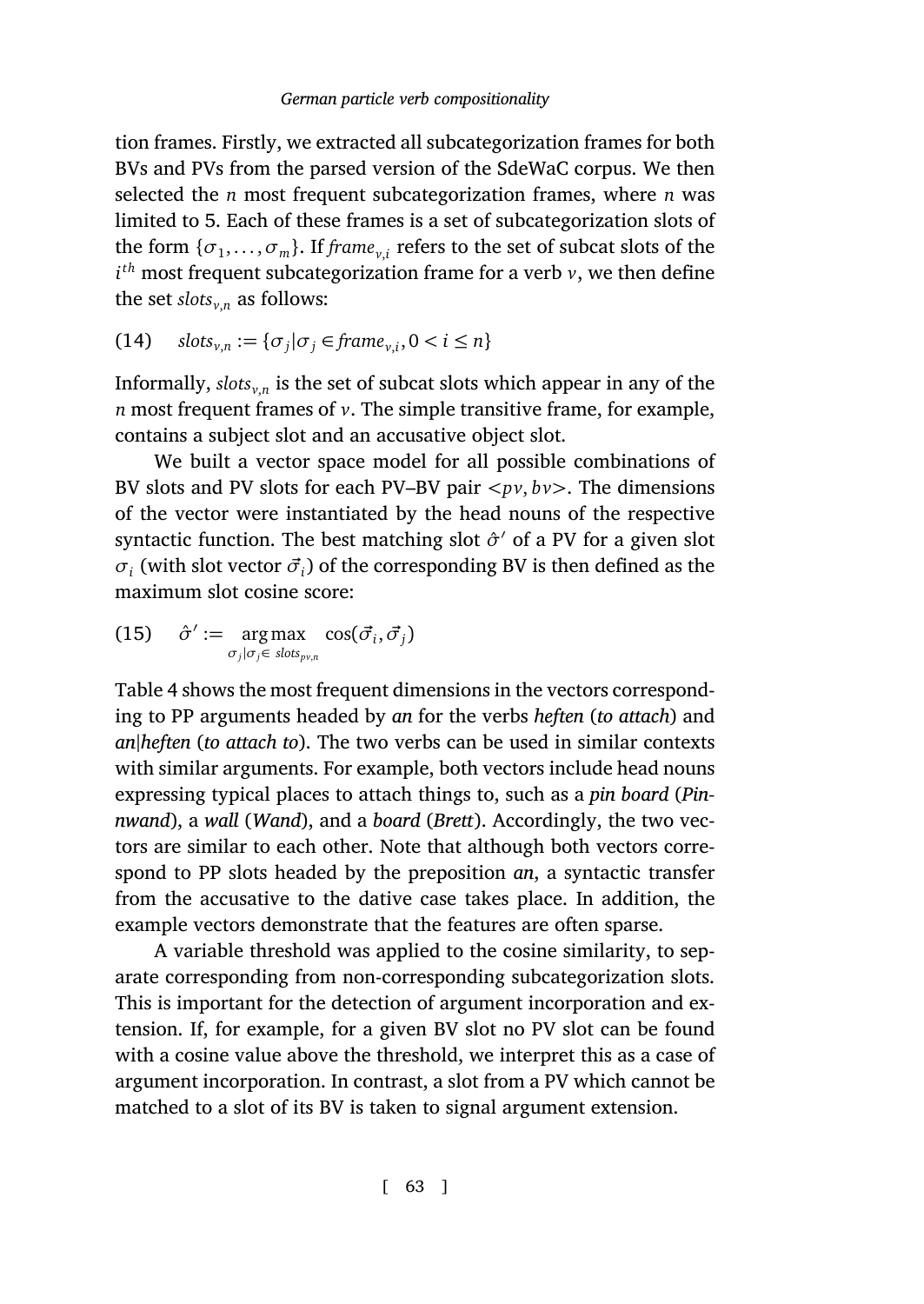tion frames. Firstly, we extracted all subcategorization frames for both BVs and PVs from the parsed version of the SdeWaC corpus. We then selected the *n* most frequent subcategorization frames, where *n* was limited to 5. Each of these frames is a set of subcategorization slots of the form  ${\{\sigma_1, \ldots, \sigma_m\}}$ . If *frame*<sub>*v*,*i*</sub> refers to the set of subcat slots of the *i th* most frequent subcategorization frame for a verb *v*, we then define the set  $\text{shots}_{v,n}$  as follows:

(14) 
$$
slots_{v,n} := \{ \sigma_j | \sigma_j \in frame_{v,i}, 0 < i \leq n \}
$$

Informally, *slotsv*,*<sup>n</sup>* is the set of subcat slots which appear in any of the *n* most frequent frames of *v*. The simple transitive frame, for example, contains a subject slot and an accusative object slot.

We built a vector space model for all possible combinations of BV sl[ots](#page-23-0) and PV slots for each PV–BV pair *<pv*, *bv>*. The dimensions of the vector were instantiated by the head nouns of the respective syntactic function. The best matching slot  $\hat{\sigma}$ <sup>'</sup> of a PV for a given slot  $\sigma_i$  (with slot vector  $\vec{\sigma}_i$ ) of the corresponding BV is then defined as the maximum slot cosine score:

(15) 
$$
\hat{\sigma}' := \underset{\sigma_j|\sigma_j \in \ sl{obs_{p\nu,n}}}{\arg \max} \cos(\vec{\sigma}_i, \vec{\sigma}_j)
$$

Table 4 shows the most frequent dimensions in the vectors corresponding to PP arguments headed by *an* for the verbs *heften* (*to attach*) and *an|heften* (*to attach to*). The two verbs can be used in similar contexts with similar arguments. For example, both vectors include head nouns expressing typical places to attach things to, such as a *pin board* (*Pinnwand*), a *wall* (*Wand*), and a *board* (*Brett*). Accordingly, the two vectors are similar to each other. Note that although both vectors correspond to PP slots headed by the preposition *an*, a syntactic transfer from the accusative to the dative case takes place. In addition, the example vectors demonstrate that the features are often sparse.

A variable threshold was applied to the cosine similarity, to separate corresponding from non-corresponding subcategorization slots. This is important for the detection of argument incorporation and extension. If, for example, for a given BV slot no PV slot can be found with a cosine value above the threshold, we interpret this as a case of argument incorporation. In contrast, a slot from a PV which cannot be matched to a slot of its BV is taken to signal argument extension.

[ 63 ]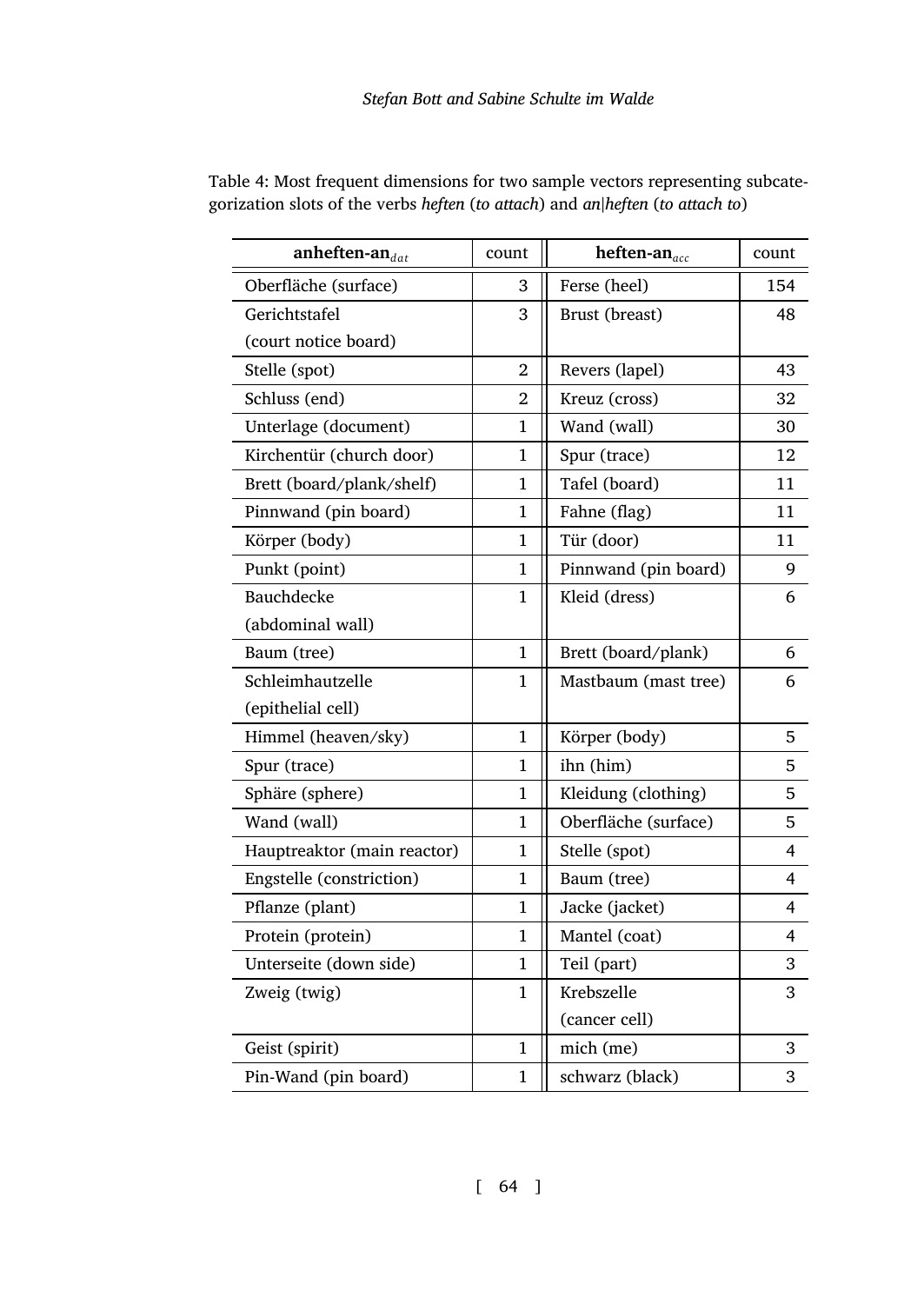| anheften-an $_{dat}$        | count        | heften-an $_{acc}$   | count          |
|-----------------------------|--------------|----------------------|----------------|
| Oberfläche (surface)        | 3            | Ferse (heel)         | 154            |
| Gerichtstafel               | 3            | Brust (breast)       | 48             |
| (court notice board)        |              |                      |                |
| Stelle (spot)               | 2            | Revers (lapel)       | 43             |
| Schluss (end)               | 2            | Kreuz (cross)        | 32             |
| Unterlage (document)        | 1            | Wand (wall)          | 30             |
| Kirchentür (church door)    | 1            | Spur (trace)         | 12             |
| Brett (board/plank/shelf)   | $\mathbf{1}$ | Tafel (board)        | 11             |
| Pinnwand (pin board)        | $\mathbf{1}$ | Fahne (flag)         | 11             |
| Körper (body)               | $\mathbf{1}$ | Tür (door)           | 11             |
| Punkt (point)               | $\mathbf{1}$ | Pinnwand (pin board) | 9              |
| Bauchdecke                  | 1            | Kleid (dress)        | 6              |
| (abdominal wall)            |              |                      |                |
| Baum (tree)                 | $\mathbf{1}$ | Brett (board/plank)  | 6              |
| Schleimhautzelle            | 1            | Mastbaum (mast tree) | 6              |
| (epithelial cell)           |              |                      |                |
| Himmel (heaven/sky)         | 1            | Körper (body)        | 5              |
| Spur (trace)                | $\mathbf{1}$ | ihn (him)            | 5              |
| Sphäre (sphere)             | $\mathbf{1}$ | Kleidung (clothing)  | 5              |
| Wand (wall)                 | $\mathbf{1}$ | Oberfläche (surface) | 5              |
| Hauptreaktor (main reactor) | $\mathbf{1}$ | Stelle (spot)        | 4              |
| Engstelle (constriction)    | 1            | Baum (tree)          | $\overline{4}$ |
| Pflanze (plant)             | 1            | Jacke (jacket)       | 4              |
| Protein (protein)           | 1            | Mantel (coat)        | 4              |
| Unterseite (down side)      | $\mathbf{1}$ | Teil (part)          | 3              |
| Zweig (twig)                | 1            | Krebszelle           | 3              |
|                             |              | (cancer cell)        |                |
| Geist (spirit)              | 1            | mich (me)            | 3              |
| Pin-Wand (pin board)        | $\mathbf{1}$ | schwarz (black)      | 3              |

<span id="page-23-0"></span>Table 4: Most frequent dimensions for two sample vectors representing subcategorization slots of the verbs *heften* (*to attach*) and *an|heften* (*to attach to*)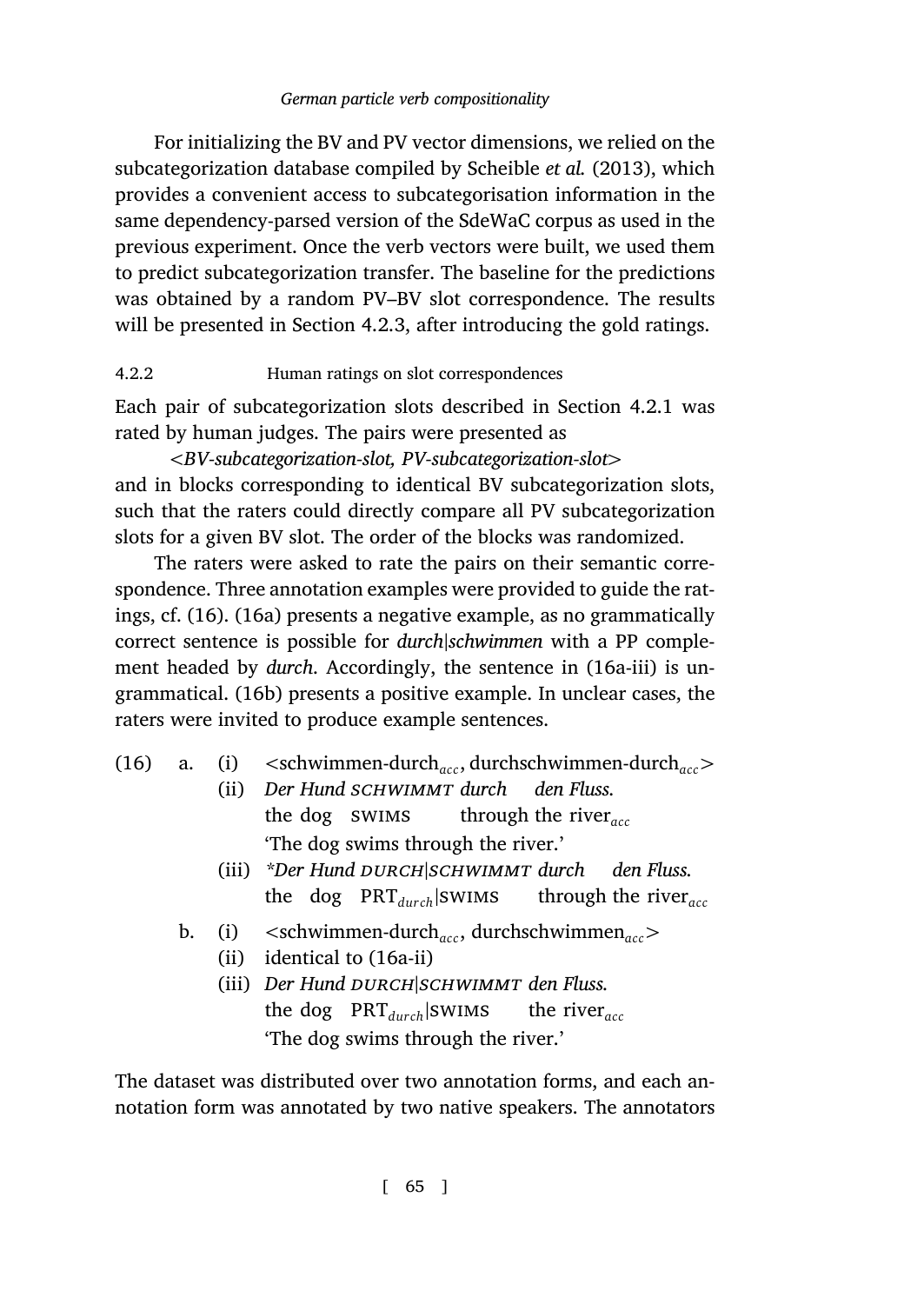For initializing the BV and PV vector dimensions, we relied on the subcategorization database compiled by Scheible *et al.* (2013), which provides a convenient access to subcategorisation informa[tion in](#page-21-0) the same dependency-parsed version of the SdeWaC corpus as used in the previous experiment. Once the verb vectors were built, we used them to predict subcategorization transfer. The baseline for the predictions was obtained by a random PV–BV slot correspondence. The results will be presented in Section 4.2.3, after introducing the gold ratings.

### 4.2.2 Human ratings on slot correspondences

Each pai[r o](#page-24-0)fs[ubca](#page-24-1)tegorization slots described in Section 4.2.1 was rated by human judges. The pairs were presented as

*<BV-subcategorization-slot, PV-subcategorization-[slot](#page-24-2)>* and in blocks [corre](#page-24-3)sponding to identical BV subcategorization slots, such that the raters could directly compare all PV subcategorization slots for a given BV slot. The order of the blocks was randomized.

<span id="page-24-2"></span><span id="page-24-1"></span><span id="page-24-0"></span>The raters were asked to rate the pairs on their semantic correspondence. Three annotation examples were provided to guide the ratings, cf. (16). (16a) presents a negative example, as no grammatically correct sentence is possible for *durch|schwimmen* with a PP complement headed by *durch*. Accordingly, the sentence in (16a-iii) is ungrammatical. (16b) presents a positive example. In unclear cases, the raters were invited to produce example sentences.

<span id="page-24-3"></span>

| $(16)$ a. |  |  |  | (i) $\langle$ <schwimmen-durch<sub>acc, durchschwimmen-durch<sub>acc</sub></schwimmen-durch<sub> |
|-----------|--|--|--|--------------------------------------------------------------------------------------------------|
|-----------|--|--|--|--------------------------------------------------------------------------------------------------|

- (ii) *Der Hund schwimmt durch* the dog swims through the river*acc den Fluss.* 'The dog swims through the river.'
- (iii) *\*Der Hund DURCH SCHWIMMT durch den Fluss.* the dog PRT*dur ch|*swims through the river*acc*
- b. (i) *<*schwimmen-durch*acc*, durchschwimmen*acc>*
	- (ii) identical to (16a-ii)
	- (iii) *Der Hund DURCH|SCHWIMMT den Fluss.* the dog PRT*dur ch|*swims the river*acc* 'The dog swims through the river.'

The dataset was distributed over two annotation forms, and each annotation form was annotated by two native speakers. The annotators

[ 65 ]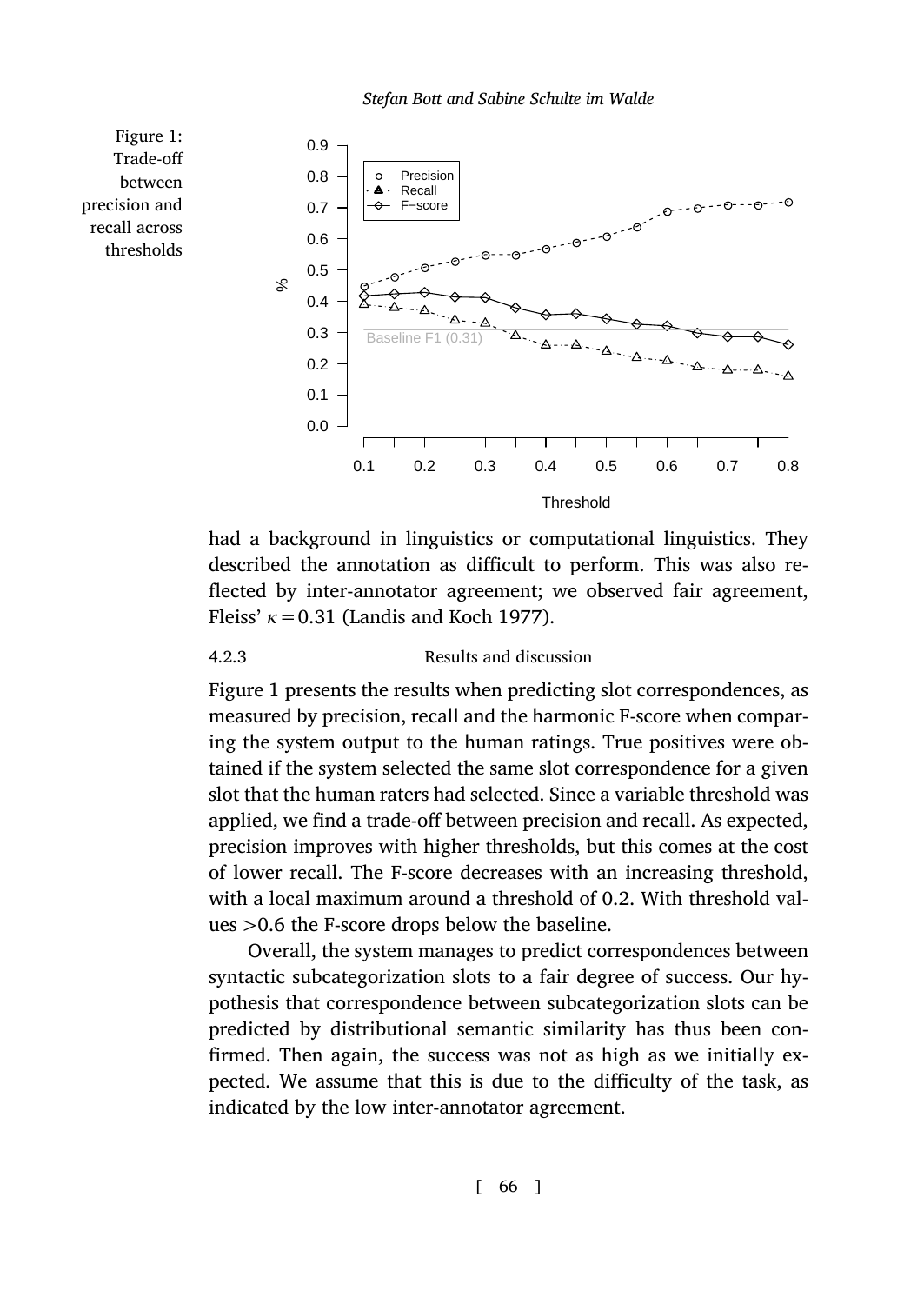

<span id="page-25-0"></span>had a background in linguistics or computational linguistics. They described the annotation as difficult to perform. This was also reflected by inter-annotator agreement; we observed fair agreement, Fleiss' *κ*=0.31 (Landis and Koch 1977).

### 4.2.3 Results and discussion

Figure 1: Trade-off between precision and recall across thresholds

> Figure 1 presents the results when predicting slot correspondences, as measured by precision, recall and the harmonic F-score when comparing the system output to the human ratings. True positives were obtained if the system selected the same slot correspondence for a given slot that the human raters had selected. Since a variable threshold was applied, we find a trade-off between precision and recall. As expected, precision improves with higher thresholds, but this comes at the cost of lower recall. The F-score decreases with an increasing threshold, with a local maximum around a threshold of 0.2. With threshold values *>*0.6 the F-score drops below the baseline.

> Overall, the system manages to predict correspondences between syntactic subcategorization slots to a fair degree of success. Our hypothesis that correspondence between subcategorization slots can be predicted by distributional semantic similarity has thus been confirmed. Then again, the success was not as high as we initially expected. We assume that this is due to the difficulty of the task, as indicated by the low inter-annotator agreement.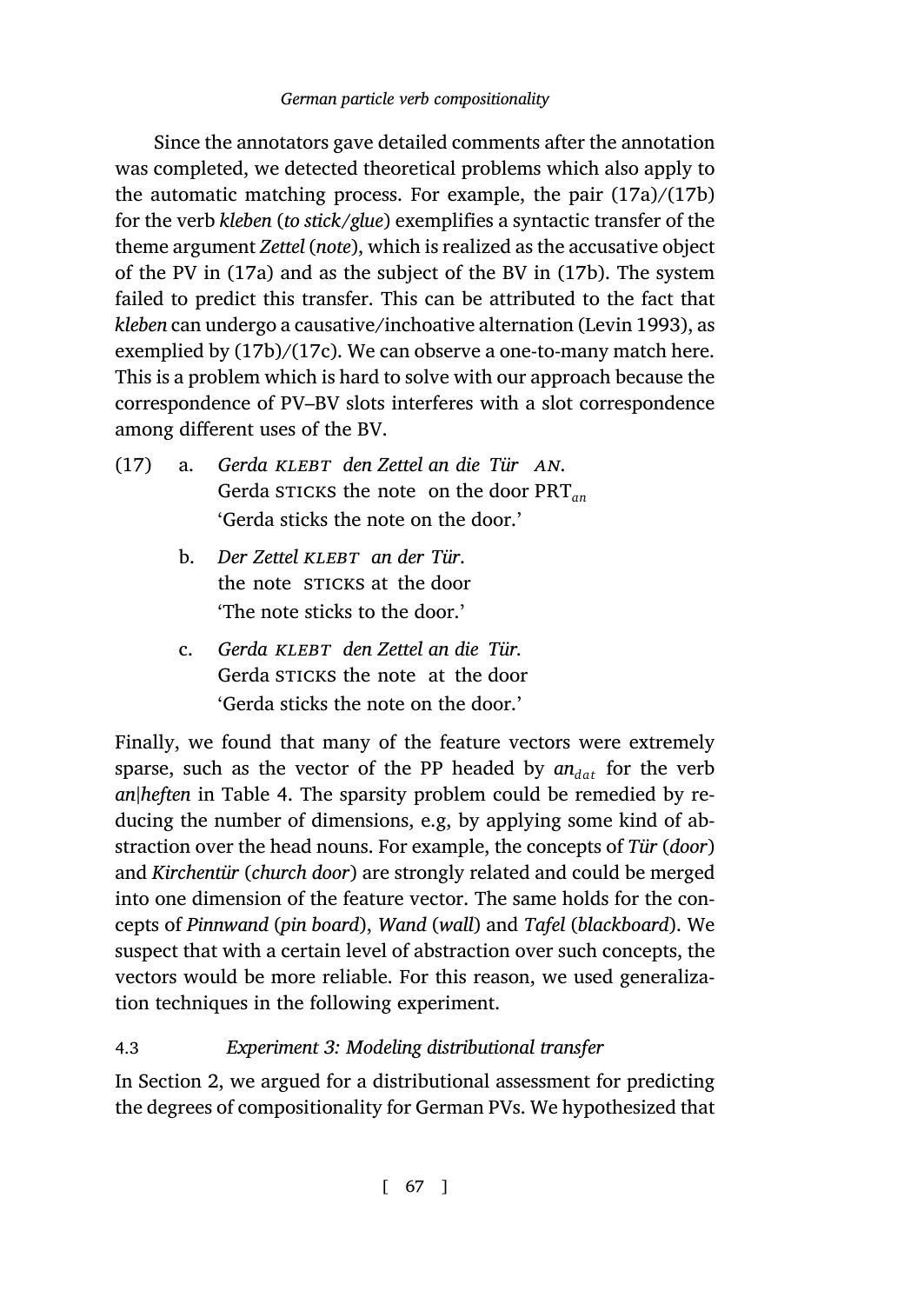Since the [anno](#page-26-0)ta[tors](#page-26-1) gave detailed comments after the annotation was completed, we detected theoretical problems which also apply to the automatic matching process. For example, the pair (17a)/(17b) for the verb *kleben* (*to stick/glue*) exemplifies a syntactic transfer of the theme argument *Zettel* (*note*), which is realized as the accusative object of the PV in (17a) and as the subject of the BV in (17b). The system failed to predict this transfer. This can be attributed to the fact that *kleben* can undergo a causative/inchoative alternation (Levin 1993), as exemplied by (17b)/(17c). We can observe a one-to-many match here. This is a problem which is hard to solve with our approach because the correspondence of PV–BV slots interferes with a slot correspondence among different uses of the BV.

- <span id="page-26-1"></span><span id="page-26-0"></span>(17) a. *Gerda klebt den Zettel an die Tür an*. Gerda sticks the note on the door PRT*an* 'Gerda sticks the note on the door.'
	- b. *Der Zettel klebt an der Tür*. the no[te](#page-23-0) STICKS at the door 'The note sticks to the door.'
	- c. *Gerda klebt den Zettel an die Tür.* Gerda STICKS the note at the door 'Gerda sticks the note on the door.'

<span id="page-26-2"></span>Finally, we found that many of the feature vectors were extremely sparse, such as the vector of the PP headed by  $a n_{dat}$  for the verb *an|heften* in Table 4. The sparsity problem could be remedied by reducing the number of dimensions, e.g, by applying some kind of abstraction over the head nouns. For example, the concepts of *Tür* (*door*) and *Kirche[nt](#page-2-1)ür* (*church door*) are strongly related and could be merged into one dimension of the feature vector. The same holds for the concepts of *Pinnwand* (*pin board*), *Wand* (*wall*) and *Tafel* (*blackboard*). We suspect that with a certain level of abstraction over such concepts, the vectors would be more reliable. For this reason, we used generalization techniques in the following experiment.

# 4.3 *Experiment 3: Modeling distributional transfer*

In Section 2, we argued for a distributional assessment for predicting the degrees of compositionality for German PVs. We hypothesized that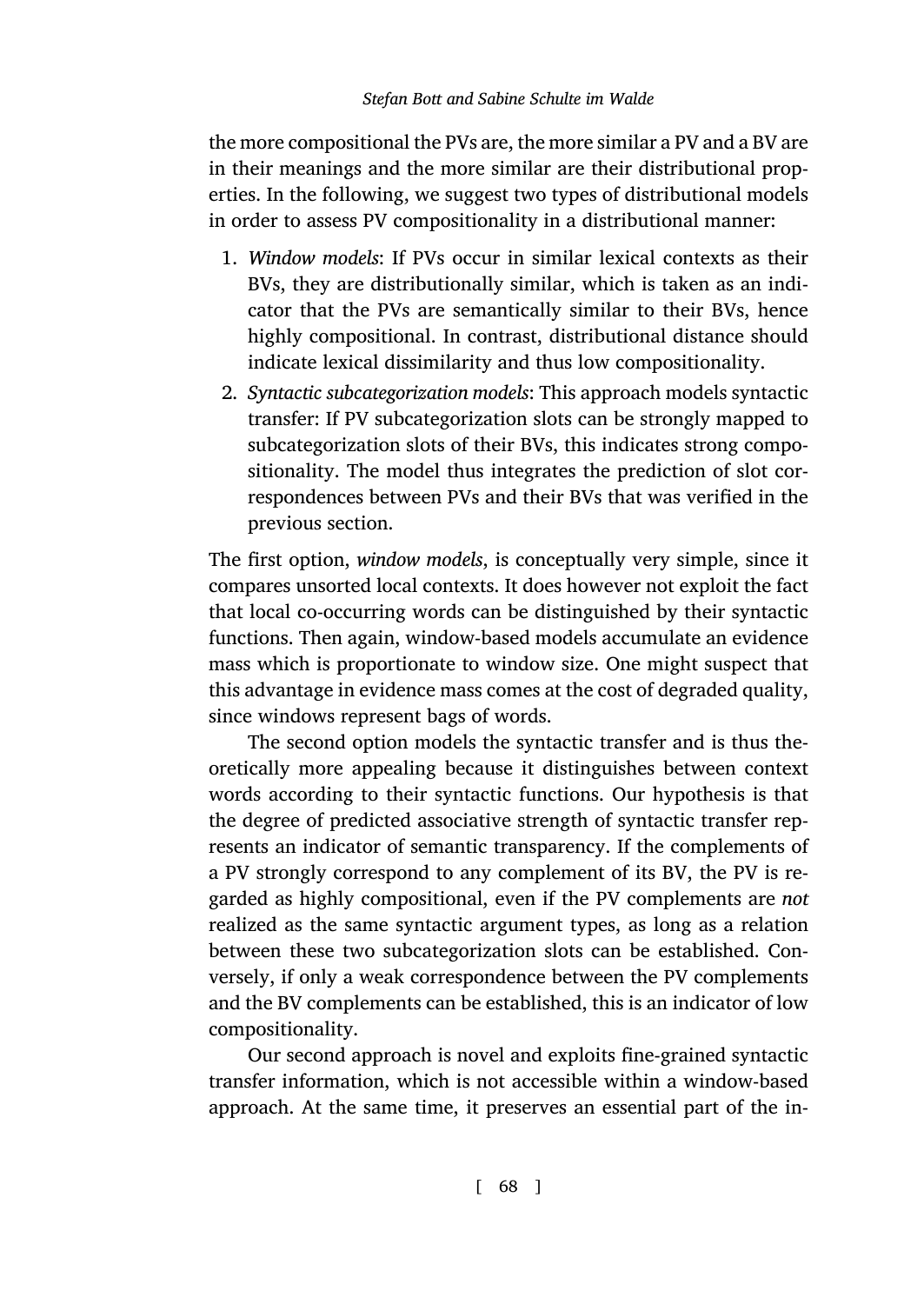the more compositional the PVs are, the more similar a PV and a BV are in their meanings and the more similar are their distributional properties. In the following, we suggest two types of distributional models in order to assess PV compositionality in a distributional manner:

- 1. *Window models*: If PVs occur in similar lexical contexts as their BVs, they are distributionally similar, which is taken as an indicator that the PVs are semantically similar to their BVs, hence highly compositional. In contrast, distributional distance should indicate lexical dissimilarity and thus low compositionality.
- 2. *Syntactic subcategorization models*: This approach models syntactic transfer: If PV subcategorization slots can be strongly mapped to subcategorization slots of their BVs, this indicates strong compositionality. The model thus integrates the prediction of slot correspondences between PVs and their BVs that was verified in the previous section.

The first option, *window models*, is conceptually very simple, since it compares unsorted local contexts. It does however not exploit the fact that local co-occurring words can be distinguished by their syntactic functions. Then again, window-based models accumulate an evidence mass which is proportionate to window size. One might suspect that this advantage in evidence mass comes at the cost of degraded quality, since windows represent bags of words.

The second option models the syntactic transfer and is thus theoretically more appealing because it distinguishes between context words according to their syntactic functions. Our hypothesis is that the degree of predicted associative strength of syntactic transfer represents an indicator of semantic transparency. If the complements of a PV strongly correspond to any complement of its BV, the PV is regarded as highly compositional, even if the PV complements are *not* realized as the same syntactic argument types, as long as a relation between these two subcategorization slots can be established. Conversely, if only a weak correspondence between the PV complements and the BV complements can be established, this is an indicator of low compositionality.

Our second approach is novel and exploits fine-grained syntactic transfer information, which is not accessible within a window-based approach. At the same time, it preserves an essential part of the in-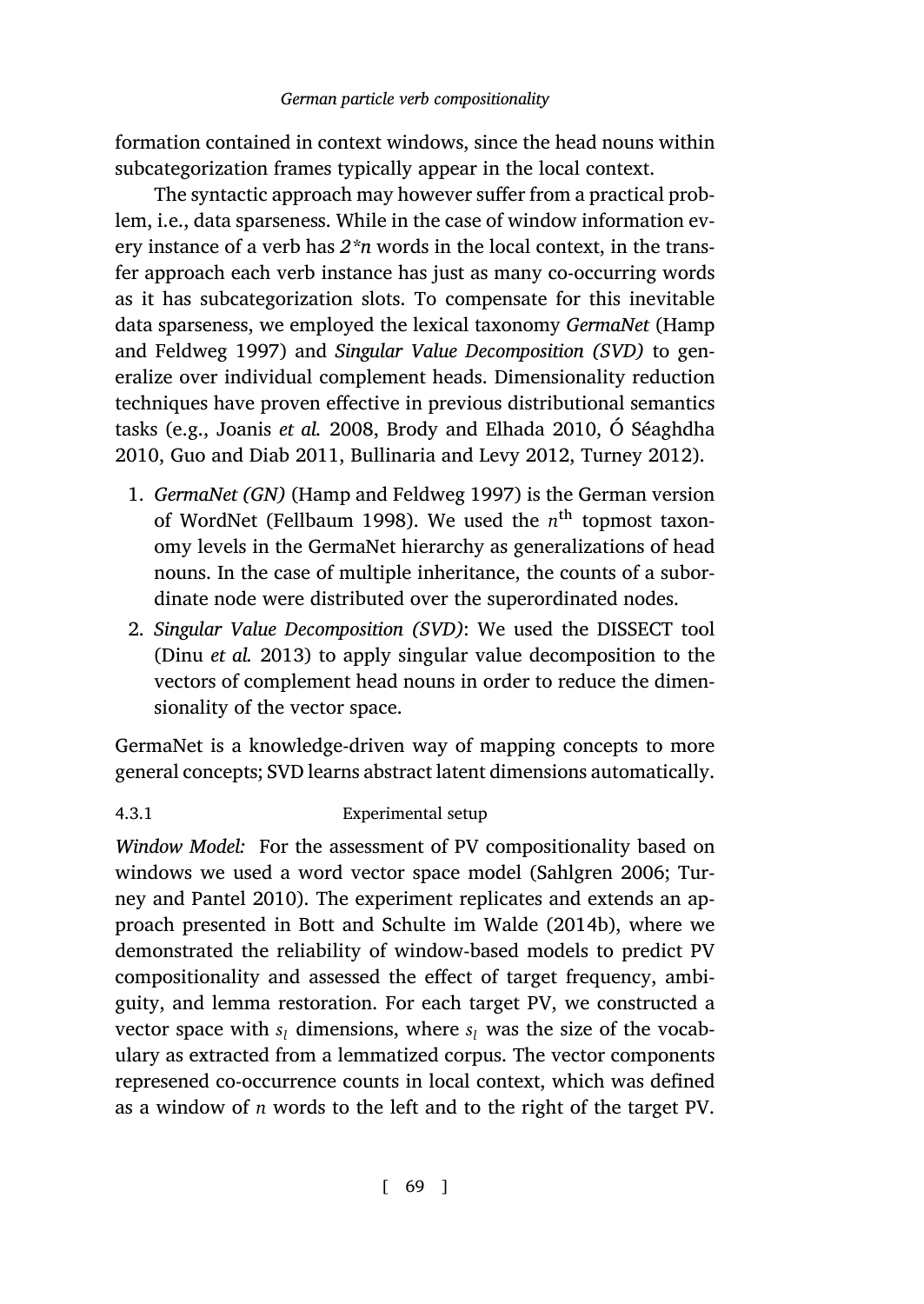[formation contained](#page-41-11) in context windows, since the head nouns within subcategorization frames typically appear in the local context.

The syntactic approach may however suffer from a practical problem, i.e., da[ta sparseness. Whil](#page-41-3)e [in the case of window in](#page-40-7)f[ormation ev](#page-43-7)[ery in](#page-43-7)[stance of a verb has](#page-41-12) *2\*n* [words in the local cont](#page-40-8)[ext, in the tran](#page-44-10)sfer approach each ve[rb instance has just as ma](#page-41-11)ny co-occurring words as it has subcate[gorization slots.](#page-41-13) To compensate for this inevitable data sparseness, we employed the lexical taxonomy *GermaNet* (Hamp and Feldweg 1997) and *Singular Value Decomposition (SVD)* to generalize over individual complement heads. Dimensionality reduction techniques have proven effective in previous distributional semantics tasks (e.g., Joanis *[et a](#page-40-9)l.* 2008, Brody and Elhada 2010, Ó Séaghdha 2010, [Guo and D](#page-40-9)iab 2011, Bullinaria and Levy 2012, Turney 2012).

- 1. *GermaNet (GN)* (Hamp and Feldweg 1997) is the German version of WordNet (Fellbaum 1998). We used the *n*<sup>th</sup> topmost taxonomy levels in the GermaNet hierarchy as generalizations of head nouns. In the case of multiple inheritance, the counts of a subordinate node were distributed over the superordinated nodes.
- 2. *Singular Value Decomposition (SVD)*: We used the DISSECT tool (Dinu *et al.* 2013) to apply singular value [decomposition t](#page-43-0)[o the](#page-45-0) [vectors of compl](#page-45-0)ement head nouns in order to reduce the dimensionality of the [vector space.](#page-39-4)

GermaNet is a knowledge-driven way of mapping concepts to more general concepts; SVD learns abstract latent dimensions automatically.

# 4.3.1 Experimental setup

*Window Model:* For the assessment of PV compositionality based on windows we used a word vector space model (Sahlgren 2006; Turney and Pantel 2010). The experiment replicates and extends an approach presented in Bott and Schulte im Walde (2014b), where we demonstrated the reliability of window-based models to predict PV compositionality and assessed the effect of target frequency, ambiguity, and lemma restoration. For each target PV, we constructed a vector space with  $s_l$  dimensions, where  $s_l$  was the size of the vocabulary as extracted from a lemmatized corpus. The vector components represened co-occurrence counts in local context, which was defined as a window of *n* words to the left and to the right of the target PV.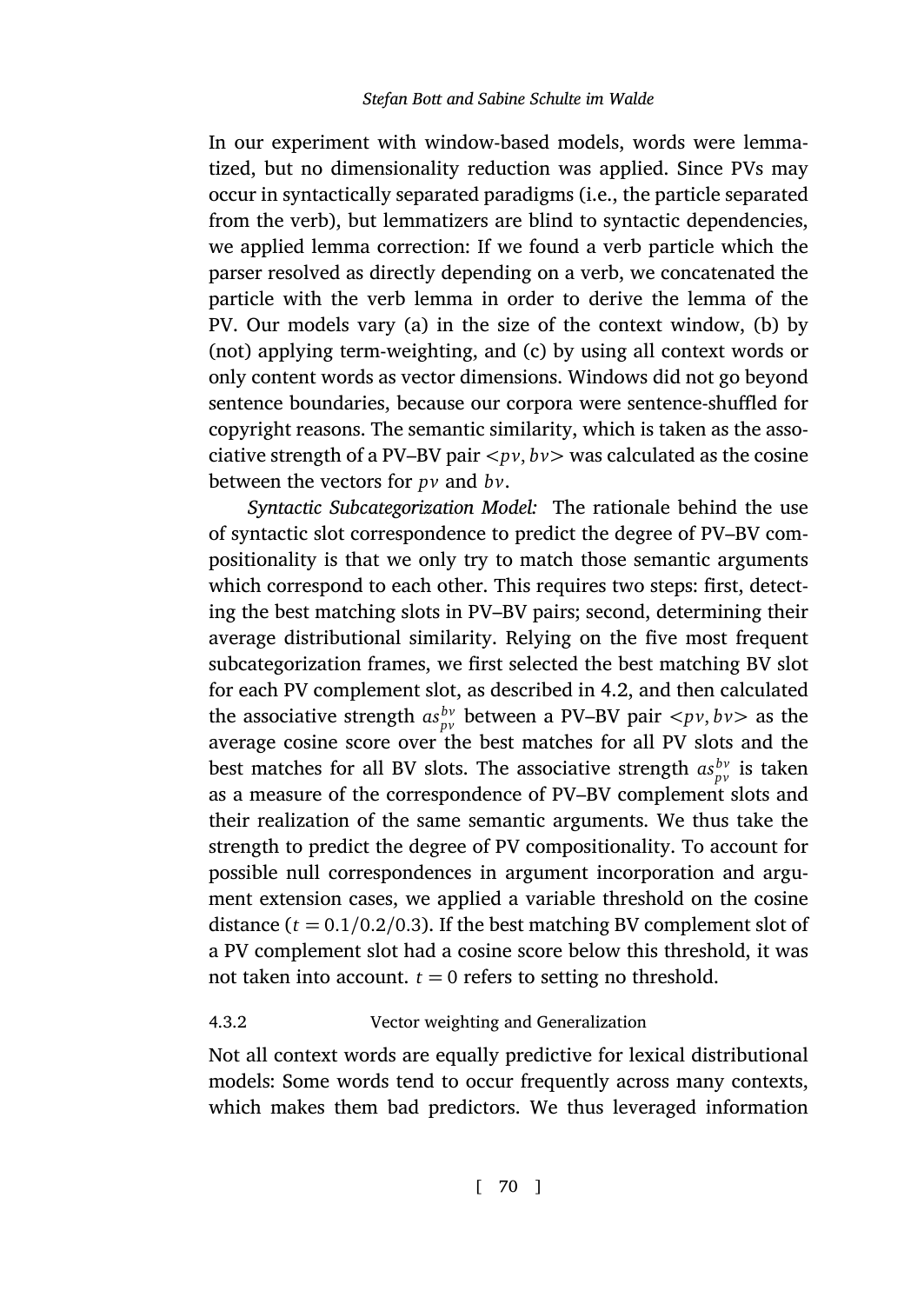In our experiment with window-based models, words were lemmatized, but no dimensionality reduction was applied. Since PVs may occur in syntactically separated paradigms (i.e., the particle separated from the verb), but lemmatizers are blind to syntactic dependencies, we applied lemma correction: If we found a verb particle which the parser resolved as directly depending on a verb, we concatenated the particle with the verb lemma in order to derive the lemma of the PV. Our models vary (a) in the size of the context window, (b) by (not) applying term-weighting, and (c) by using all context words or only content words as vector dimensions. Windows did not go beyond sentence boundaries, because our corpora were sentence-shuffled for copyright reasons. The semantic similarity, which is taken as the associative strength of a PV–BV pair *<pv*, *bv>* wa[s cal](#page-21-1)culated as the cosine between the vectors for *pv* and *bv*.

*Syntactic Subcategorization Model:* The rationale behind the use of syntactic slot correspondence to predict the degree of PV–BV compositionality is that we only try to match those semantic arguments which correspond to each other. This requires two steps: first, detecting the best matching slots in PV–BV pairs; second, determining their average distributional similarity. Relying on the five most frequent subcategorization frames, we first selected the best matching BV slot for each PV complement slot, as described in 4.2, and then calculated the associative strength  $as_{pv}^{bv}$  between a PV–BV pair *<pv*,  $bv$  as the average cosine score over the best matches for all PV slots and the best matches for all BV slots. The associative strength  $as_{pv}^{bv}$  is taken as a measure of the correspondence of PV–BV complement slots and their realization of the same semantic arguments. We thus take the strength to predict the degree of PV compositionality. To account for possible null correspondences in argument incorporation and argument extension cases, we applied a variable threshold on the cosine distance  $(t = 0.1/0.2/0.3)$ . If the best matching BV complement slot of a PV complement slot had a cosine score below this threshold, it was not taken into account.  $t = 0$  refers to setting no threshold.

### 4.3.2 Vector weighting and Generalization

Not all context words are equally predictive for lexical distributional models: Some words tend to occur frequently across many contexts, which makes them bad predictors. We thus leveraged information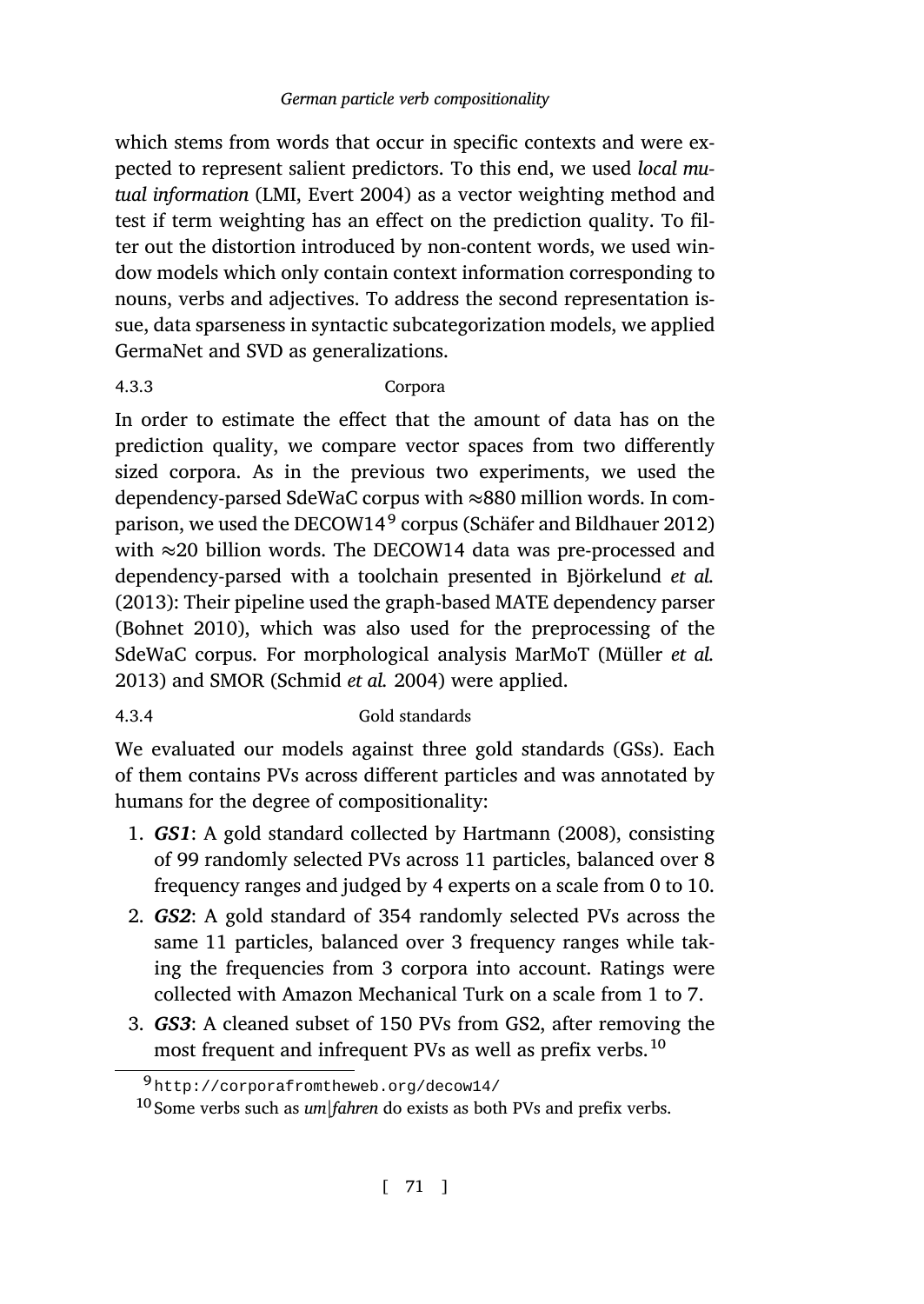which stems from words that occur in specific contexts and were expected to represent salient predictors. To this end, we used *local mutual information* (LMI, Evert 2004) as a vector weighting method and test if term weighting has an effect on the prediction quality. To filter out the distortion introduced by non-content words, we used window models which only contain context information corresponding to nouns, verbs and adjectives. To address [the second representation is](#page-43-8)sue, data sparseness in syntactic subcategorization models, we applied GermaNet and SVD as generalizations.

# [4.3.3](#page-39-6) Corpora

I[n order to es](#page-39-5)timate the effect that the amount of data has on the prediction quality, we compare vector spaces from tw[o differently](#page-43-9) [sized](#page-43-9) corpora. As [in the previous t](#page-44-11)wo experiments, we used the dependency-parsed SdeWaC corpus with *≈*880 million words. In comparison, we used the DECOW14<sup>9</sup> corpus (Schäfer and Bildhauer 2012) with *≈*20 billion words. The DECOW14 data was pre-processed and dependency-parsed with a toolchain presented in Björkelund *et al.* (2013): Their pipeline used the graph-based MATE dependency parser (Bohnet 2010), which was also used [for the pr](#page-41-14)e[proces](#page-41-14)sing of the SdeWaC corpus. For morphological analysis MarMoT (Müller *et al.* 2013) and SMOR (Schmid *et al.* 2004) were applied.

# 4.3.4 Gold standards

We evaluated our models against three gold standards (GSs). Each of them contains PVs across different particles and was annotated by humans for the degree of compositionality:

- 1. *GS1*: A gold standard collected by Hartmann (2008), consisting of 99 randomly selected PVs across 11 particles, balanced over 8 [frequency ranges and judged by 4 expert](http://corporafromtheweb.org/decow14/)s on a scale from 0 to 10.
- 2. *GS2*: A gold standard of 354 randomly selected PVs across the same 11 particles, balanced over 3 frequency ranges while taking the frequencies from 3 corpora into account. Ratings were collected with Amazon Mechanical Turk on a scale from 1 to 7.
- 3. *GS3*: A cleaned subset of 150 PVs from GS2, after removing the most frequent and infrequent PVs as well as prefix verbs.<sup>10</sup>

<sup>9</sup> http://corporafromtheweb.org/decow14/

<sup>10</sup> Some verbs such as *um|fahren* do exists as both PVs and prefix verbs.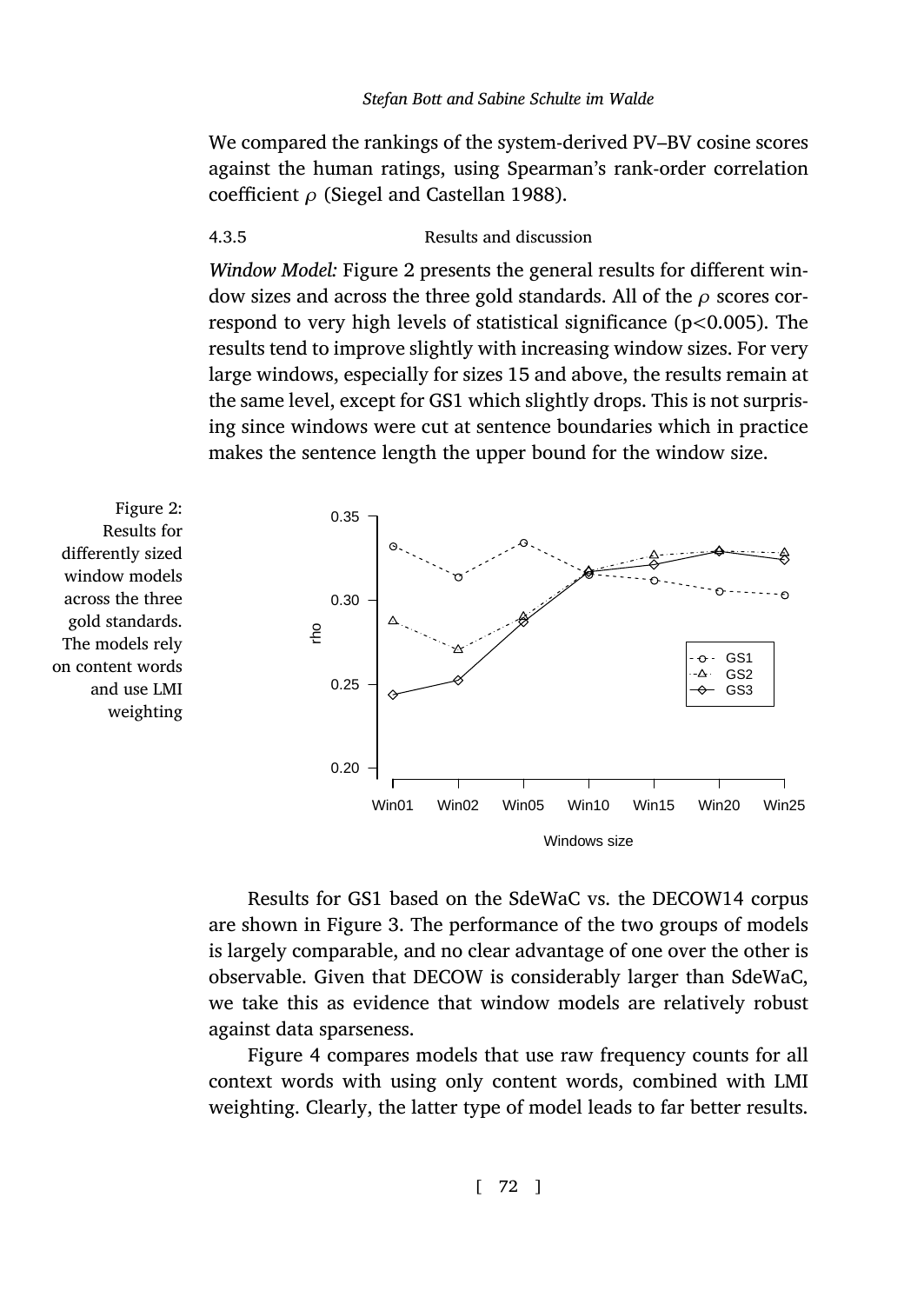We compared the rankings of the system-derived PV–BV cosine scores against the human ratings, using Spearman's rank-order correlation coefficient *ρ* (Siegel and Castellan 1988).

### 4.3.5 Results and discussion

*Window Model:* Figure 2 presents the general results for different window sizes and across the three gold standards. All of the *ρ* scores correspond to very high levels of statistical significance (p*<*0.005). The results tend to improve slightly with increasing window sizes. For very large windows, especially for sizes 15 and above, the results remain at the same level, except for GS1 which slightly drops. This is not surprising since windows were cut at sentence boundaries which in practice makes the sentence length the upper bound for the window size.

Figure 2: Results for differently sized window models across the three gold standards. The models rely on content words and use LMI weighting



Results for GS1 based on the SdeWaC vs. the DECOW14 corpus are shown in Figure 3. The performance of the two groups of models is largely comparable, and no clear advantage of one over the other is observable. Given that DECOW is considerably larger than SdeWaC, we take this as evidence that window models are relatively robust against data sparseness.

Figure 4 compares models that use raw frequency counts for all context words with using only content words, combined with LMI weighting. Clearly, the latter type of model leads to far better results.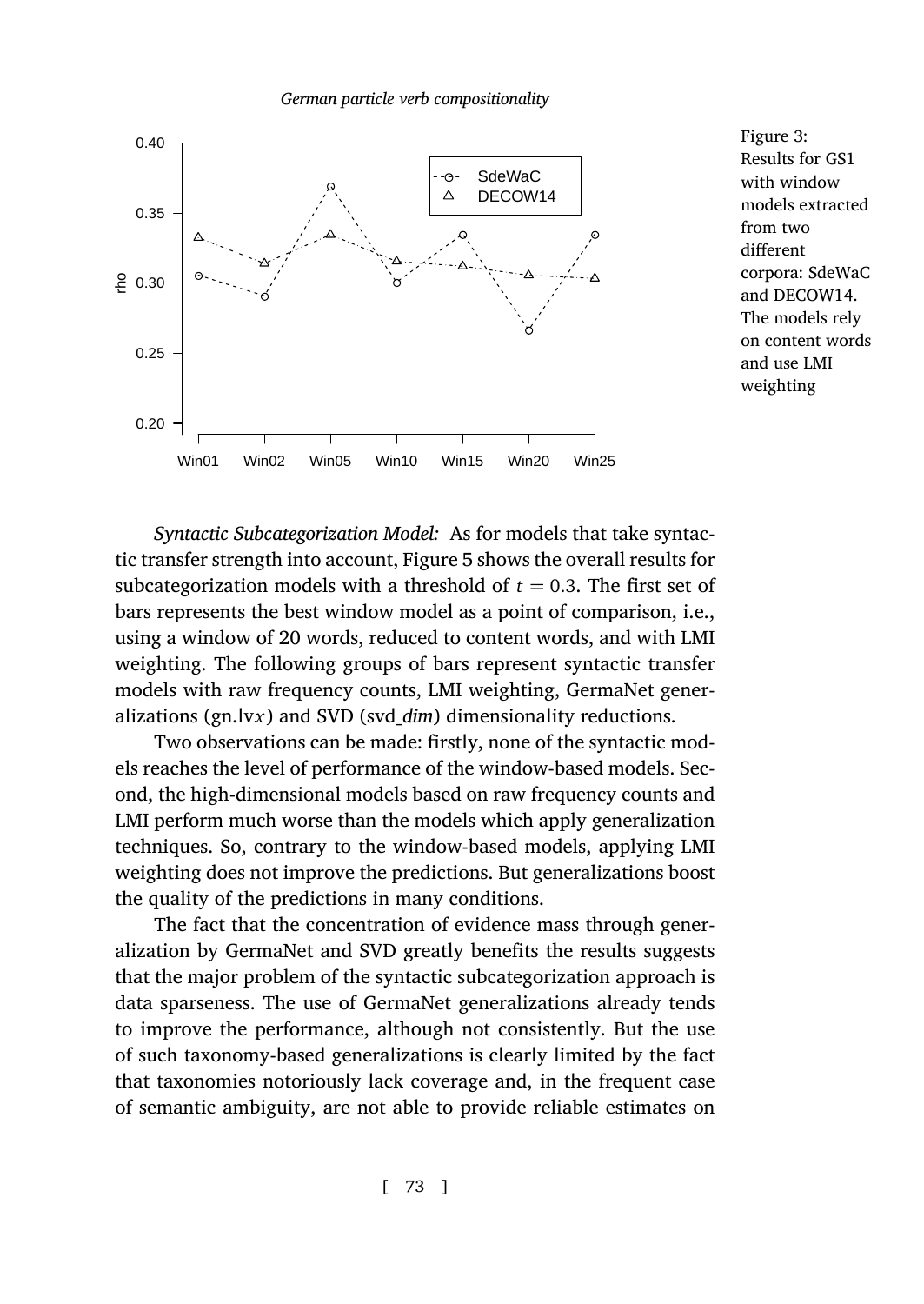

Figure 3: Results for GS1 with window models extracted from two different corpora: SdeWaC and DECOW14. The models rely on content words and use LMI weighting

*Syntactic Subcategorization Model:* As for models that take syntactic transfer strength into account, Figure 5 shows the overall results for subcategorization models with a threshold of  $t = 0.3$ . The first set of bars represents the best window model as a point of comparison, i.e., using a window of 20 words, reduced to content words, and with LMI weighting. The following groups of bars represent syntactic transfer models with raw frequency counts, LMI weighting, GermaNet generalizations (gn.lv*x*) and SVD (svd\_*dim*) dimensionality reductions.

Two observations can be made: firstly, none of the syntactic models reaches the level of performance of the window-based models. Second, the high-dimensional models based on raw frequency counts and LMI perform much worse than the models which apply generalization techniques. So, contrary to the window-based models, applying LMI weighting does not improve the predictions. But generalizations boost the quality of the predictions in many conditions.

The fact that the concentration of evidence mass through generalization by GermaNet and SVD greatly benefits the results suggests that the major problem of the syntactic subcategorization approach is data sparseness. The use of GermaNet generalizations already tends to improve the performance, although not consistently. But the use of such taxonomy-based generalizations is clearly limited by the fact that taxonomies notoriously lack coverage and, in the frequent case of semantic ambiguity, are not able to provide reliable estimates on

[ 73 ]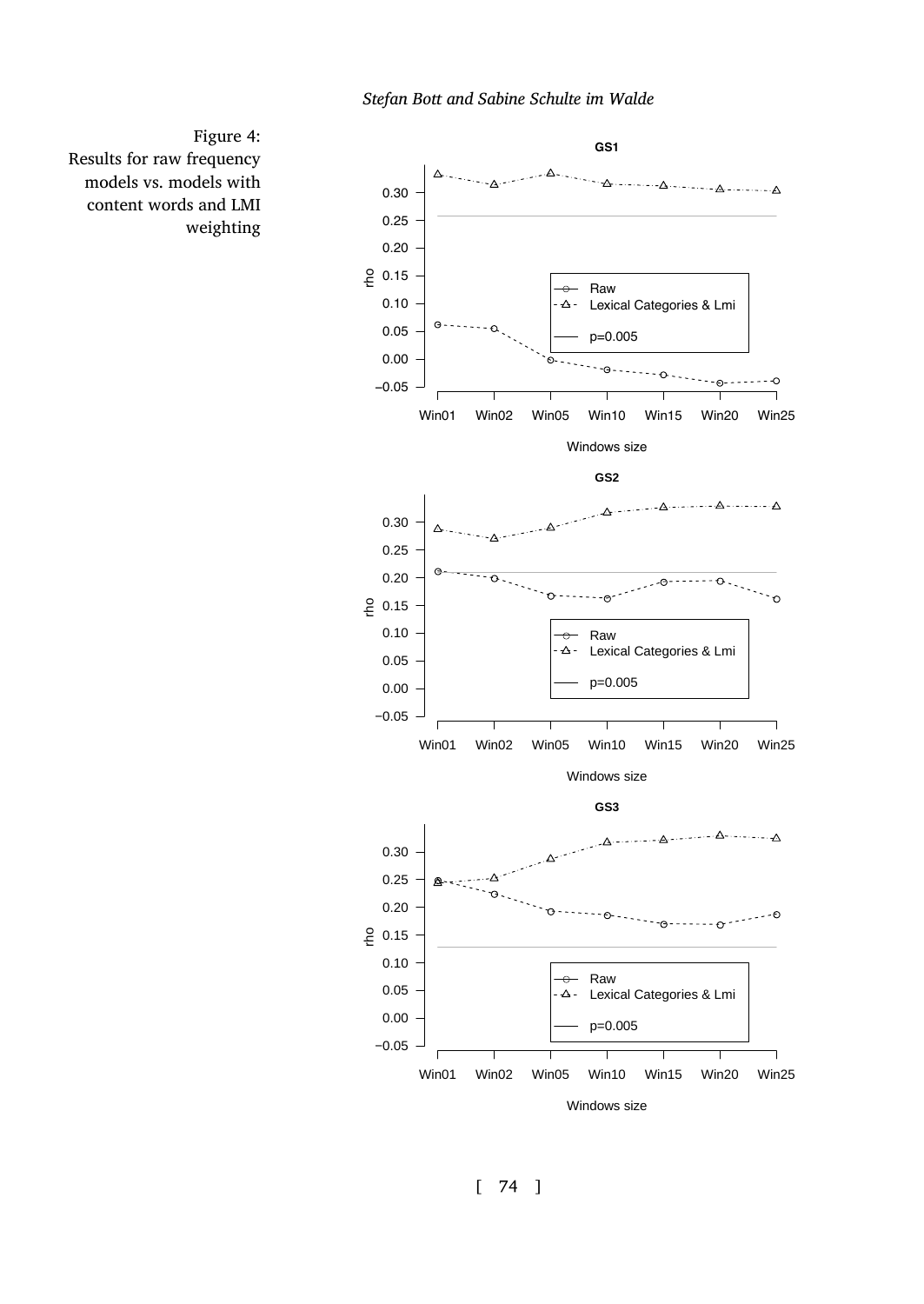

Figure 4: Results for raw frequency models vs. models with content words and LMI weighting

[ 74 ]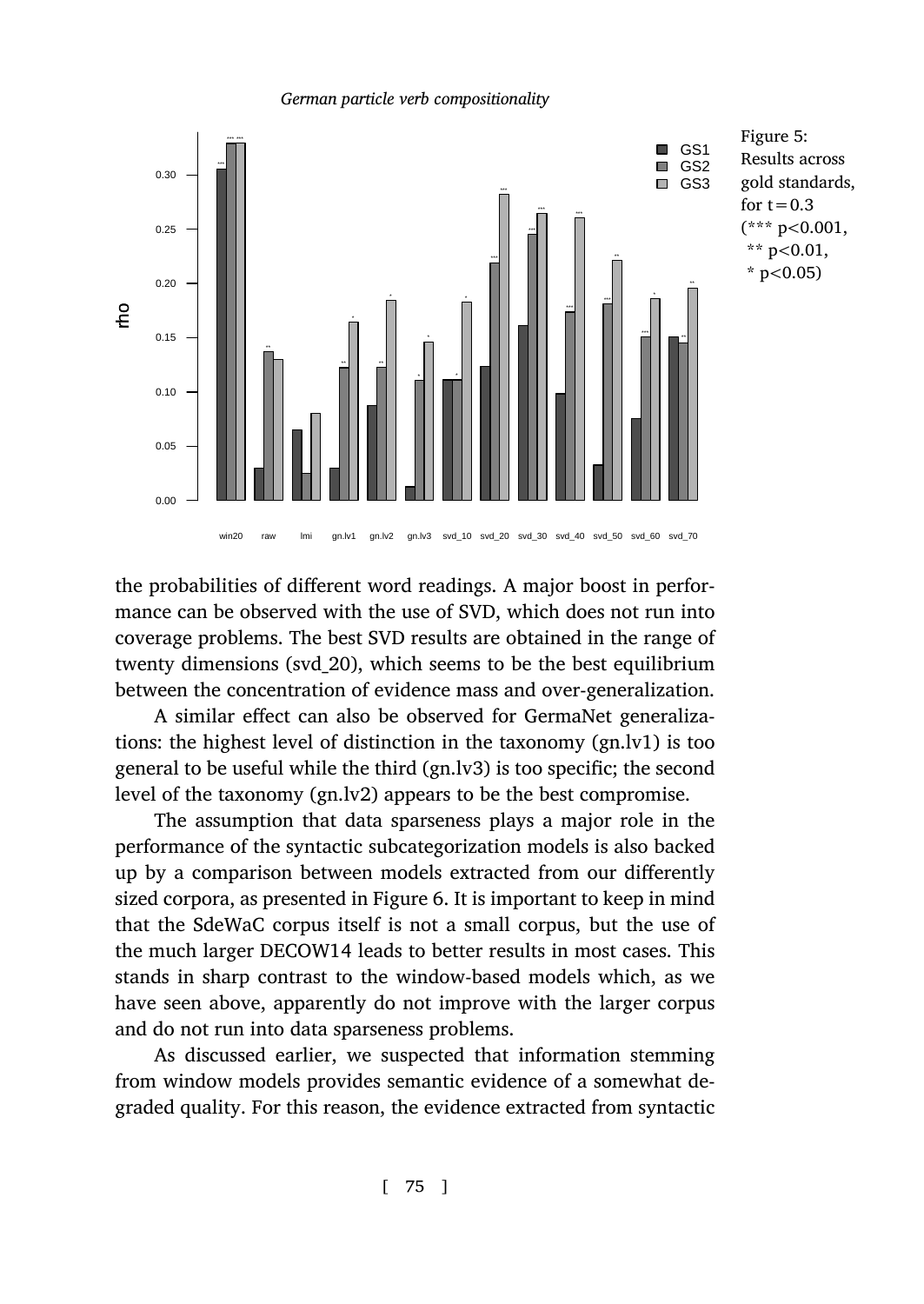

the probabilities of different word readings. A major boost in performance can be observed with the use of SVD, which does not run into coverage problems. The best SVD results are obtained in the range of twenty dimensions (svd\_20), which seems to be the best equilibrium between the concentration of eviden[ce](#page-35-0) mass and over-generalization.

A similar effect can also be observed for GermaNet generalizations: the highest level of distinction in the taxonomy (gn.lv1) is too general to be useful while the third (gn.lv3) is too specific; the second level of the taxonomy (gn.lv2) appears to be the best compromise.

The assumption that data sparseness plays a major role in the performance of the syntactic subcategorization models is also backed up by a comparison between models extracted from our differently sized corpora, as presented in Figure 6. It is important to keep in mind that the SdeWaC corpus itself is not a small corpus, but the use of the much larger DECOW14 leads to better results in most cases. This stands in sharp contrast to the window-based models which, as we have seen above, apparently do not improve with the larger corpus and do not run into data sparseness problems.

As discussed earlier, we suspected that information stemming from window models provides semantic evidence of a somewhat degraded quality. For this reason, the evidence extracted from syntactic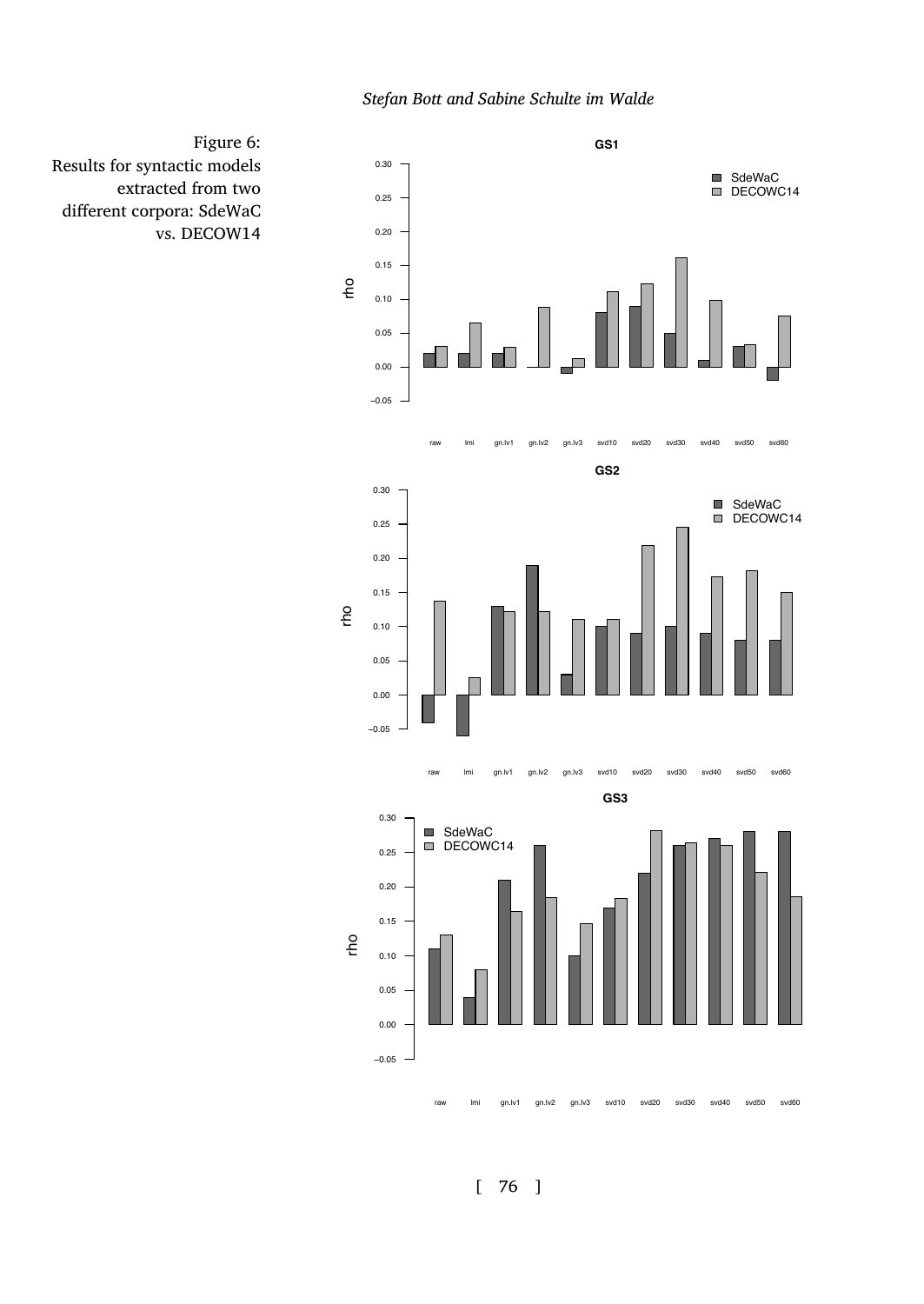

<span id="page-35-0"></span>Figure 6: Results for syntactic models extracted from two different corpora: SdeWaC vs. DECOW14

[ 76 ]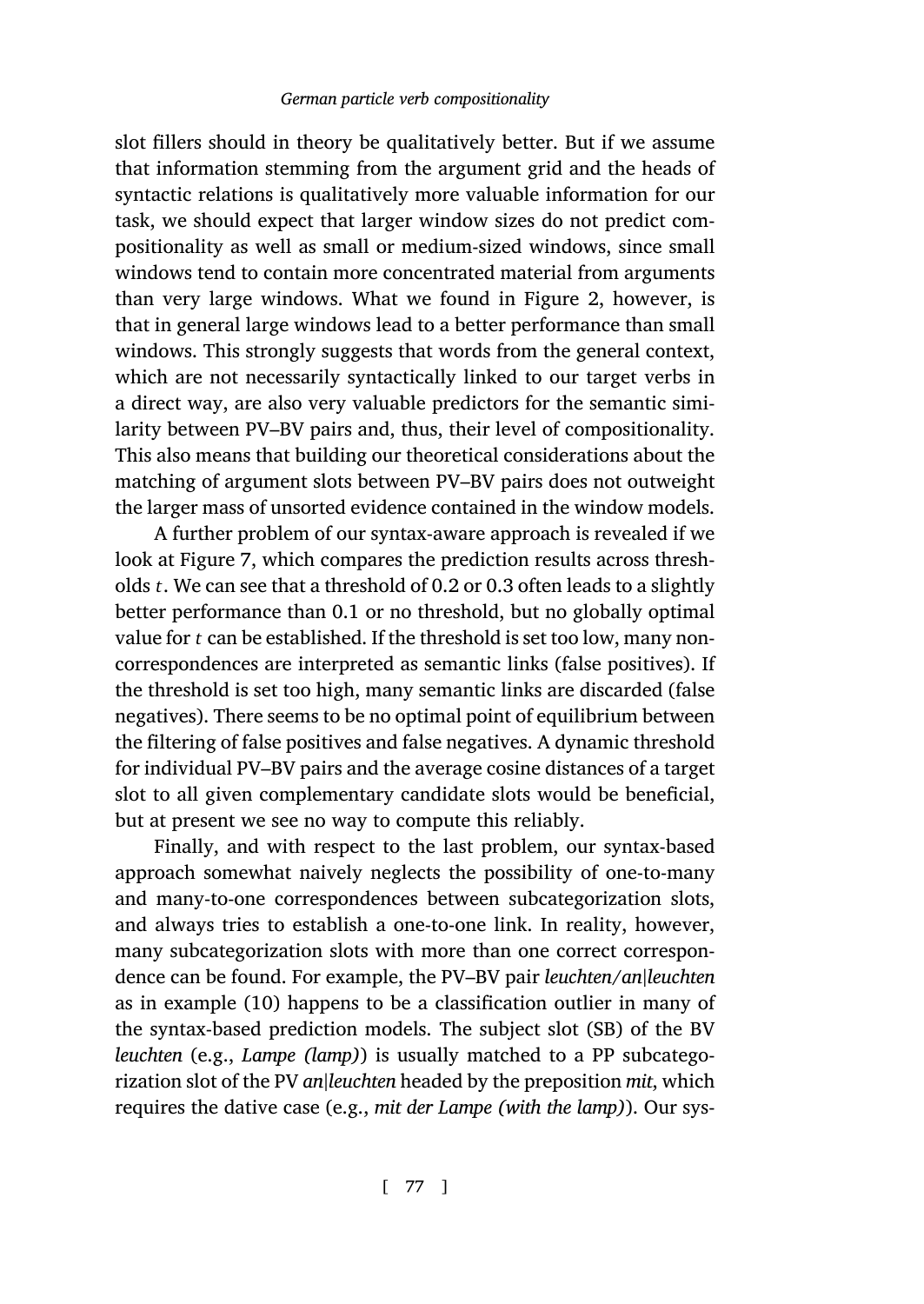slot fillers should in theory be qualitatively better. But if we assume that information stemming from the argument grid and the heads of syntactic relations is qualitatively more valuable information for our task, we should expect that larger window sizes do not predict compositionality as well as small or medium-sized windows, since small windows tend to contain more concentrated material from arguments than very large windows. What we found in Figure 2, however, is that in general large windows lead to a better performance than small windows. Thi[s s](#page-37-0)trongly suggests that words from the general context, which are not necessarily syntactically linked to our target verbs in a direct way, are also very valuable predictors for the semantic similarity between PV–BV pairs and, thus, their level of compositionality. This also means that building our theoretical considerations about the matching of argument slots between PV–BV pairs does not outweight the larger mass of unsorted evidence contained in the window models.

A further problem of our syntax-aware approach is revealed if we look at Figure 7, which compares the prediction results across thresholds *t*. We can see that a threshold of 0.2 or 0.3 often leads to a slightly better performance than 0.1 or no threshold, but no globally optimal value for *t* can be established. If the threshold is set too low, many noncorrespondences are interpreted as semantic links (false positives). If the threshold is set too high, many semantic links are discarded (false negatives). There seems to be no optimal point of equilibrium between the filtering of false positives and false negatives. A dynamic threshold for individual PV–BV pairs and the average cosine distances of a target slot to all give[n co](#page-7-1)mplementary candidate slots would be beneficial, but at present we see no way to compute this reliably.

Finally, and with respect to the last problem, our syntax-based approach somewhat naively neglects the possibility of one-to-many and many-to-one correspondences between subcategorization slots, and always tries to establish a one-to-one link. In reality, however, many subcategorization slots with more than one correct correspondence can be found. For example, the PV–BV pair *leuchten*/*an|leuchten* as in example (10) happens to be a classification outlier in many of the syntax-based prediction models. The subject slot (SB) of the BV *leuchten* (e.g., *Lampe (lamp)*) is usually matched to a PP subcategorization slot of the PV *an|leuchten* headed by the preposition *mit*, which requires the dative case (e.g., *mit der Lampe (with the lamp)*). Our sys-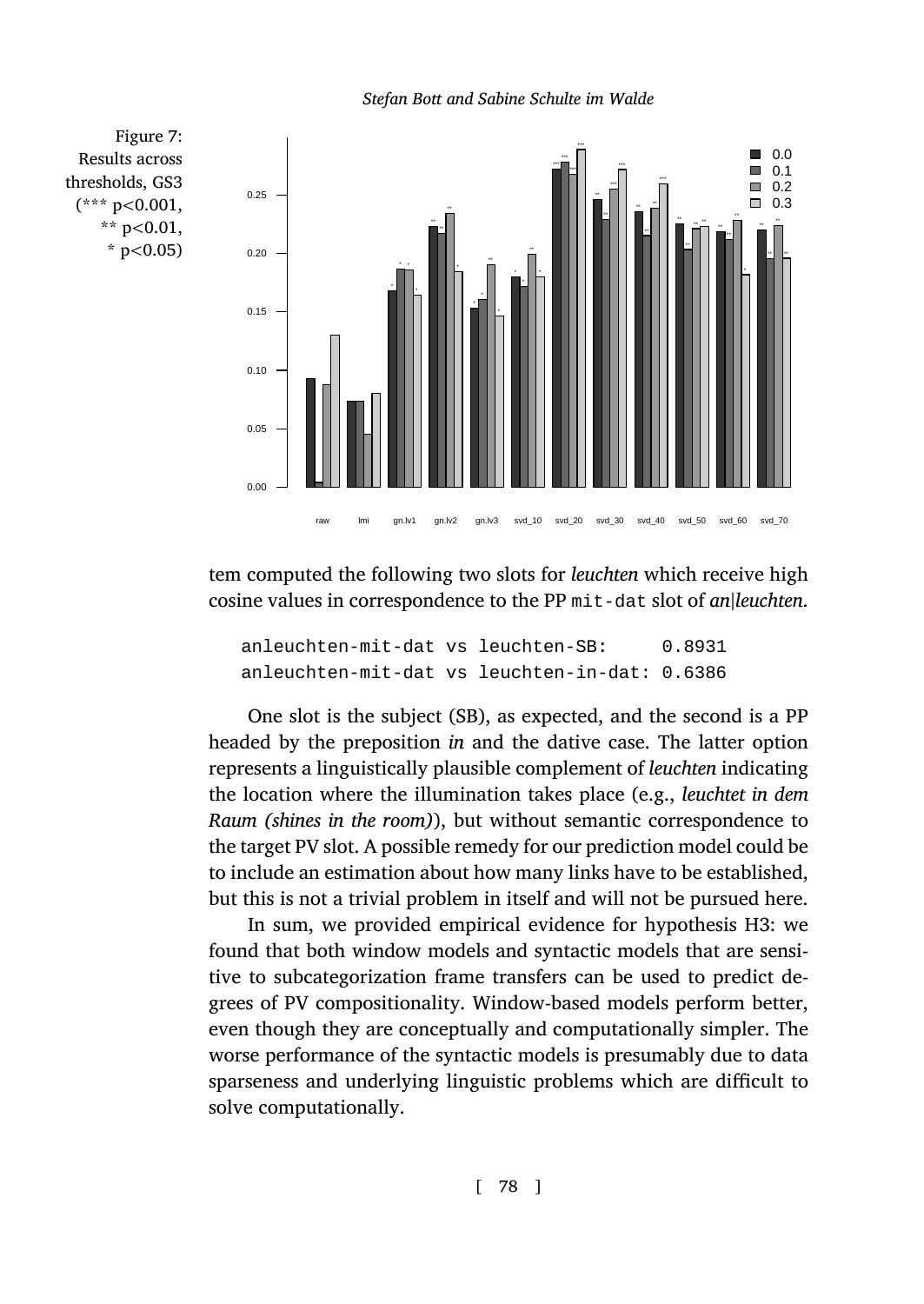*Stefan Bott and Sabine Schulte im Walde*

<span id="page-37-0"></span>

tem computed the following two slots for *leuchten* which receive high cosine values in correspondence to the PP mit-dat slot of *an|leuchten*.

anleuchten-mit-dat vs leuchten-SB: 0.8931 anleuchten-mit-dat vs leuchten-in-dat: 0.6386

One slot is the subject (SB), as expected, and the second is a PP headed by the preposition *in* and the dative case. The latter option represents a linguistically plausible complement of *leuchten* indicating the location where the illumination takes place (e.g., *leuchtet in dem Raum (shines in the room)*), but without semantic correspondence to the target PV slot. A possible remedy for our prediction model could be to include an estimation about how many links have to be established, but this is not a trivial problem in itself and will not be pursued here.

In sum, we provided empirical evidence for hypothesis H3: we found that both window models and syntactic models that are sensitive to subcategorization frame transfers can be used to predict degrees of PV compositionality. Window-based models perform better, even though they are conceptually and computationally simpler. The worse performance of the syntactic models is presumably due to data sparseness and underlying linguistic problems which are difficult to solve computationally.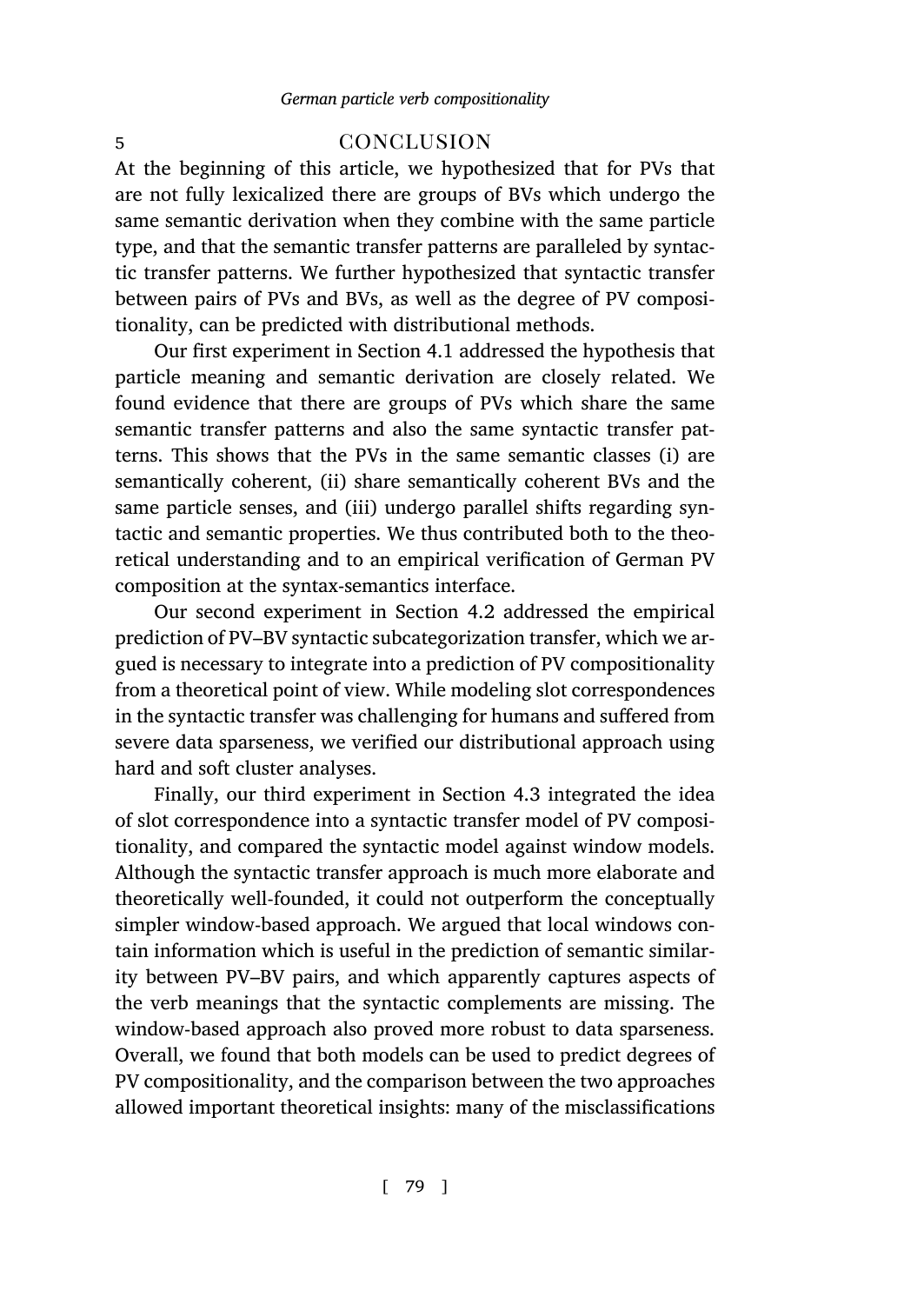# 5 concl[usi](#page-14-1)on

At the beginning of this article, we hypothesized that for PVs that are not fully lexicalized there are groups of BVs which undergo the same semantic derivation when they combine with the same particle type, and that the semantic transfer patterns are paralleled by syntactic transfer patterns. We further hypothesized that syntactic transfer between pairs of PVs and BVs, as well as the degree of PV compositionality, can be predicted with distributional methods.

Our first experiment in Section 4.1 addressed the hypothesis that particle meaning and semantic derivation are closely related. We found evidence that there are groups o[f PV](#page-21-1)s which share the same semantic transfer patterns and also the same syntactic transfer patterns. This shows that the PVs in the same semantic classes (i) are semantically coherent, (ii) share semantically coherent BVs and the same particle senses, and (iii) undergo parallel shifts regarding syntactic and semantic properties. We thus contributed both to the theoretical understanding and to an empirical verification of German PV composition at the syntax-semantics interface[.](#page-26-2)

Our second experiment in Section 4.2 addressed the empirical prediction of PV–BV syntactic subcategorization transfer, which we argued is necessary to integrate into a prediction of PV compositionality from a theoretical point of view. While modeling slot correspondences in the syntactic transfer was challenging for humans and suffered from severe data sparseness, we verified our distributional approach using hard and soft cluster analyses.

Finally, our third experiment in Section 4.3 integrated the idea of slot correspondence into a syntactic transfer model of PV compositionality, and compared the syntactic model against window models. Although the syntactic transfer approach is much more elaborate and theoretically well-founded, it could not outperform the conceptually simpler window-based approach. We argued that local windows contain information which is useful in the prediction of semantic similarity between PV–BV pairs, and which apparently captures aspects of the verb meanings that the syntactic complements are missing. The window-based approach also proved more robust to data sparseness. Overall, we found that both models can be used to predict degrees of PV compositionality, and the comparison between the two approaches allowed important theoretical insights: many of the misclassifications

[ 79 ]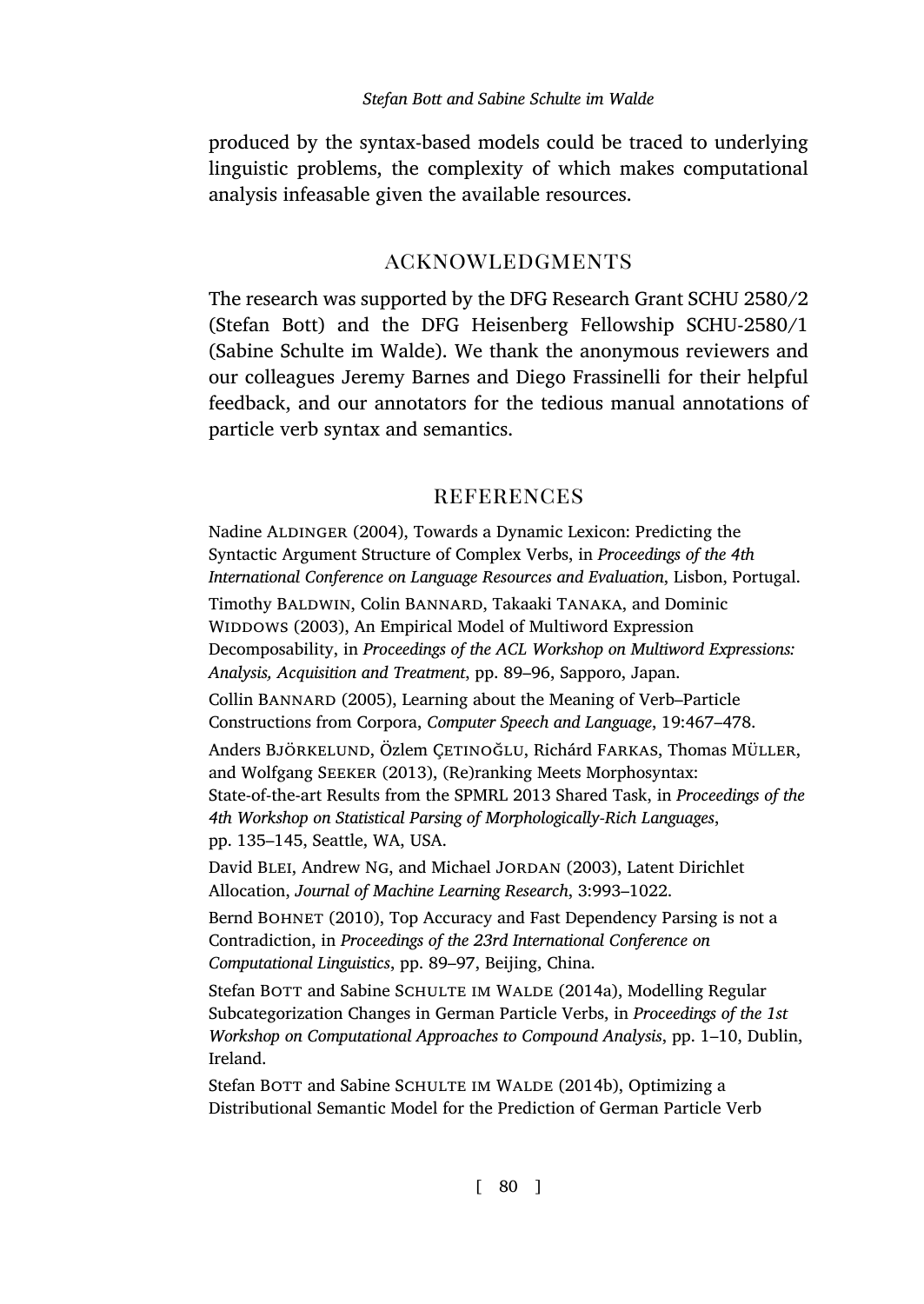produced by the syntax-based models could be traced to underlying linguistic problems, the complexity of which makes computational analysis infeasable given the available resources.

# acknowledgments

The research was supported by the DFG Research Grant SCHU 2580/2 (Stefan Bott) and the DFG Heisenberg Fellowship SCHU-2580/1 (Sabine Schulte im Walde). We thank the anonymous reviewers and our colleagues Jeremy Barnes and Diego Frassinelli for their helpful feedback, and our annotators for the tedious manual annotations of particle verb syntax and semantics.

# **REFERENCES**

<span id="page-39-1"></span>Nadine ALDINGER (2004), Towards a Dynamic Lexicon: Predicting the Syntactic Argument Structure of Complex Verbs, in *Proceedings of the 4th International Conference on Language Resources and Evaluation*, Lisbon, Portugal.

<span id="page-39-2"></span>Timothy BALDWIN, Colin BANNARD, Takaaki TANAKA, and Dominic WIDDOWS (2003), An Empirical Model of Multiword Expression Decomposability, in *Proceedings of the ACL Workshop on Multiword Expressions: Analysis, Acquisition and Treatment*, pp. 89–96, Sapporo, Japan.

<span id="page-39-3"></span>Collin Bannard (2005), Learning about the Meaning of Verb–Particle Constructions from Corpora, *Computer Speech and Language*, 19:467–478.

<span id="page-39-6"></span>Anders Björkelund, Özlem Çetinoğlu, Richárd Farkas, Thomas Müller, and Wolfgang Seeker (2013), (Re)ranking Meets Morphosyntax: State-of-the-art Results from the SPMRL 2013 Shared Task, in *Proceedings of the 4th Workshop on Statistical Parsing of Morphologically-Rich Languages*, pp. 135–145, Seattle, WA, USA.

David BLEI, Andrew NG, and Michael JORDAN (2003), Latent Dirichlet Allocation, *Journal of Machine Learning Research*, 3:993–1022.

<span id="page-39-5"></span>Bernd BOHNET (2010), Top Accuracy and Fast Dependency Parsing is not a Contradiction, in *Proceedings of the 23rd International Conference on Computational Linguistics*, pp. 89–97, Beijing, China.

<span id="page-39-0"></span>Stefan BOTT and Sabine SCHULTE IM WALDE (2014a), Modelling Regular Subcategorization Changes in German Particle Verbs, in *Proceedings of the 1st Workshop on Computational Approaches to Compound Analysis*, pp. 1–10, Dublin, Ireland.

<span id="page-39-4"></span>Stefan BOTT and Sabine SCHULTE IM WALDE (2014b), Optimizing a Distributional Semantic Model for the Prediction of German Particle Verb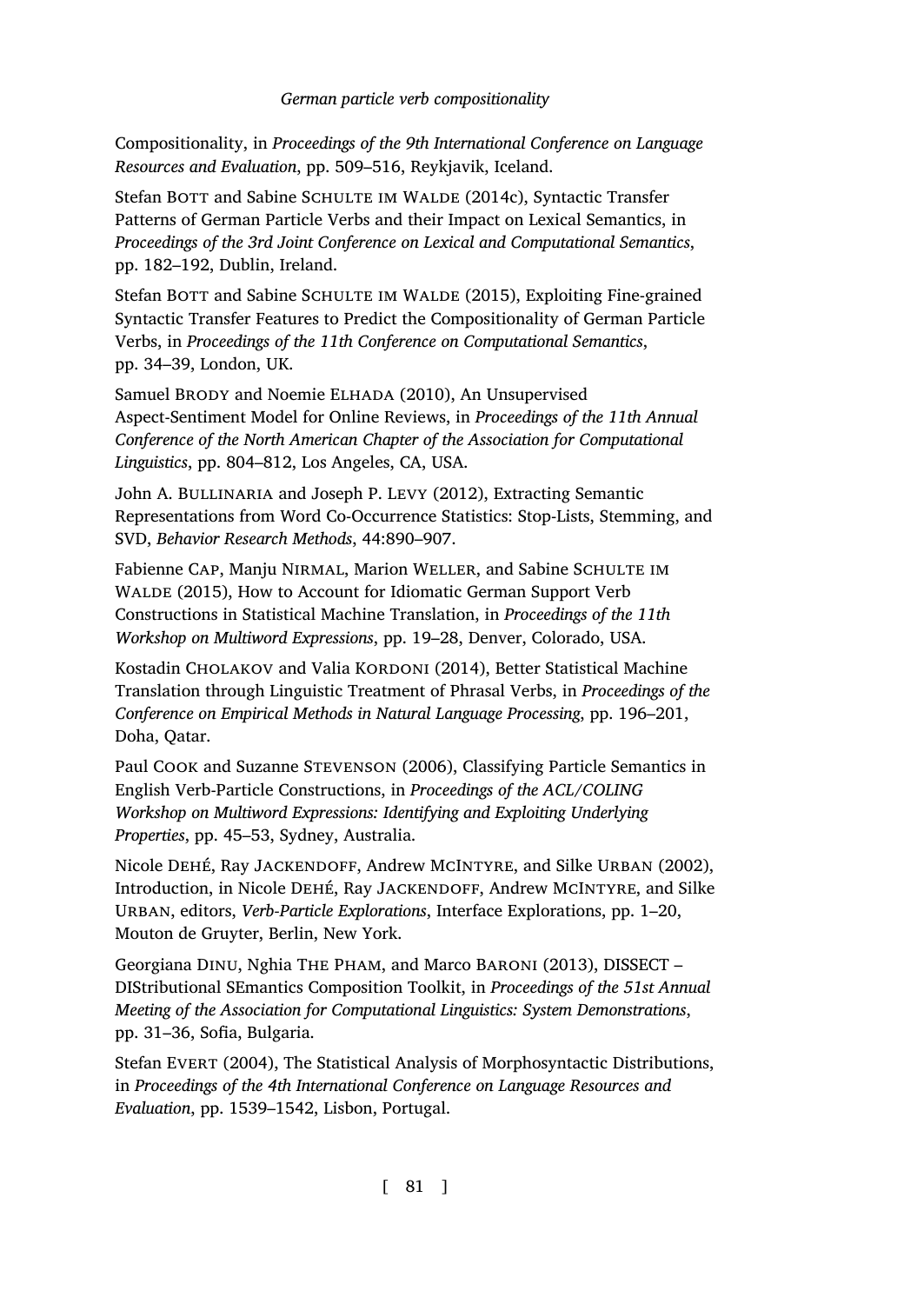Compositionality, in *Proceedings of the 9th International Conference on Language Resources and Evaluation*, pp. 509–516, Reykjavik, Iceland.

<span id="page-40-2"></span>Stefan BOTT and Sabine SCHULTE IM WALDE (2014c), Syntactic Transfer Patterns of German Particle Verbs and their Impact on Lexical Semantics, in *Proceedings of the 3rd Joint Conference on Lexical and Computational Semantics*, pp. 182–192, Dublin, Ireland.

<span id="page-40-6"></span>Stefan BOTT and Sabine SCHULTE IM WALDE (2015), Exploiting Fine-grained Syntactic Transfer Features to Predict the Compositionality of German Particle Verbs, in *Proceedings of the 11th Conference on Computational Semantics*, pp. 34–39, London, UK.

<span id="page-40-7"></span>Samuel Brody and Noemie Elhada (2010), An Unsupervised Aspect-Sentiment Model for Online Reviews, in *Proceedings of the 11th Annual Conference of the North American Chapter of the Association for Computational Linguistics*, pp. 804–812, Los Angeles, CA, USA.

<span id="page-40-8"></span>John A. BULLINARIA and Joseph P. LEVY (2012), Extracting Semantic Representations from Word Co-Occurrence Statistics: Stop-Lists, Stemming, and SVD, *Behavior Research Methods*, 44:890–907.

<span id="page-40-1"></span>Fabienne Cap, Manju Nirmal, Marion Weller, and Sabine Schulte im WALDE (2015), How to Account for Idiomatic German Support Verb Constructions in Statistical Machine Translation, in *Proceedings of the 11th Workshop on Multiword Expressions*, pp. 19–28, Denver, Colorado, USA.

<span id="page-40-0"></span>Kostadin CHOLAKOV and Valia KORDONI (2014), Better Statistical Machine Translation through Linguistic Treatment of Phrasal Verbs, in *Proceedings of the Conference on Empirical Methods in Natural Language Processing*, pp. 196–201, Doha, Qatar.

<span id="page-40-5"></span>Paul Cook and Suzanne Stevenson (2006), Classifying Particle Semantics in English Verb-Particle Constructions, in *Proceedings of the ACL/COLING Workshop on Multiword Expressions: Identifying and Exploiting Underlying Properties*, pp. 45–53, Sydney, Australia.

<span id="page-40-4"></span>Nicole Dehé, Ray Jackendoff, Andrew McIntyre, and Silke Urban (2002), Introduction, in Nicole DEHÉ, Ray JACKENDOFF, Andrew MCINTYRE, and Silke Urban, editors, *Verb-Particle Explorations*, Interface Explorations, pp. 1–20, Mouton de Gruyter, Berlin, New York.

<span id="page-40-9"></span>Georgiana Dinu, Nghia The Pham, and Marco Baroni (2013), DISSECT – DIStributional SEmantics Composition Toolkit, in *Proceedings of the 51st Annual Meeting of the Association for Computational Linguistics: System Demonstrations*, pp. 31–36, Sofia, Bulgaria.

<span id="page-40-3"></span>Stefan EVERT (2004), The Statistical Analysis of Morphosyntactic Distributions, in *Proceedings of the 4th International Conference on Language Resources and Evaluation*, pp. 1539–1542, Lisbon, Portugal.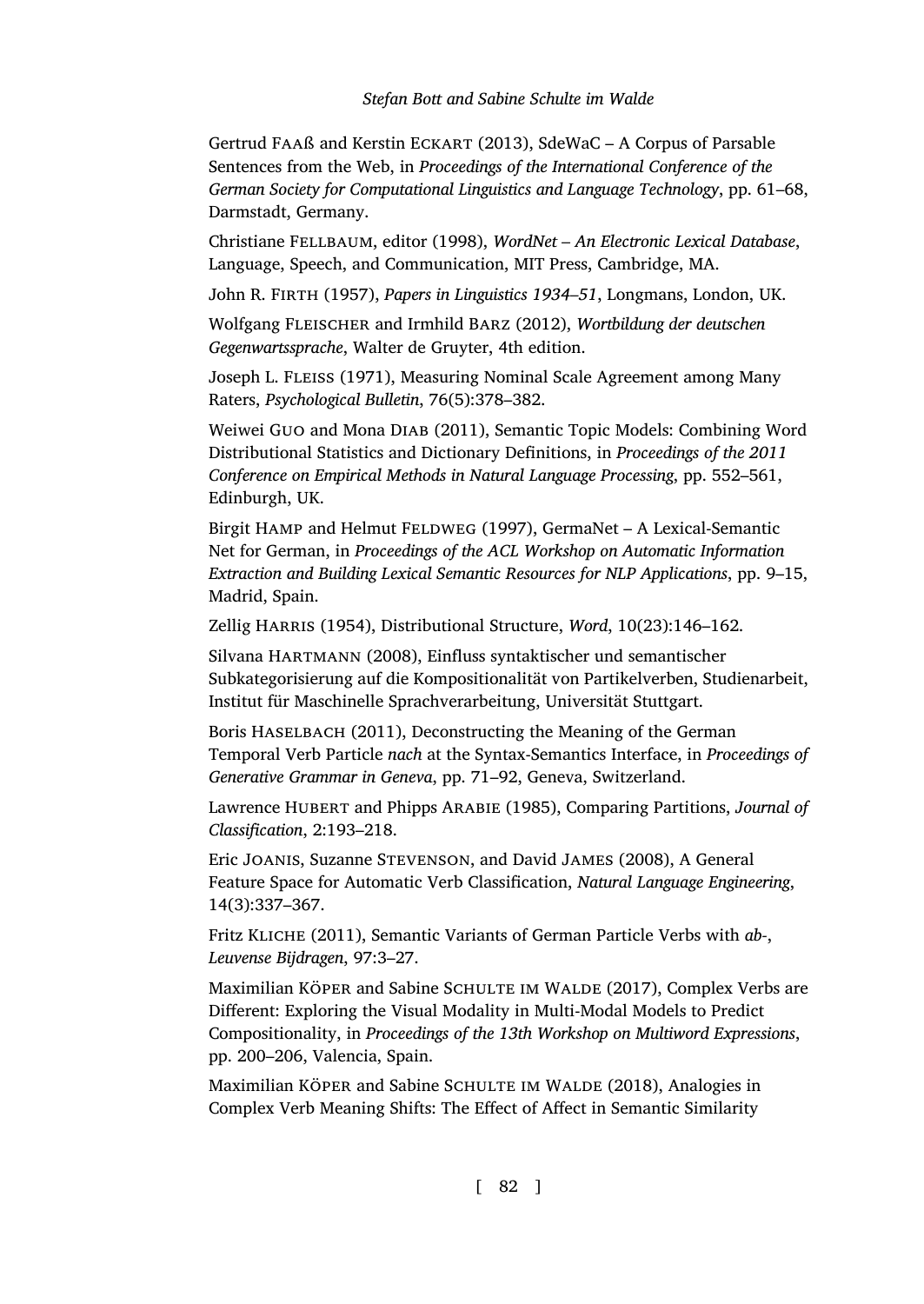<span id="page-41-9"></span>Gertrud Faaß and Kerstin Eckart (2013), SdeWaC – A Corpus of Parsable Sentences from the Web, in *Proceedings of the International Conference of the German Society for Computational Linguistics and Language Technology*, pp. 61–68, Darmstadt, Germany.

<span id="page-41-13"></span>Christiane Fellbaum, editor (1998), *WordNet – An Electronic Lexical Database*, Language, Speech, and Communication, MIT Press, Cambridge, MA.

<span id="page-41-5"></span>John R. Firth (1957), *Papers in Linguistics 1934–51*, Longmans, London, UK.

<span id="page-41-7"></span>Wolfgang Fleischer and Irmhild Barz (2012), *Wortbildung der deutschen Gegenwartssprache*, Walter de Gruyter, 4th edition.

<span id="page-41-8"></span>Joseph L. Fleiss (1971), Measuring Nominal Scale Agreement among Many Raters, *Psychological Bulletin*, 76(5):378–382.

<span id="page-41-12"></span>Weiwei Guo and Mona Diab (2011), Semantic Topic Models: Combining Word Distributional Statistics and Dictionary Definitions, in *Proceedings of the 2011 Conference on Empirical Methods in Natural Language Processing*, pp. 552–561, Edinburgh, UK.

<span id="page-41-11"></span>Birgit HAMP and Helmut FELDWEG (1997), GermaNet – A Lexical-Semantic Net for German, in *Proceedings of the ACL Workshop on Automatic Information Extraction and Building Lexical Semantic Resources for NLP Applications*, pp. 9–15, Madrid, Spain.

<span id="page-41-4"></span>Zellig HARRIS (1954), Distributional Structure, *Word*, 10(23):146-162.

<span id="page-41-14"></span>Silvana Hartmann (2008), Einfluss syntaktischer und semantischer Subkategorisierung auf die Kompositionalität von Partikelverben, Studienarbeit, Institut für Maschinelle Sprachverarbeitung, Universität Stuttgart.

<span id="page-41-0"></span>Boris HASELBACH (2011), Deconstructing the Meaning of the German Temporal Verb Particle *nach* at the Syntax-Semantics Interface, in *Proceedings of Generative Grammar in Geneva*, pp. 71–92, Geneva, Switzerland.

<span id="page-41-10"></span>Lawrence Hubert and Phipps Arabie (1985), Comparing Partitions, *Journal of Classification*, 2:193–218.

<span id="page-41-3"></span>Eric Joanis, Suzanne Stevenson, and David James (2008), A General Feature Space for Automatic Verb Classification, *Natural Language Engineering*, 14(3):337–367.

<span id="page-41-1"></span>Fritz Kliche (2011), Semantic Variants of German Particle Verbs with *ab-*, *Leuvense Bijdragen*, 97:3–27.

<span id="page-41-6"></span>Maximilian KÖPER and Sabine SCHULTE IM WALDE (2017), Complex Verbs are Different: Exploring the Visual Modality in Multi-Modal Models to Predict Compositionality, in *Proceedings of the 13th Workshop on Multiword Expressions*, pp. 200–206, Valencia, Spain.

<span id="page-41-2"></span>Maximilian KÖPER and Sabine SCHULTE IM WALDE (2018), Analogies in Complex Verb Meaning Shifts: The Effect of Affect in Semantic Similarity

[ 82 ]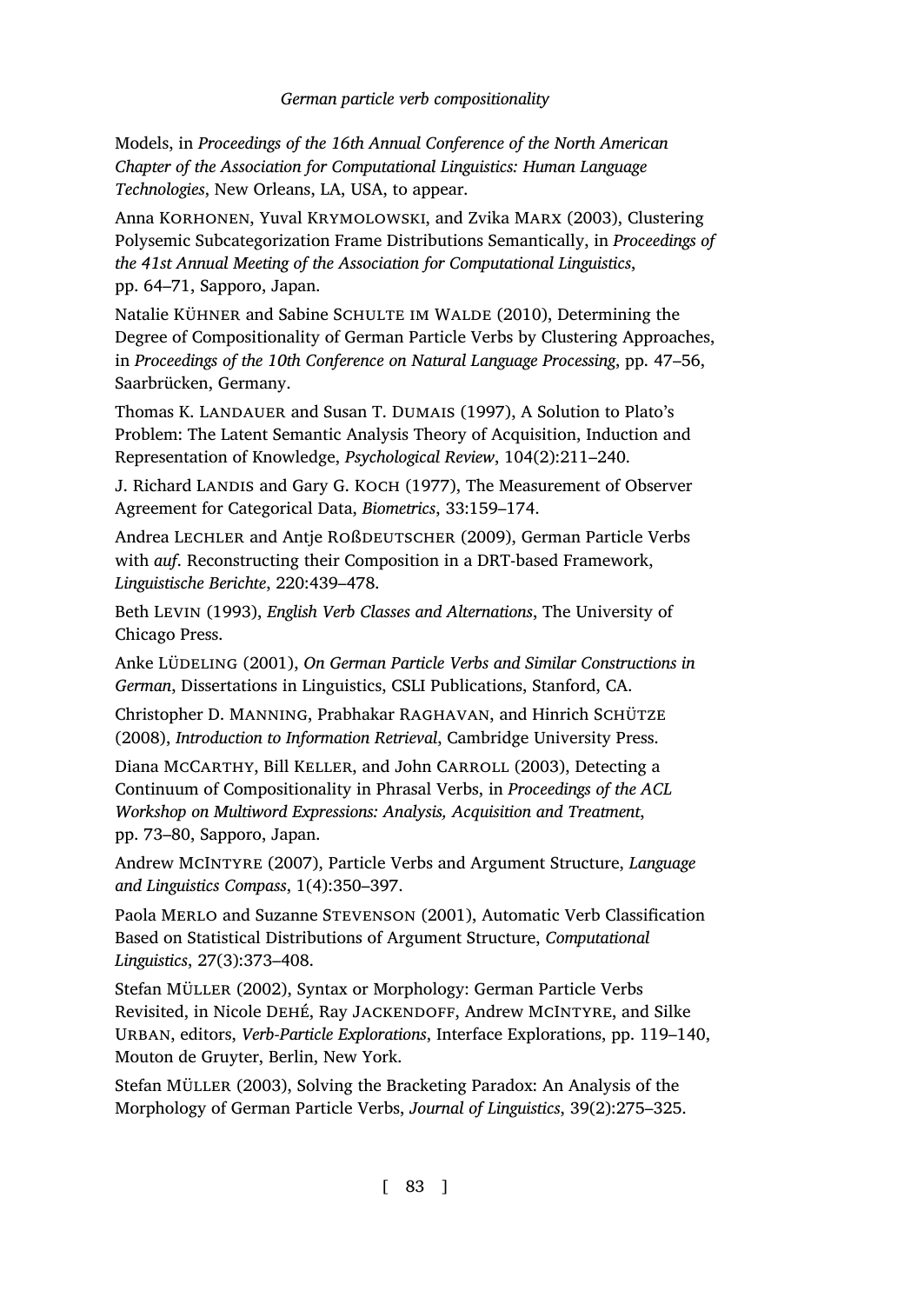Models, in *Proceedings of the 16th Annual Conference of the North American Chapter of the Association for Computational Linguistics: Human Language Technologies*, New Orleans, LA, USA, to appear.

Anna KORHONEN, Yuval KRYMOLOWSKI, and Zvika MARX (2003), Clustering Polysemic Subcategorization Frame Distributions Semantically, in *Proceedings of the 41st Annual Meeting of the Association for Computational Linguistics*, pp. 64–71, Sapporo, Japan.

<span id="page-42-8"></span>Natalie KÜHNER and Sabine SCHULTE IM WALDE (2010), Determining the Degree of Compositionality of German Particle Verbs by Clustering Approaches, in *Proceedings of the 10th Conference on Natural Language Processing*, pp. 47–56, Saarbrücken, Germany.

Thomas K. LANDAUER and Susan T. DUMAIS (1997), A Solution to Plato's Problem: The Latent Semantic Analysis Theory of Acquisition, Induction and Representation of Knowledge, *Psychological Review*, 104(2):211–240.

<span id="page-42-9"></span>J. Richard LANDIS and Gary G. KOCH (1977), The Measurement of Observer Agreement for Categorical Data, *Biometrics*, 33:159–174.

<span id="page-42-0"></span>Andrea Lechler and Antje Roßdeutscher (2009), German Particle Verbs with *auf*. Reconstructing their Composition in a DRT-based Framework, *Linguistische Berichte*, 220:439–478.

<span id="page-42-1"></span>Beth Levin (1993), *English Verb Classes and Alternations*, The University of Chicago Press.

<span id="page-42-6"></span>Anke Lüdeling (2001), *On German Particle Verbs and Similar Constructions in German*, Dissertations in Linguistics, CSLI Publications, Stanford, CA.

<span id="page-42-10"></span>Christopher D. MANNING, Prabhakar RAGHAVAN, and Hinrich SCHÜTZE (2008), *Introduction to Information Retrieval*, Cambridge University Press.

<span id="page-42-7"></span>Diana McCarthy, Bill Keller, and John Carroll (2003), Detecting a Continuum of Compositionality in Phrasal Verbs, in *Proceedings of the ACL Workshop on Multiword Expressions: Analysis, Acquisition and Treatment*, pp. 73–80, Sapporo, Japan.

<span id="page-42-5"></span>Andrew McIntyre (2007), Particle Verbs and Argument Structure, *Language and Linguistics Compass*, 1(4):350–397.

<span id="page-42-2"></span>Paola Merlo and Suzanne Stevenson (2001), Automatic Verb Classification Based on Statistical Distributions of Argument Structure, *Computational Linguistics*, 27(3):373–408.

<span id="page-42-3"></span>Stefan Müller (2002), Syntax or Morphology: German Particle Verbs Revisited, in Nicole DEHÉ, Ray JACKENDOFF, Andrew MCINTYRE, and Silke Urban, editors, *Verb-Particle Explorations*, Interface Explorations, pp. 119–140, Mouton de Gruyter, Berlin, New York.

<span id="page-42-4"></span>Stefan Müller (2003), Solving the Bracketing Paradox: An Analysis of the Morphology of German Particle Verbs, *Journal of Linguistics*, 39(2):275–325.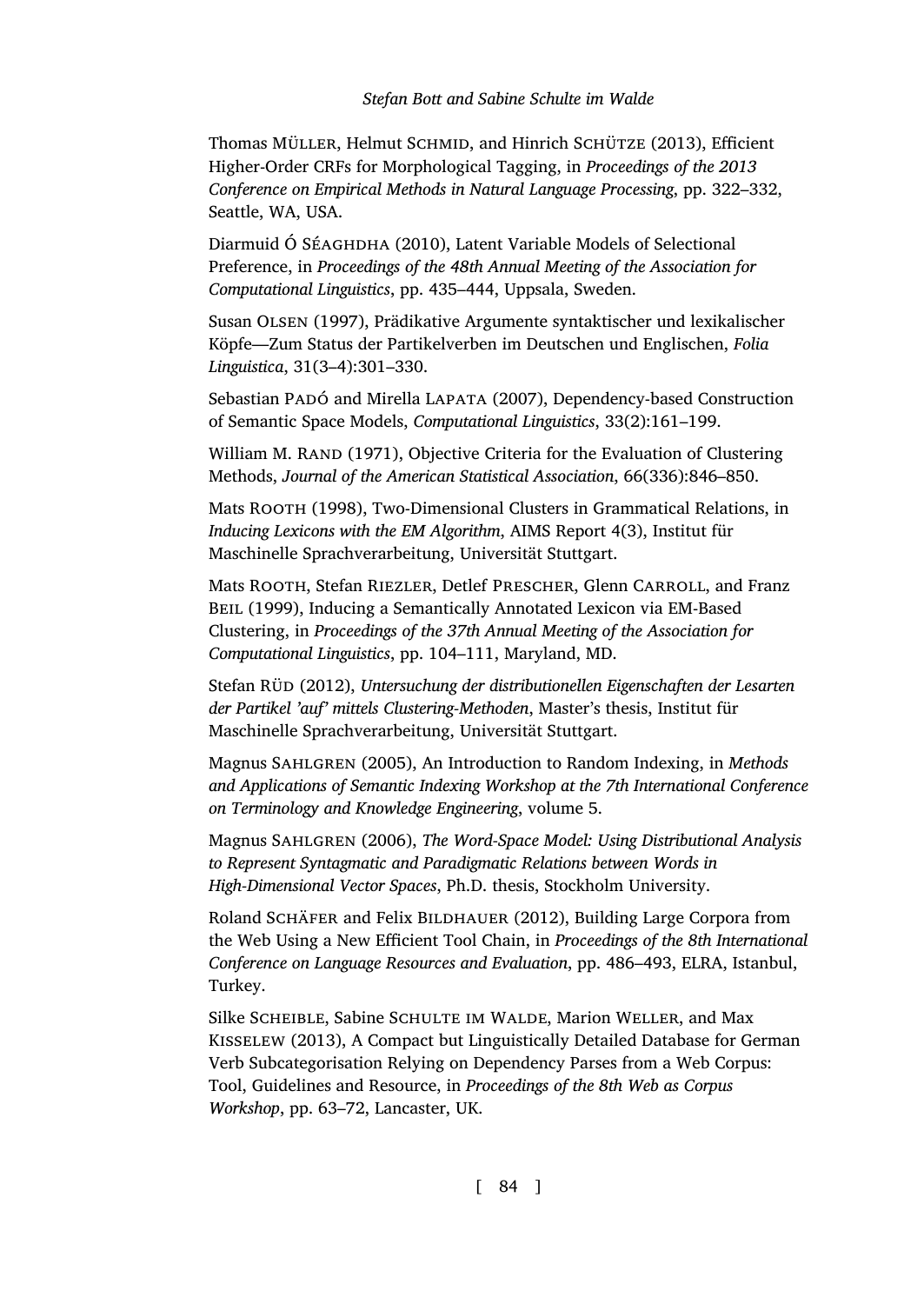<span id="page-43-9"></span>Thomas MÜLLER, Helmut SCHMID, and Hinrich SCHÜTZE (2013), Efficient Higher-Order CRFs for Morphological Tagging, in *Proceedings of the 2013 Conference on Empirical Methods in Natural Language Processing*, pp. 322–332, Seattle, WA, USA.

<span id="page-43-7"></span>Diarmuid Ó SÉAGHDHA (2010), Latent Variable Models of Selectional Preference, in *Proceedings of the 48th Annual Meeting of the Association for Computational Linguistics*, pp. 435–444, Uppsala, Sweden.

<span id="page-43-2"></span>Susan Olsen (1997), Prädikative Argumente syntaktischer und lexikalischer Köpfe—Zum Status der Partikelverben im Deutschen und Englischen, *Folia Linguistica*, 31(3–4):301–330.

Sebastian Padó and Mirella Lapata (2007), Dependency-based Construction of Semantic Space Models, *Computational Linguistics*, 33(2):161–199.

<span id="page-43-6"></span>William M. RAND (1971), Objective Criteria for the Evaluation of Clustering Methods, *Journal of the American Statistical Association*, 66(336):846–850.

<span id="page-43-4"></span>Mats Rooth (1998), Two-Dimensional Clusters in Grammatical Relations, in *Inducing Lexicons with the EM Algorithm*, AIMS Report 4(3), Institut für Maschinelle Sprachverarbeitung, Universität Stuttgart.

<span id="page-43-5"></span>Mats ROOTH, Stefan RIEZLER, Detlef PRESCHER, Glenn CARROLL, and Franz BEIL (1999), Inducing a Semantically Annotated Lexicon via EM-Based Clustering, in *Proceedings of the 37th Annual Meeting of the Association for Computational Linguistics*, pp. 104–111, Maryland, MD.

<span id="page-43-3"></span>Stefan Rüd (2012), *Untersuchung der distributionellen Eigenschaften der Lesarten der Partikel 'auf' mittels Clustering-Methoden*, Master's thesis, Institut für Maschinelle Sprachverarbeitung, Universität Stuttgart.

<span id="page-43-1"></span>Magnus Sahlgren (2005), An Introduction to Random Indexing, in *Methods and Applications of Semantic Indexing Workshop at the 7th International Conference on Terminology and Knowledge Engineering*, volume 5.

<span id="page-43-0"></span>Magnus Sahlgren (2006), *The Word-Space Model: Using Distributional Analysis to Represent Syntagmatic and Paradigmatic Relations between Words in High-Dimensional Vector Spaces*, Ph.D. thesis, Stockholm University.

<span id="page-43-8"></span>Roland SCHÄFER and Felix BILDHAUER (2012), Building Large Corpora from the Web Using a New Efficient Tool Chain, in *Proceedings of the 8th International Conference on Language Resources and Evaluation*, pp. 486–493, ELRA, Istanbul, Turkey.

Silke Scheible, Sabine Schulte im Walde, Marion Weller, and Max Kisselew (2013), A Compact but Linguistically Detailed Database for German Verb Subcategorisation Relying on Dependency Parses from a Web Corpus: Tool, Guidelines and Resource, in *Proceedings of the 8th Web as Corpus Workshop*, pp. 63–72, Lancaster, UK.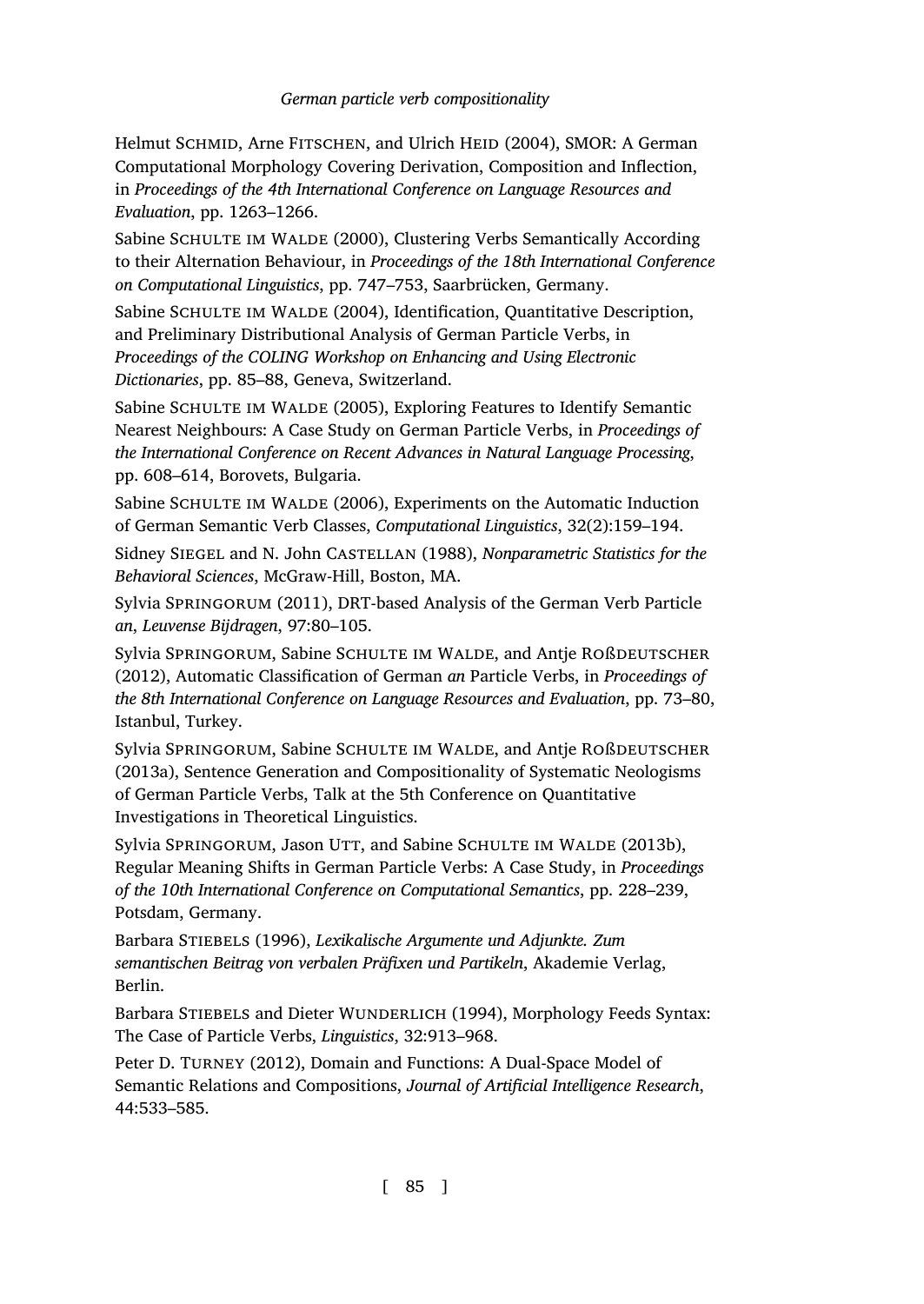<span id="page-44-11"></span>Helmut SCHMID, Arne FITSCHEN, and Ulrich HEID (2004), SMOR: A German Computational Morphology Covering Derivation, Composition and Inflection, in *Proceedings of the 4th International Conference on Language Resources and Evaluation*, pp. 1263–1266.

<span id="page-44-3"></span>Sabine SCHULTE IM WALDE (2000), Clustering Verbs Semantically According to their Alternation Behaviour, in *Proceedings of the 18th International Conference on Computational Linguistics*, pp. 747–753, Saarbrücken, Germany.

<span id="page-44-8"></span>Sabine SCHULTE IM WALDE (2004), Identification, Quantitative Description, and Preliminary Distributional Analysis of German Particle Verbs, in *Proceedings of the COLING Workshop on Enhancing and Using Electronic Dictionaries*, pp. 85–88, Geneva, Switzerland.

<span id="page-44-9"></span>Sabine SCHULTE IM WALDE (2005), Exploring Features to Identify Semantic Nearest Neighbours: A Case Study on German Particle Verbs, in *Proceedings of the International Conference on Recent Advances in Natural Language Processing*, pp. 608–614, Borovets, Bulgaria.

<span id="page-44-4"></span>Sabine SCHULTE IM WALDE (2006), Experiments on the Automatic Induction of German Semantic Verb Classes, *Computational Linguistics*, 32(2):159–194.

Sidney Siegel and N. John Castellan (1988), *Nonparametric Statistics for the Behavioral Sciences*, McGraw-Hill, Boston, MA.

<span id="page-44-0"></span>Sylvia Springorum (2011), DRT-based Analysis of the German Verb Particle *an*, *Leuvense Bijdragen*, 97:80–105.

<span id="page-44-6"></span>Sylvia SPRINGORUM, Sabine SCHULTE IM WALDE, and Antie ROßDEUTSCHER (2012), Automatic Classification of German *an* Particle Verbs, in *Proceedings of the 8th International Conference on Language Resources and Evaluation*, pp. 73–80, Istanbul, Turkey.

<span id="page-44-1"></span>Sylvia SPRINGORUM, Sabine SCHULTE IM WALDE, and Antje ROßDEUTSCHER (2013a), Sentence Generation and Compositionality of Systematic Neologisms of German Particle Verbs, Talk at the 5th Conference on Quantitative Investigations in Theoretical Linguistics.

<span id="page-44-7"></span>Sylvia SPRINGORUM, Jason UTT, and Sabine SCHULTE IM WALDE (2013b), Regular Meaning Shifts in German Particle Verbs: A Case Study, in *Proceedings of the 10th International Conference on Computational Semantics*, pp. 228–239, Potsdam, Germany.

<span id="page-44-2"></span>Barbara Stiebels (1996), *Lexikalische Argumente und Adjunkte. Zum semantischen Beitrag von verbalen Präfixen und Partikeln*, Akademie Verlag, Berlin.

<span id="page-44-5"></span>Barbara STIEBELS and Dieter WUNDERLICH (1994), Morphology Feeds Syntax: The Case of Particle Verbs, *Linguistics*, 32:913–968.

<span id="page-44-10"></span>Peter D. TURNEY (2012), Domain and Functions: A Dual-Space Model of Semantic Relations and Compositions, *Journal of Artificial Intelligence Research*, 44:533–585.